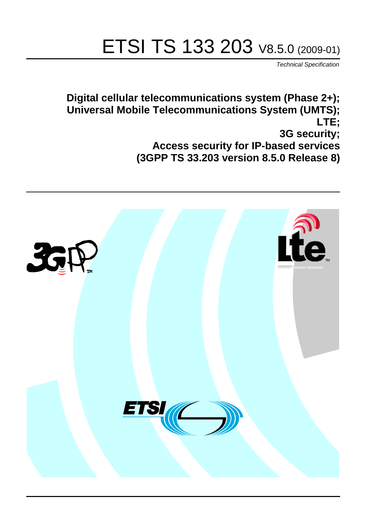# ETSI TS 133 203 V8.5.0 (2009-01)

*Technical Specification*

**Digital cellular telecommunications system (Phase 2+); Universal Mobile Telecommunications System (UMTS); LTE; 3G security; Access security for IP-based services (3GPP TS 33.203 version 8.5.0 Release 8)**

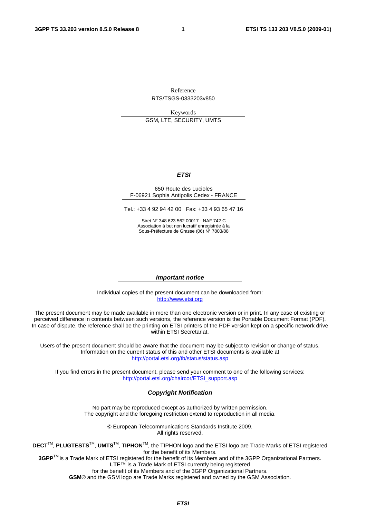Reference RTS/TSGS-0333203v850

Keywords GSM, LTE, SECURITY, UMTS

#### *ETSI*

#### 650 Route des Lucioles F-06921 Sophia Antipolis Cedex - FRANCE

Tel.: +33 4 92 94 42 00 Fax: +33 4 93 65 47 16

Siret N° 348 623 562 00017 - NAF 742 C Association à but non lucratif enregistrée à la Sous-Préfecture de Grasse (06) N° 7803/88

#### *Important notice*

Individual copies of the present document can be downloaded from: [http://www.etsi.org](http://www.etsi.org/)

The present document may be made available in more than one electronic version or in print. In any case of existing or perceived difference in contents between such versions, the reference version is the Portable Document Format (PDF). In case of dispute, the reference shall be the printing on ETSI printers of the PDF version kept on a specific network drive within ETSI Secretariat.

Users of the present document should be aware that the document may be subject to revision or change of status. Information on the current status of this and other ETSI documents is available at <http://portal.etsi.org/tb/status/status.asp>

If you find errors in the present document, please send your comment to one of the following services: [http://portal.etsi.org/chaircor/ETSI\\_support.asp](http://portal.etsi.org/chaircor/ETSI_support.asp)

#### *Copyright Notification*

No part may be reproduced except as authorized by written permission. The copyright and the foregoing restriction extend to reproduction in all media.

> © European Telecommunications Standards Institute 2009. All rights reserved.

**DECT**TM, **PLUGTESTS**TM, **UMTS**TM, **TIPHON**TM, the TIPHON logo and the ETSI logo are Trade Marks of ETSI registered for the benefit of its Members.

**3GPP**TM is a Trade Mark of ETSI registered for the benefit of its Members and of the 3GPP Organizational Partners. **LTE**™ is a Trade Mark of ETSI currently being registered

for the benefit of its Members and of the 3GPP Organizational Partners.

**GSM**® and the GSM logo are Trade Marks registered and owned by the GSM Association.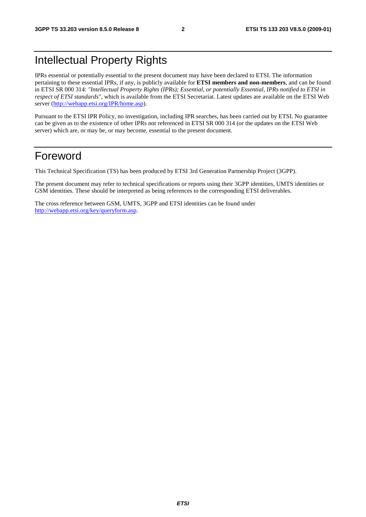### Intellectual Property Rights

IPRs essential or potentially essential to the present document may have been declared to ETSI. The information pertaining to these essential IPRs, if any, is publicly available for **ETSI members and non-members**, and can be found in ETSI SR 000 314: *"Intellectual Property Rights (IPRs); Essential, or potentially Essential, IPRs notified to ETSI in respect of ETSI standards"*, which is available from the ETSI Secretariat. Latest updates are available on the ETSI Web server ([http://webapp.etsi.org/IPR/home.asp\)](http://webapp.etsi.org/IPR/home.asp).

Pursuant to the ETSI IPR Policy, no investigation, including IPR searches, has been carried out by ETSI. No guarantee can be given as to the existence of other IPRs not referenced in ETSI SR 000 314 (or the updates on the ETSI Web server) which are, or may be, or may become, essential to the present document.

### Foreword

This Technical Specification (TS) has been produced by ETSI 3rd Generation Partnership Project (3GPP).

The present document may refer to technical specifications or reports using their 3GPP identities, UMTS identities or GSM identities. These should be interpreted as being references to the corresponding ETSI deliverables.

The cross reference between GSM, UMTS, 3GPP and ETSI identities can be found under [http://webapp.etsi.org/key/queryform.asp.](http://webapp.etsi.org/key/queryform.asp)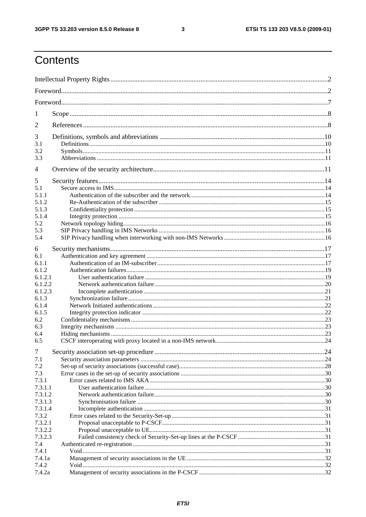$\mathbf{3}$ 

## Contents

| 1              |  |  |  |  |
|----------------|--|--|--|--|
| $\overline{2}$ |  |  |  |  |
| 3              |  |  |  |  |
| 3.1            |  |  |  |  |
| 3.2            |  |  |  |  |
| 3.3            |  |  |  |  |
| $\overline{4}$ |  |  |  |  |
| 5              |  |  |  |  |
| 5.1            |  |  |  |  |
| 5.1.1          |  |  |  |  |
| 5.1.2          |  |  |  |  |
| 5.1.3          |  |  |  |  |
| 5.1.4          |  |  |  |  |
| 5.2            |  |  |  |  |
| 5.3            |  |  |  |  |
| 5.4            |  |  |  |  |
| 6              |  |  |  |  |
| 6.1            |  |  |  |  |
| 6.1.1          |  |  |  |  |
| 6.1.2          |  |  |  |  |
| 6.1.2.1        |  |  |  |  |
| 6.1.2.2        |  |  |  |  |
| 6.1.2.3        |  |  |  |  |
| 6.1.3          |  |  |  |  |
| 6.1.4          |  |  |  |  |
| 6.1.5          |  |  |  |  |
| 6.2            |  |  |  |  |
| 6.3            |  |  |  |  |
| 6.4            |  |  |  |  |
| 6.5            |  |  |  |  |
| $\overline{7}$ |  |  |  |  |
| 7.1            |  |  |  |  |
| 7.2            |  |  |  |  |
| 7.3            |  |  |  |  |
| 7.3.1          |  |  |  |  |
| 7.3.1.1        |  |  |  |  |
| 7.3.1.2        |  |  |  |  |
| 7.3.1.3        |  |  |  |  |
| 7.3.1.4        |  |  |  |  |
| 7.3.2          |  |  |  |  |
| 7.3.2.1        |  |  |  |  |
| 7.3.2.2        |  |  |  |  |
| 7.3.2.3        |  |  |  |  |
| 7.4            |  |  |  |  |
| 7.4.1          |  |  |  |  |
| 7.4.1a         |  |  |  |  |
| 7.4.2          |  |  |  |  |
| 7.4.2a         |  |  |  |  |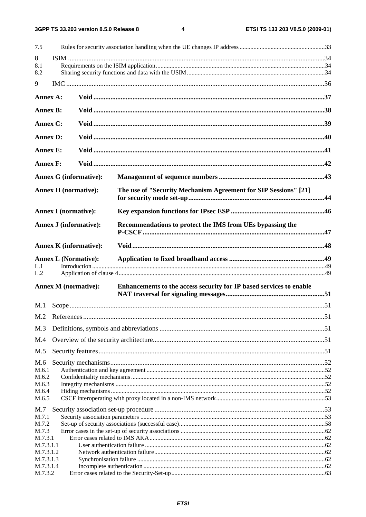$\overline{\mathbf{4}}$ 

| 7.5                           |  |                               |                                                                     |  |  |  |
|-------------------------------|--|-------------------------------|---------------------------------------------------------------------|--|--|--|
| 8                             |  |                               |                                                                     |  |  |  |
| 8.1<br>8.2                    |  |                               |                                                                     |  |  |  |
| 9                             |  |                               |                                                                     |  |  |  |
|                               |  |                               |                                                                     |  |  |  |
| Annex A:                      |  |                               |                                                                     |  |  |  |
| <b>Annex B:</b>               |  |                               |                                                                     |  |  |  |
| Annex C:                      |  |                               |                                                                     |  |  |  |
| <b>Annex D:</b>               |  |                               |                                                                     |  |  |  |
| <b>Annex E:</b>               |  |                               |                                                                     |  |  |  |
| <b>Annex F:</b>               |  |                               |                                                                     |  |  |  |
|                               |  | <b>Annex G (informative):</b> |                                                                     |  |  |  |
| <b>Annex H</b> (normative):   |  |                               | The use of "Security Mechanism Agreement for SIP Sessions" [21]     |  |  |  |
| <b>Annex I</b> (normative):   |  |                               |                                                                     |  |  |  |
| <b>Annex J (informative):</b> |  |                               | Recommendations to protect the IMS from UEs bypassing the           |  |  |  |
|                               |  | <b>Annex K</b> (informative): |                                                                     |  |  |  |
| <b>Annex L (Normative):</b>   |  |                               |                                                                     |  |  |  |
| L.1                           |  |                               |                                                                     |  |  |  |
| L.2                           |  |                               |                                                                     |  |  |  |
| <b>Annex M</b> (normative):   |  |                               | Enhancements to the access security for IP based services to enable |  |  |  |
| M.1                           |  |                               |                                                                     |  |  |  |
|                               |  |                               |                                                                     |  |  |  |
| M.3                           |  |                               |                                                                     |  |  |  |
| M.4                           |  |                               |                                                                     |  |  |  |
| M.5                           |  |                               |                                                                     |  |  |  |
| M.6                           |  |                               |                                                                     |  |  |  |
| M.6.1<br>M.6.2                |  |                               |                                                                     |  |  |  |
| M.6.3                         |  |                               |                                                                     |  |  |  |
| M.6.4                         |  |                               |                                                                     |  |  |  |
| M.6.5                         |  |                               |                                                                     |  |  |  |
| M.7                           |  |                               |                                                                     |  |  |  |
| M.7.1                         |  |                               |                                                                     |  |  |  |
| M.7.2<br>M.7.3                |  |                               |                                                                     |  |  |  |
| M.7.3.1                       |  |                               |                                                                     |  |  |  |
| M.7.3.1.1                     |  |                               |                                                                     |  |  |  |
| M.7.3.1.2                     |  |                               |                                                                     |  |  |  |
| M.7.3.1.3<br>M.7.3.1.4        |  |                               |                                                                     |  |  |  |
| M.7.3.2                       |  |                               |                                                                     |  |  |  |
|                               |  |                               |                                                                     |  |  |  |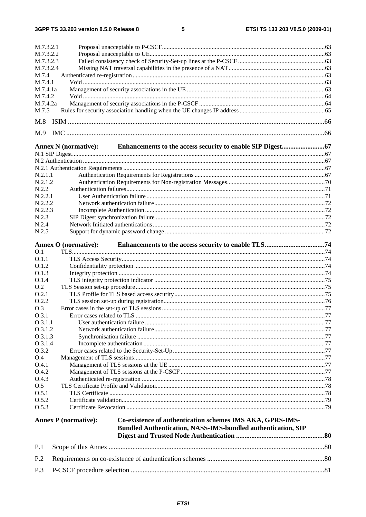$\overline{\mathbf{5}}$ 

| M.7.3.2.1                                                                                |  |
|------------------------------------------------------------------------------------------|--|
| M.7.3.2.2                                                                                |  |
| M.7.3.2.3                                                                                |  |
| M.7.3.2.4                                                                                |  |
| M.7.4                                                                                    |  |
| M.7.4.1                                                                                  |  |
| M.7.4.1a                                                                                 |  |
| M.7.4.2                                                                                  |  |
| M.7.4.2a                                                                                 |  |
| M.7.5                                                                                    |  |
|                                                                                          |  |
| M.8                                                                                      |  |
| M.9                                                                                      |  |
|                                                                                          |  |
| <b>Annex N</b> (normative):                                                              |  |
|                                                                                          |  |
|                                                                                          |  |
|                                                                                          |  |
| N.2.1.1                                                                                  |  |
|                                                                                          |  |
| N.2.1.2                                                                                  |  |
| N.2.2                                                                                    |  |
| N.2.2.1                                                                                  |  |
| N.2.2.2                                                                                  |  |
| N.2.2.3                                                                                  |  |
| N.2.3                                                                                    |  |
| N.2.4                                                                                    |  |
| N.2.5                                                                                    |  |
|                                                                                          |  |
| Annex O (normative):                                                                     |  |
| O.1                                                                                      |  |
| 0.1.1                                                                                    |  |
| O.1.2                                                                                    |  |
| 0.1.3                                                                                    |  |
| O.1.4                                                                                    |  |
| O.2                                                                                      |  |
| 0.2.1                                                                                    |  |
| O.2.2                                                                                    |  |
| O.3                                                                                      |  |
| O.3.1                                                                                    |  |
| 0.3.1.1                                                                                  |  |
| 0.3.1.2                                                                                  |  |
| 0.3.1.3                                                                                  |  |
| 0.3.1.4                                                                                  |  |
| O.3.2                                                                                    |  |
| O.4                                                                                      |  |
| O.4.1                                                                                    |  |
| O.4.2                                                                                    |  |
| O.4.3                                                                                    |  |
| O.5                                                                                      |  |
| 0.5.1                                                                                    |  |
| O.5.2                                                                                    |  |
| O.5.3                                                                                    |  |
|                                                                                          |  |
| Co-existence of authentication schemes IMS AKA, GPRS-IMS-<br><b>Annex P</b> (normative): |  |
| <b>Bundled Authentication, NASS-IMS-bundled authentication, SIP</b>                      |  |
|                                                                                          |  |
|                                                                                          |  |
| P.1                                                                                      |  |
|                                                                                          |  |
| P.2                                                                                      |  |
| P.3                                                                                      |  |
|                                                                                          |  |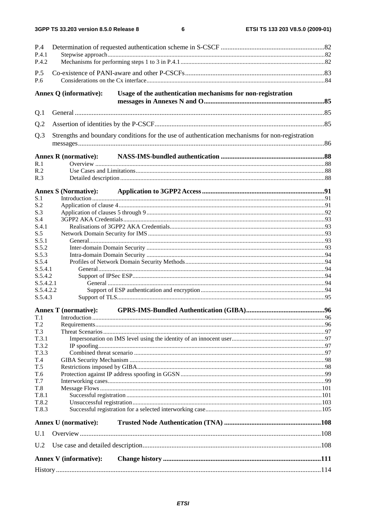| P.4                    |                               |                                                                                                 |  |  |
|------------------------|-------------------------------|-------------------------------------------------------------------------------------------------|--|--|
| P.4.1<br>P.4.2         |                               |                                                                                                 |  |  |
| P.5                    |                               |                                                                                                 |  |  |
| P.6                    |                               |                                                                                                 |  |  |
|                        | Annex Q (informative):        | Usage of the authentication mechanisms for non-registration                                     |  |  |
| Q.1                    |                               |                                                                                                 |  |  |
| Q.2                    |                               |                                                                                                 |  |  |
| Q.3                    |                               | Strengths and boundary conditions for the use of authentication mechanisms for non-registration |  |  |
|                        | <b>Annex R</b> (normative):   |                                                                                                 |  |  |
| R.1                    |                               |                                                                                                 |  |  |
| R.2                    |                               |                                                                                                 |  |  |
| R.3                    |                               |                                                                                                 |  |  |
|                        | <b>Annex S (Normative):</b>   |                                                                                                 |  |  |
| S.1                    |                               |                                                                                                 |  |  |
| S.2                    |                               |                                                                                                 |  |  |
| S.3                    |                               |                                                                                                 |  |  |
| S.4<br>S.4.1           |                               |                                                                                                 |  |  |
| S.5                    |                               |                                                                                                 |  |  |
| S.5.1                  |                               |                                                                                                 |  |  |
| S.5.2                  |                               |                                                                                                 |  |  |
| S.5.3                  |                               |                                                                                                 |  |  |
| S.5.4                  |                               |                                                                                                 |  |  |
| S.5.4.1                |                               |                                                                                                 |  |  |
| S.5.4.2                |                               |                                                                                                 |  |  |
| S.5.4.2.1<br>S.5.4.2.2 |                               |                                                                                                 |  |  |
| S.5.4.3                |                               |                                                                                                 |  |  |
|                        | <b>Annex T</b> (normative):   |                                                                                                 |  |  |
|                        |                               |                                                                                                 |  |  |
| T.2                    |                               |                                                                                                 |  |  |
| T.3                    |                               |                                                                                                 |  |  |
| T.3.1                  |                               |                                                                                                 |  |  |
| T.3.2                  |                               |                                                                                                 |  |  |
| T.3.3                  |                               |                                                                                                 |  |  |
| T.4<br>T.5             |                               |                                                                                                 |  |  |
| T.6                    |                               |                                                                                                 |  |  |
| T.7                    |                               |                                                                                                 |  |  |
| T.8                    |                               |                                                                                                 |  |  |
| T.8.1                  |                               |                                                                                                 |  |  |
| T.8.2                  |                               |                                                                                                 |  |  |
| T.8.3                  |                               |                                                                                                 |  |  |
|                        | <b>Annex U</b> (normative):   |                                                                                                 |  |  |
| U.1                    |                               |                                                                                                 |  |  |
| U.2                    |                               |                                                                                                 |  |  |
|                        | <b>Annex V</b> (informative): |                                                                                                 |  |  |
|                        |                               |                                                                                                 |  |  |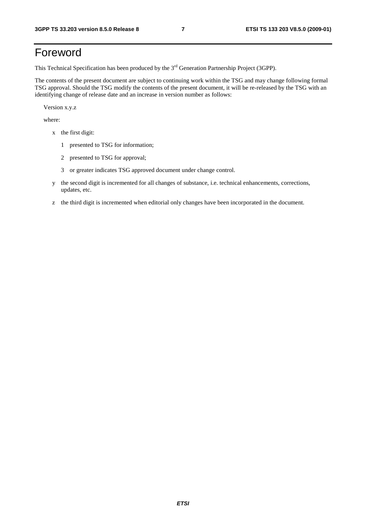### Foreword

This Technical Specification has been produced by the 3<sup>rd</sup> Generation Partnership Project (3GPP).

The contents of the present document are subject to continuing work within the TSG and may change following formal TSG approval. Should the TSG modify the contents of the present document, it will be re-released by the TSG with an identifying change of release date and an increase in version number as follows:

Version x.y.z

where:

- x the first digit:
	- 1 presented to TSG for information;
	- 2 presented to TSG for approval;
	- 3 or greater indicates TSG approved document under change control.
- y the second digit is incremented for all changes of substance, i.e. technical enhancements, corrections, updates, etc.
- z the third digit is incremented when editorial only changes have been incorporated in the document.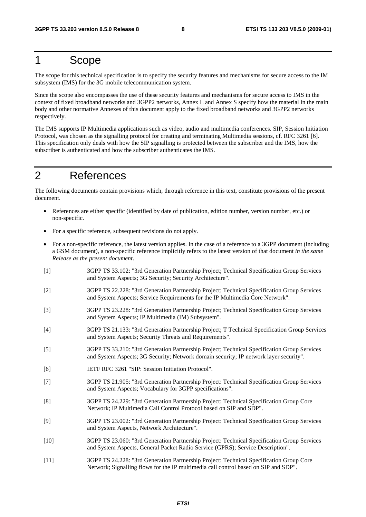### 1 Scope

The scope for this technical specification is to specify the security features and mechanisms for secure access to the IM subsystem (IMS) for the 3G mobile telecommunication system.

Since the scope also encompasses the use of these security features and mechanisms for secure access to IMS in the context of fixed broadband networks and 3GPP2 networks, Annex L and Annex S specify how the material in the main body and other normative Annexes of this document apply to the fixed broadband networks and 3GPP2 networks respectively.

The IMS supports IP Multimedia applications such as video, audio and multimedia conferences. SIP, Session Initiation Protocol, was chosen as the signalling protocol for creating and terminating Multimedia sessions, cf. RFC 3261 [6]. This specification only deals with how the SIP signalling is protected between the subscriber and the IMS, how the subscriber is authenticated and how the subscriber authenticates the IMS.

### 2 References

The following documents contain provisions which, through reference in this text, constitute provisions of the present document.

- References are either specific (identified by date of publication, edition number, version number, etc.) or non-specific.
- For a specific reference, subsequent revisions do not apply.
- For a non-specific reference, the latest version applies. In the case of a reference to a 3GPP document (including a GSM document), a non-specific reference implicitly refers to the latest version of that document *in the same Release as the present document*.
- [1] 3GPP TS 33.102: "3rd Generation Partnership Project; Technical Specification Group Services and System Aspects; 3G Security; Security Architecture".
- [2] 3GPP TS 22.228: "3rd Generation Partnership Project; Technical Specification Group Services and System Aspects; Service Requirements for the IP Multimedia Core Network".
- [3] 3GPP TS 23.228: "3rd Generation Partnership Project; Technical Specification Group Services and System Aspects; IP Multimedia (IM) Subsystem".
- [4] 3GPP TS 21.133: "3rd Generation Partnership Project; T Technical Specification Group Services and System Aspects; Security Threats and Requirements".
- [5] 3GPP TS 33.210: "3rd Generation Partnership Project; Technical Specification Group Services and System Aspects; 3G Security; Network domain security; IP network layer security".
- [6] IETF RFC 3261 "SIP: Session Initiation Protocol".
- [7] 3GPP TS 21.905: "3rd Generation Partnership Project: Technical Specification Group Services and System Aspects; Vocabulary for 3GPP specifications".
- [8] 3GPP TS 24.229: "3rd Generation Partnership Project: Technical Specification Group Core Network; IP Multimedia Call Control Protocol based on SIP and SDP".
- [9] 3GPP TS 23.002: "3rd Generation Partnership Project: Technical Specification Group Services and System Aspects, Network Architecture".
- [10] 3GPP TS 23.060: "3rd Generation Partnership Project: Technical Specification Group Services and System Aspects, General Packet Radio Service (GPRS); Service Description".
- [11] 3GPP TS 24.228: "3rd Generation Partnership Project: Technical Specification Group Core Network; Signalling flows for the IP multimedia call control based on SIP and SDP".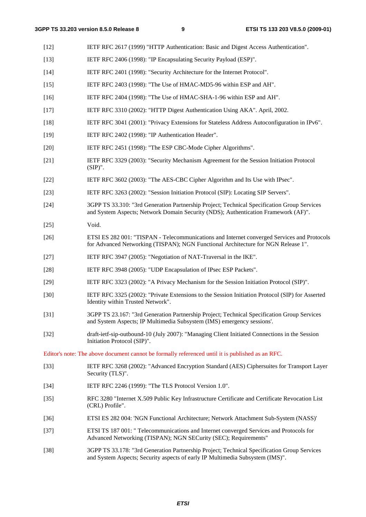- [12] IETF RFC 2617 (1999) "HTTP Authentication: Basic and Digest Access Authentication".
- [13] IETF RFC 2406 (1998): "IP Encapsulating Security Payload (ESP)".
- [14] IETF RFC 2401 (1998): "Security Architecture for the Internet Protocol".
- [15] IETF RFC 2403 (1998): "The Use of HMAC-MD5-96 within ESP and AH".
- [16] IETF RFC 2404 (1998): "The Use of HMAC-SHA-1-96 within ESP and AH".
- [17] IETF RFC 3310 (2002): "HTTP Digest Authentication Using AKA". April, 2002.
- [18] IETF RFC 3041 (2001): "Privacy Extensions for Stateless Address Autoconfiguration in IPv6".
- [19] IETF RFC 2402 (1998): "IP Authentication Header".
- [20] IETF RFC 2451 (1998): "The ESP CBC-Mode Cipher Algorithms".
- [21] IETF RFC 3329 (2003): "Security Mechanism Agreement for the Session Initiation Protocol (SIP)".
- [22] IETF RFC 3602 (2003): "The AES-CBC Cipher Algorithm and Its Use with IPsec".
- [23] IETF RFC 3263 (2002): "Session Initiation Protocol (SIP): Locating SIP Servers".
- [24] 3GPP TS 33.310: "3rd Generation Partnership Project; Technical Specification Group Services and System Aspects; Network Domain Security (NDS); Authentication Framework (AF)".
- [25] Void.
- [26] ETSI ES 282 001: "TISPAN Telecommunications and Internet converged Services and Protocols for Advanced Networking (TISPAN); NGN Functional Architecture for NGN Release 1".
- [27] IETF RFC 3947 (2005): "Negotiation of NAT-Traversal in the IKE".
- [28] IETF RFC 3948 (2005): "UDP Encapsulation of IPsec ESP Packets".
- [29] IETF RFC 3323 (2002): "A Privacy Mechanism for the Session Initiation Protocol (SIP)".
- [30] IETF RFC 3325 (2002): "Private Extensions to the Session Initiation Protocol (SIP) for Asserted Identity within Trusted Network".
- [31] 3GPP TS 23.167: "3rd Generation Partnership Project; Technical Specification Group Services and System Aspects; IP Multimedia Subsystem (IMS) emergency sessions'.
- [32] draft-ietf-sip-outbound-10 (July 2007): "Managing Client Initiated Connections in the Session Initiation Protocol (SIP)".

Editor's note: The above document cannot be formally referenced until it is published as an RFC.

- [33] IETF RFC 3268 (2002): "Advanced Encryption Standard (AES) Ciphersuites for Transport Layer Security (TLS)".
- [34] IETF RFC 2246 (1999): "The TLS Protocol Version 1.0".
- [35] RFC 3280 "Internet X.509 Public Key Infrastructure Certificate and Certificate Revocation List (CRL) Profile".
- [36] ETSI ES 282 004: 'NGN Functional Architecture; Network Attachment Sub-System (NASS)'
- [37] ETSI TS 187 001: " Telecommunications and Internet converged Services and Protocols for Advanced Networking (TISPAN); NGN SECurity (SEC); Requirements"
- [38] 3GPP TS 33.178: "3rd Generation Partnership Project; Technical Specification Group Services and System Aspects; Security aspects of early IP Multimedia Subsystem (IMS)".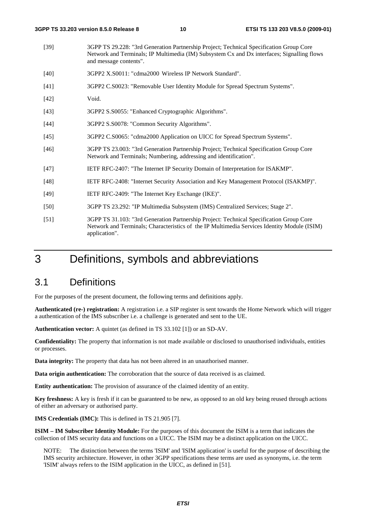- [39] 3GPP TS 29.228: "3rd Generation Partnership Project; Technical Specification Group Core Network and Terminals; IP Multimedia (IM) Subsystem Cx and Dx interfaces; Signalling flows and message contents".
- [40] 3GPP2 X.S0011: "cdma2000 Wireless IP Network Standard".
- [41] 3GPP2 C.S0023: "Removable User Identity Module for Spread Spectrum Systems".
- [42] Void.
- [43] 3GPP2 S.S0055: "Enhanced Cryptographic Algorithms".
- [44] 3GPP2 S.S0078: "Common Security Algorithms".
- [45] 3GPP2 C.S0065: "cdma2000 Application on UICC for Spread Spectrum Systems".
- [46] 3GPP TS 23.003: "3rd Generation Partnership Project; Technical Specification Group Core Network and Terminals; Numbering, addressing and identification".
- [47] IETF RFC-2407: "The Internet IP Security Domain of Interpretation for ISAKMP".
- [48] IETF RFC-2408: "Internet Security Association and Key Management Protocol (ISAKMP)".
- [49] IETF RFC-2409: "The Internet Key Exchange (IKE)".
- [50] 3GPP TS 23.292: "IP Multimedia Subsystem (IMS) Centralized Services; Stage 2".
- [51] 3GPP TS 31.103: "3rd Generation Partnership Project: Technical Specification Group Core Network and Terminals; Characteristics of the IP Multimedia Services Identity Module (ISIM) application".

### 3 Definitions, symbols and abbreviations

### 3.1 Definitions

For the purposes of the present document, the following terms and definitions apply.

**Authenticated (re-) registration:** A registration i.e. a SIP register is sent towards the Home Network which will trigger a authentication of the IMS subscriber i.e. a challenge is generated and sent to the UE.

**Authentication vector:** A quintet (as defined in TS 33.102 [1]) or an SD-AV.

**Confidentiality:** The property that information is not made available or disclosed to unauthorised individuals, entities or processes.

**Data integrity:** The property that data has not been altered in an unauthorised manner.

**Data origin authentication:** The corroboration that the source of data received is as claimed.

**Entity authentication:** The provision of assurance of the claimed identity of an entity.

**Key freshness:** A key is fresh if it can be guaranteed to be new, as opposed to an old key being reused through actions of either an adversary or authorised party.

**IMS Credentials (IMC):** This is defined in TS 21.905 [7].

**ISIM – IM Subscriber Identity Module:** For the purposes of this document the ISIM is a term that indicates the collection of IMS security data and functions on a UICC. The ISIM may be a distinct application on the UICC.

NOTE: The distinction between the terms 'ISIM' and 'ISIM application' is useful for the purpose of describing the IMS security architecture. However, in other 3GPP specifications these terms are used as synonyms, i.e. the term 'ISIM' always refers to the ISIM application in the UICC, as defined in [51].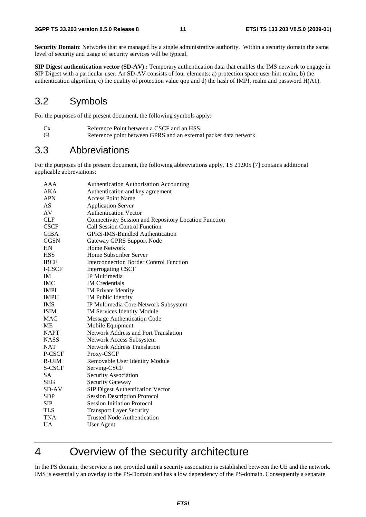**Security Domain**: Networks that are managed by a single administrative authority. Within a security domain the same level of security and usage of security services will be typical.

**SIP Digest authentication vector (SD-AV) :** Temporary authentication data that enables the IMS network to engage in SIP Digest with a particular user. An SD-AV consists of four elements: a) protection space user hint realm, b) the authentication algorithm, c) the quality of protection value qop and d) the hash of IMPI, realm and password H(A1).

### 3.2 Symbols

For the purposes of the present document, the following symbols apply:

- Cx Reference Point between a CSCF and an HSS.
- Gi Reference point between GPRS and an external packet data network

### 3.3 Abbreviations

For the purposes of the present document, the following abbreviations apply, TS 21.905 [7] contains additional applicable abbreviations:

| AAA         | <b>Authentication Authorisation Accounting</b>        |
|-------------|-------------------------------------------------------|
| AKA         | Authentication and key agreement                      |
| <b>APN</b>  | <b>Access Point Name</b>                              |
| AS          | <b>Application Server</b>                             |
| AV          | <b>Authentication Vector</b>                          |
| <b>CLF</b>  | Connectivity Session and Repository Location Function |
| <b>CSCF</b> | <b>Call Session Control Function</b>                  |
| <b>GIBA</b> | <b>GPRS-IMS-Bundled Authentication</b>                |
| <b>GGSN</b> | <b>Gateway GPRS Support Node</b>                      |
| HN          | Home Network                                          |
| <b>HSS</b>  | Home Subscriber Server                                |
| <b>IBCF</b> | <b>Interconnection Border Control Function</b>        |
| I-CSCF      | <b>Interrogating CSCF</b>                             |
| <b>IM</b>   | <b>IP</b> Multimedia                                  |
| <b>IMC</b>  | <b>IM</b> Credentials                                 |
| <b>IMPI</b> | <b>IM Private Identity</b>                            |
| <b>IMPU</b> | <b>IM</b> Public Identity                             |
| <b>IMS</b>  | IP Multimedia Core Network Subsystem                  |
| <b>ISIM</b> | <b>IM Services Identity Module</b>                    |
| <b>MAC</b>  | Message Authentication Code                           |
| <b>ME</b>   | Mobile Equipment                                      |
| <b>NAPT</b> | <b>Network Address and Port Translation</b>           |
| <b>NASS</b> | Network Access Subsystem                              |
| <b>NAT</b>  | <b>Network Address Translation</b>                    |
| P-CSCF      | Proxy-CSCF                                            |
| R-UIM       | Removable User Identity Module                        |
| S-CSCF      | Serving-CSCF                                          |
| <b>SA</b>   | Security Association                                  |
| <b>SEG</b>  | <b>Security Gateway</b>                               |
| SD-AV       | SIP Digest Authentication Vector                      |
| <b>SDP</b>  | <b>Session Description Protocol</b>                   |
| <b>SIP</b>  | <b>Session Initiation Protocol</b>                    |
| <b>TLS</b>  | <b>Transport Layer Security</b>                       |
| <b>TNA</b>  | <b>Trusted Node Authentication</b>                    |
| <b>UA</b>   | User Agent                                            |

### 4 Overview of the security architecture

In the PS domain, the service is not provided until a security association is established between the UE and the network. IMS is essentially an overlay to the PS-Domain and has a low dependency of the PS-domain. Consequently a separate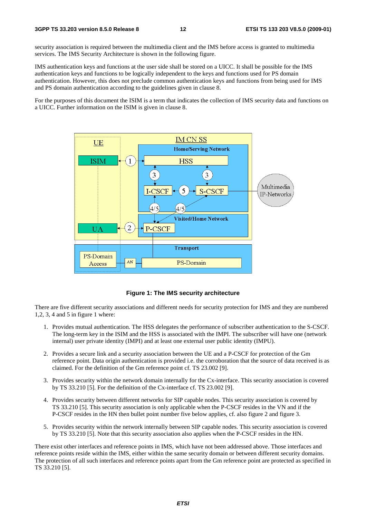security association is required between the multimedia client and the IMS before access is granted to multimedia services. The IMS Security Architecture is shown in the following figure.

IMS authentication keys and functions at the user side shall be stored on a UICC. It shall be possible for the IMS authentication keys and functions to be logically independent to the keys and functions used for PS domain authentication. However, this does not preclude common authentication keys and functions from being used for IMS and PS domain authentication according to the guidelines given in clause 8.

For the purposes of this document the ISIM is a term that indicates the collection of IMS security data and functions on a UICC. Further information on the ISIM is given in clause 8.



**Figure 1: The IMS security architecture** 

There are five different security associations and different needs for security protection for IMS and they are numbered 1,2, 3, 4 and 5 in figure 1 where:

- 1. Provides mutual authentication. The HSS delegates the performance of subscriber authentication to the S-CSCF. The long-term key in the ISIM and the HSS is associated with the IMPI. The subscriber will have one (network internal) user private identity (IMPI) and at least one external user public identity (IMPU).
- 2. Provides a secure link and a security association between the UE and a P-CSCF for protection of the Gm reference point. Data origin authentication is provided i.e. the corroboration that the source of data received is as claimed. For the definition of the Gm reference point cf. TS 23.002 [9].
- 3. Provides security within the network domain internally for the Cx-interface. This security association is covered by TS 33.210 [5]. For the definition of the Cx-interface cf. TS 23.002 [9].
- 4. Provides security between different networks for SIP capable nodes. This security association is covered by TS 33.210 [5]. This security association is only applicable when the P-CSCF resides in the VN and if the P-CSCF resides in the HN then bullet point number five below applies, cf. also figure 2 and figure 3.
- 5. Provides security within the network internally between SIP capable nodes. This security association is covered by TS 33.210 [5]. Note that this security association also applies when the P-CSCF resides in the HN.

There exist other interfaces and reference points in IMS, which have not been addressed above. Those interfaces and reference points reside within the IMS, either within the same security domain or between different security domains. The protection of all such interfaces and reference points apart from the Gm reference point are protected as specified in TS 33.210 [5].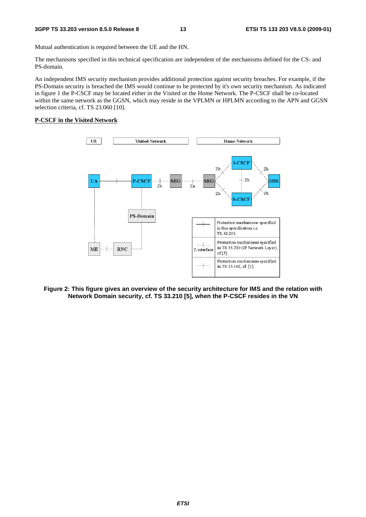Mutual authentication is required between the UE and the HN.

The mechanisms specified in this technical specification are independent of the mechanisms defined for the CS- and PS-domain.

An independent IMS security mechanism provides additional protection against security breaches. For example, if the PS-Domain security is breached the IMS would continue to be protected by it's own security mechanism. As indicated in figure 1 the P-CSCF may be located either in the Visited or the Home Network. The P-CSCF shall be co-located within the same network as the GGSN, which may reside in the VPLMN or HPLMN according to the APN and GGSN selection criteria, cf. TS 23.060 [10].

#### **P-CSCF in the Visited Network**



**Figure 2: This figure gives an overview of the security architecture for IMS and the relation with Network Domain security, cf. TS 33.210 [5], when the P-CSCF resides in the VN**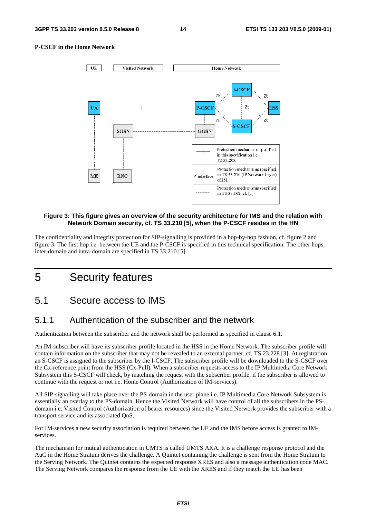#### **P-CSCF in the Home Network**



#### **Figure 3: This figure gives an overview of the security architecture for IMS and the relation with Network Domain security, cf. TS 33.210 [5], when the P-CSCF resides in the HN**

The confidentiality and integrity protection for SIP-signalling is provided in a hop-by-hop fashion, cf. figure 2 and figure 3. The first hop i.e. between the UE and the P-CSCF is specified in this technical specification. The other hops, inter-domain and intra-domain are specified in TS 33.210 [5].

### 5 Security features

### 5.1 Secure access to IMS

### 5.1.1 Authentication of the subscriber and the network

Authentication between the subscriber and the network shall be performed as specified in clause 6.1.

An IM-subscriber will have its subscriber profile located in the HSS in the Home Network. The subscriber profile will contain information on the subscriber that may not be revealed to an external partner, cf. TS 23.228 [3]. At registration an S-CSCF is assigned to the subscriber by the I-CSCF. The subscriber profile will be downloaded to the S-CSCF over the Cx-reference point from the HSS (Cx-Pull). When a subscriber requests access to the IP Multimedia Core Network Subsystem this S-CSCF will check, by matching the request with the subscriber profile, if the subscriber is allowed to continue with the request or not i.e. Home Control (Authorization of IM-services).

All SIP-signalling will take place over the PS-domain in the user plane i.e. IP Multimedia Core Network Subsystem is essentially an overlay to the PS-domain. Hence the Visited Network will have control of all the subscribers in the PSdomain i.e. Visited Control (Authorization of bearer resources) since the Visited Network provides the subscriber with a transport service and its associated QoS.

For IM-services a new security association is required between the UE and the IMS before access is granted to IMservices.

The mechanism for mutual authentication in UMTS is called UMTS AKA. It is a challenge response protocol and the AuC in the Home Stratum derives the challenge. A Quintet containing the challenge is sent from the Home Stratum to the Serving Network. The Quintet contains the expected response XRES and also a message authentication code MAC. The Serving Network compares the response from the UE with the XRES and if they match the UE has been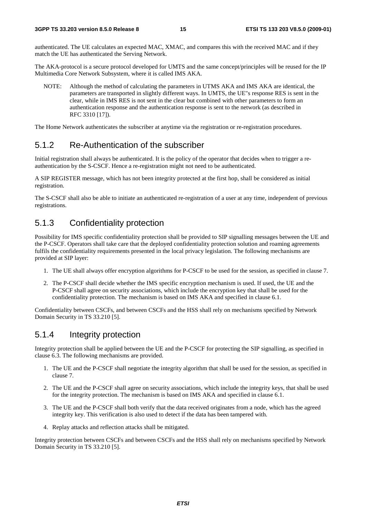authenticated. The UE calculates an expected MAC, XMAC, and compares this with the received MAC and if they match the UE has authenticated the Serving Network.

The AKA-protocol is a secure protocol developed for UMTS and the same concept/principles will be reused for the IP Multimedia Core Network Subsystem, where it is called IMS AKA.

NOTE: Although the method of calculating the parameters in UTMS AKA and IMS AKA are identical, the parameters are transported in slightly different ways. In UMTS, the UE"s response RES is sent in the clear, while in IMS RES is not sent in the clear but combined with other parameters to form an authentication response and the authentication response is sent to the network (as described in RFC 3310 [17]).

The Home Network authenticates the subscriber at anytime via the registration or re-registration procedures.

### 5.1.2 Re-Authentication of the subscriber

Initial registration shall always be authenticated. It is the policy of the operator that decides when to trigger a reauthentication by the S-CSCF. Hence a re-registration might not need to be authenticated.

A SIP REGISTER message, which has not been integrity protected at the first hop, shall be considered as initial registration.

The S-CSCF shall also be able to initiate an authenticated re-registration of a user at any time, independent of previous registrations.

### 5.1.3 Confidentiality protection

Possibility for IMS specific confidentiality protection shall be provided to SIP signalling messages between the UE and the P-CSCF. Operators shall take care that the deployed confidentiality protection solution and roaming agreements fulfils the confidentiality requirements presented in the local privacy legislation. The following mechanisms are provided at SIP layer:

- 1. The UE shall always offer encryption algorithms for P-CSCF to be used for the session, as specified in clause 7.
- 2. The P-CSCF shall decide whether the IMS specific encryption mechanism is used. If used, the UE and the P-CSCF shall agree on security associations, which include the encryption key that shall be used for the confidentiality protection. The mechanism is based on IMS AKA and specified in clause 6.1.

Confidentiality between CSCFs, and between CSCFs and the HSS shall rely on mechanisms specified by Network Domain Security in TS 33.210 [5].

#### 5.1.4 Integrity protection

Integrity protection shall be applied between the UE and the P-CSCF for protecting the SIP signalling, as specified in clause 6.3. The following mechanisms are provided.

- 1. The UE and the P-CSCF shall negotiate the integrity algorithm that shall be used for the session, as specified in clause 7.
- 2. The UE and the P-CSCF shall agree on security associations, which include the integrity keys, that shall be used for the integrity protection. The mechanism is based on IMS AKA and specified in clause 6.1.
- 3. The UE and the P-CSCF shall both verify that the data received originates from a node, which has the agreed integrity key. This verification is also used to detect if the data has been tampered with.
- 4. Replay attacks and reflection attacks shall be mitigated.

Integrity protection between CSCFs and between CSCFs and the HSS shall rely on mechanisms specified by Network Domain Security in TS 33.210 [5].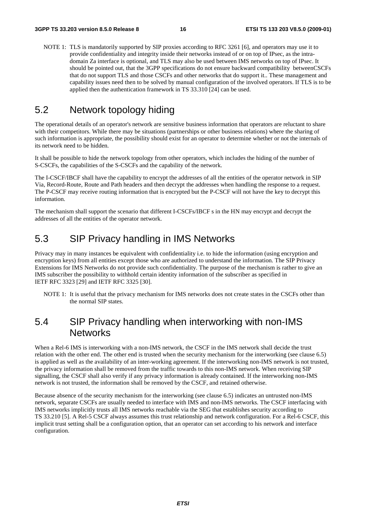NOTE 1: TLS is mandatorily supported by SIP proxies according to RFC 3261 [6], and operators may use it to provide confidentiality and integrity inside their networks instead of or on top of IPsec, as the intradomain Za interface is optional, and TLS may also be used between IMS networks on top of IPsec. It should be pointed out, that the 3GPP specifications do not ensure backward compatibility betweenCSCFs that do not support TLS and those CSCFs and other networks that do support it.. These management and capability issues need then to be solved by manual configuration of the involved operators. If TLS is to be applied then the authentication framework in TS 33.310 [24] can be used.

### 5.2 Network topology hiding

The operational details of an operator's network are sensitive business information that operators are reluctant to share with their competitors. While there may be situations (partnerships or other business relations) where the sharing of such information is appropriate, the possibility should exist for an operator to determine whether or not the internals of its network need to be hidden.

It shall be possible to hide the network topology from other operators, which includes the hiding of the number of S-CSCFs, the capabilities of the S-CSCFs and the capability of the network.

The I-CSCF/IBCF shall have the capability to encrypt the addresses of all the entities of the operator network in SIP Via, Record-Route, Route and Path headers and then decrypt the addresses when handling the response to a request. The P-CSCF may receive routing information that is encrypted but the P-CSCF will not have the key to decrypt this information.

The mechanism shall support the scenario that different I-CSCFs/IBCF s in the HN may encrypt and decrypt the addresses of all the entities of the operator network.

### 5.3 SIP Privacy handling in IMS Networks

Privacy may in many instances be equivalent with confidentiality i.e. to hide the information (using encryption and encryption keys) from all entities except those who are authorized to understand the information. The SIP Privacy Extensions for IMS Networks do not provide such confidentiality. The purpose of the mechanism is rather to give an IMS subscriber the possibility to withhold certain identity information of the subscriber as specified in IETF RFC 3323 [29] and IETF RFC 3325 [30].

NOTE 1: It is useful that the privacy mechanism for IMS networks does not create states in the CSCFs other than the normal SIP states.

### 5.4 SIP Privacy handling when interworking with non-IMS **Networks**

When a Rel-6 IMS is interworking with a non-IMS network, the CSCF in the IMS network shall decide the trust relation with the other end. The other end is trusted when the security mechanism for the interworking (see clause 6.5) is applied as well as the availability of an inter-working agreement. If the interworking non-IMS network is not trusted, the privacy information shall be removed from the traffic towards to this non-IMS network. When receiving SIP signalling, the CSCF shall also verify if any privacy information is already contained. If the interworking non-IMS network is not trusted, the information shall be removed by the CSCF, and retained otherwise.

Because absence of the security mechanism for the interworking (see clause 6.5) indicates an untrusted non-IMS network, separate CSCFs are usually needed to interface with IMS and non-IMS networks. The CSCF interfacing with IMS networks implicitly trusts all IMS networks reachable via the SEG that establishes security according to TS 33.210 [5]. A Rel-5 CSCF always assumes this trust relationship and network configuration. For a Rel-6 CSCF, this implicit trust setting shall be a configuration option, that an operator can set according to his network and interface configuration.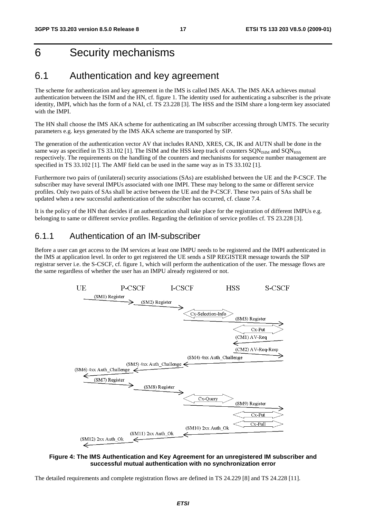### 6 Security mechanisms

### 6.1 Authentication and key agreement

The scheme for authentication and key agreement in the IMS is called IMS AKA. The IMS AKA achieves mutual authentication between the ISIM and the HN, cf. figure 1. The identity used for authenticating a subscriber is the private identity, IMPI, which has the form of a NAI, cf. TS 23.228 [3]. The HSS and the ISIM share a long-term key associated with the IMPI.

The HN shall choose the IMS AKA scheme for authenticating an IM subscriber accessing through UMTS. The security parameters e.g. keys generated by the IMS AKA scheme are transported by SIP.

The generation of the authentication vector AV that includes RAND, XRES, CK, IK and AUTN shall be done in the same way as specified in TS 33.102 [1]. The ISIM and the HSS keep track of counters  $SQN_{ISIM}$  and  $SQN_{HSS}$ respectively. The requirements on the handling of the counters and mechanisms for sequence number management are specified in TS 33.102 [1]. The AMF field can be used in the same way as in TS 33.102 [1].

Furthermore two pairs of (unilateral) security associations (SAs) are established between the UE and the P-CSCF. The subscriber may have several IMPUs associated with one IMPI. These may belong to the same or different service profiles. Only two pairs of SAs shall be active between the UE and the P-CSCF. These two pairs of SAs shall be updated when a new successful authentication of the subscriber has occurred, cf. clause 7.4.

It is the policy of the HN that decides if an authentication shall take place for the registration of different IMPUs e.g. belonging to same or different service profiles. Regarding the definition of service profiles cf. TS 23.228 [3].

#### 6.1.1 Authentication of an IM-subscriber

Before a user can get access to the IM services at least one IMPU needs to be registered and the IMPI authenticated in the IMS at application level. In order to get registered the UE sends a SIP REGISTER message towards the SIP registrar server i.e. the S-CSCF, cf. figure 1, which will perform the authentication of the user. The message flows are the same regardless of whether the user has an IMPU already registered or not.



#### **Figure 4: The IMS Authentication and Key Agreement for an unregistered IM subscriber and successful mutual authentication with no synchronization error**

The detailed requirements and complete registration flows are defined in TS 24.229 [8] and TS 24.228 [11].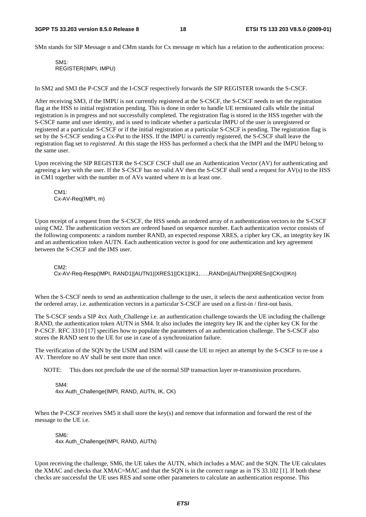SMn stands for SIP Message n and CMm stands for Cx message m which has a relation to the authentication process:

SM1: REGISTER(IMPI, IMPU)

In SM2 and SM3 the P-CSCF and the I-CSCF respectively forwards the SIP REGISTER towards the S-CSCF.

After receiving SM3, if the IMPU is not currently registered at the S-CSCF, the S-CSCF needs to set the registration flag at the HSS to initial registration pending. This is done in order to handle UE terminated calls while the initial registration is in progress and not successfully completed. The registration flag is stored in the HSS together with the S-CSCF name and user identity, and is used to indicate whether a particular IMPU of the user is unregistered or registered at a particular S-CSCF or if the initial registration at a particular S-CSCF is pending. The registration flag is set by the S-CSCF sending a Cx-Put to the HSS. If the IMPU is currently registered, the S-CSCF shall leave the registration flag set to *registered*. At this stage the HSS has performed a check that the IMPI and the IMPU belong to the same user.

Upon receiving the SIP REGISTER the S-CSCF CSCF shall use an Authentication Vector (AV) for authenticating and agreeing a key with the user. If the S-CSCF has no valid AV then the S-CSCF shall send a request for AV(s) to the HSS in CM1 together with the number m of AVs wanted where m is at least one.

CM1: Cx-AV-Req(IMPI, m)

Upon receipt of a request from the S-CSCF, the HSS sends an ordered array of *n* authentication vectors to the S-CSCF using CM2. The authentication vectors are ordered based on sequence number. Each authentication vector consists of the following components: a random number RAND, an expected response XRES, a cipher key CK, an integrity key IK and an authentication token AUTN. Each authentication vector is good for one authentication and key agreement between the S-CSCF and the IMS user.

 $C$ M<sub>2</sub> $\cdot$ 

Cx-AV-Req-Resp(IMPI, RAND1||AUTN1||XRES1||CK1||IK1,….,RANDn||AUTNn||XRESn||CKn||IKn)

When the S-CSCF needs to send an authentication challenge to the user, it selects the next authentication vector from the ordered array, i.e. authentication vectors in a particular S-CSCF are used on a first-in / first-out basis.

The S-CSCF sends a SIP 4xx Auth\_Challenge i.e. an authentication challenge towards the UE including the challenge RAND, the authentication token AUTN in SM4. It also includes the integrity key IK and the cipher key CK for the P-CSCF. RFC 3310 [17] specifies how to populate the parameters of an authentication challenge. The S-CSCF also stores the RAND sent to the UE for use in case of a synchronization failure.

The verification of the SQN by the USIM and ISIM will cause the UE to reject an attempt by the S-CSCF to re-use a AV. Therefore no AV shall be sent more than once.

NOTE: This does not preclude the use of the normal SIP transaction layer re-transmission procedures.

SM4: 4xx Auth\_Challenge(IMPI, RAND, AUTN, IK, CK)

When the P-CSCF receives SM5 it shall store the key(s) and remove that information and forward the rest of the message to the UE i.e.

SM6: 4xx Auth\_Challenge(IMPI, RAND, AUTN)

Upon receiving the challenge, SM6, the UE takes the AUTN, which includes a MAC and the SQN. The UE calculates the XMAC and checks that XMAC=MAC and that the SQN is in the correct range as in TS 33.102 [1]. If both these checks are successful the UE uses RES and some other parameters to calculate an authentication response. This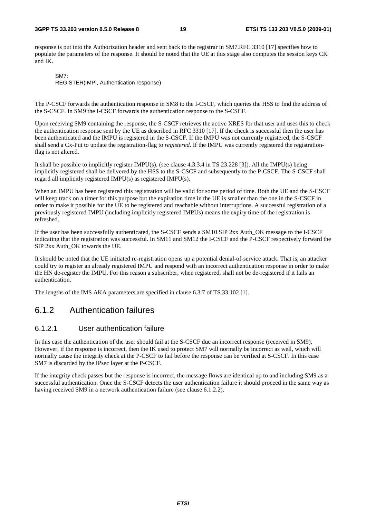#### **3GPP TS 33.203 version 8.5.0 Release 8 19 ETSI TS 133 203 V8.5.0 (2009-01)**

response is put into the Authorization header and sent back to the registrar in SM7.RFC 3310 [17] specifies how to populate the parameters of the response. It should be noted that the UE at this stage also computes the session keys CK and IK.

SM7: REGISTER(IMPI, Authentication response)

The P-CSCF forwards the authentication response in SM8 to the I-CSCF, which queries the HSS to find the address of the S-CSCF. In SM9 the I-CSCF forwards the authentication response to the S-CSCF.

Upon receiving SM9 containing the response, the S-CSCF retrieves the active XRES for that user and uses this to check the authentication response sent by the UE as described in RFC 3310 [17]. If the check is successful then the user has been authenticated and the IMPU is registered in the S-CSCF. If the IMPU was not currently registered, the S-CSCF shall send a Cx-Put to update the registration-flag to *registered*. If the IMPU was currently registered the registrationflag is not altered.

It shall be possible to implicitly register IMPU(s). (see clause 4.3.3.4 in TS 23.228 [3]). All the IMPU(s) being implicitly registered shall be delivered by the HSS to the S-CSCF and subsequently to the P-CSCF. The S-CSCF shall regard all implicitly registered IMPU(s) as registered IMPU(s).

When an IMPU has been registered this registration will be valid for some period of time. Both the UE and the S-CSCF will keep track on a timer for this purpose but the expiration time in the UE is smaller than the one in the S-CSCF in order to make it possible for the UE to be registered and reachable without interruptions. A successful registration of a previously registered IMPU (including implicitly registered IMPUs) means the expiry time of the registration is refreshed.

If the user has been successfully authenticated, the S-CSCF sends a SM10 SIP 2xx Auth\_OK message to the I-CSCF indicating that the registration was successful. In SM11 and SM12 the I-CSCF and the P-CSCF respectively forward the SIP 2xx Auth\_OK towards the UE.

It should be noted that the UE initiated re-registration opens up a potential denial-of-service attack. That is, an attacker could try to register an already registered IMPU and respond with an incorrect authentication response in order to make the HN de-register the IMPU. For this reason a subscriber, when registered, shall not be de-registered if it fails an authentication.

The lengths of the IMS AKA parameters are specified in clause 6.3.7 of TS 33.102 [1].

### 6.1.2 Authentication failures

#### 6.1.2.1 User authentication failure

In this case the authentication of the user should fail at the S-CSCF due an incorrect response (received in SM9). However, if the response is incorrect, then the IK used to protect SM7 will normally be incorrect as well, which will normally cause the integrity check at the P-CSCF to fail before the response can be verified at S-CSCF. In this case SM7 is discarded by the IPsec layer at the P-CSCF.

If the integrity check passes but the response is incorrect, the message flows are identical up to and including SM9 as a successful authentication. Once the S-CSCF detects the user authentication failure it should proceed in the same way as having received SM9 in a network authentication failure (see clause 6.1.2.2).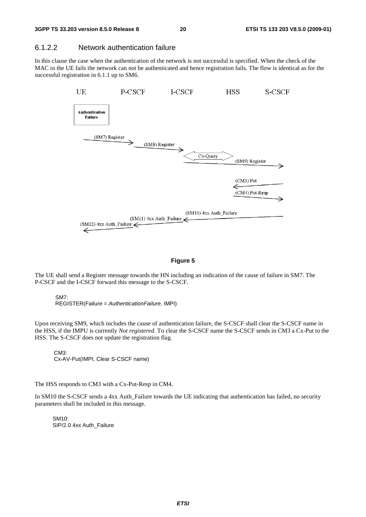#### 6.1.2.2 Network authentication failure

In this clause the case when the authentication of the network is not successful is specified. When the check of the MAC in the UE fails the network can not be authenticated and hence registration fails. The flow is identical as for the successful registration in 6.1.1 up to SM6.



#### **Figure 5**

The UE shall send a Register message towards the HN including an indication of the cause of failure in SM7. The P-CSCF and the I-CSCF forward this message to the S-CSCF.

SM7: REGISTER(Failure = *AuthenticationFailure*, IMPI)

Upon receiving SM9, which includes the cause of authentication failure, the S-CSCF shall clear the S-CSCF name in the HSS, if the IMPU is currently *Not registered*. To clear the S-CSCF name the S-CSCF sends in CM3 a Cx-Put to the HSS. The S-CSCF does not update the registration flag.

CM3: Cx-AV-Put(IMPI, Clear S-CSCF name)

The HSS responds to CM3 with a Cx-Put-Resp in CM4.

In SM10 the S-CSCF sends a 4xx Auth\_Failure towards the UE indicating that authentication has failed, no security parameters shall be included in this message.

SM10: SIP/2.0 4xx Auth\_Failure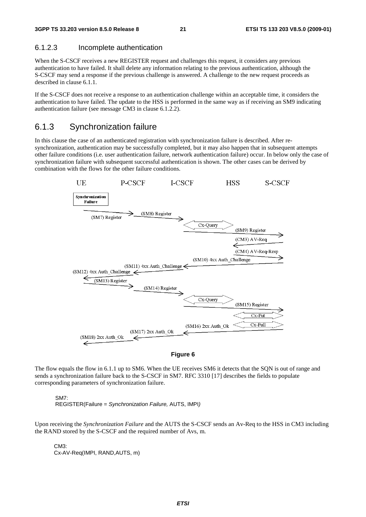#### 6.1.2.3 Incomplete authentication

When the S-CSCF receives a new REGISTER request and challenges this request, it considers any previous authentication to have failed. It shall delete any information relating to the previous authentication, although the S-CSCF may send a response if the previous challenge is answered. A challenge to the new request proceeds as described in clause 6.1.1.

If the S-CSCF does not receive a response to an authentication challenge within an acceptable time, it considers the authentication to have failed. The update to the HSS is performed in the same way as if receiving an SM9 indicating authentication failure (see message CM3 in clause 6.1.2.2).

#### 6.1.3 Synchronization failure

In this clause the case of an authenticated registration with synchronization failure is described. After resynchronization, authentication may be successfully completed, but it may also happen that in subsequent attempts other failure conditions (i.e. user authentication failure, network authentication failure) occur. In below only the case of synchronization failure with subsequent successful authentication is shown. The other cases can be derived by combination with the flows for the other failure conditions.





The flow equals the flow in 6.1.1 up to SM6. When the UE receives SM6 it detects that the SQN is out of range and sends a synchronization failure back to the S-CSCF in SM7. RFC 3310 [17] describes the fields to populate corresponding parameters of synchronization failure.

SM7: REGISTER(Failure = *Synchronization Failure,* AUTS, IMPI*)*

Upon receiving the *Synchronization Failure* and the AUTS the S-CSCF sends an Av-Req to the HSS in CM3 including the RAND stored by the S-CSCF and the required number of Avs, m.

CM3: Cx-AV-Req(IMPI, RAND,AUTS, m)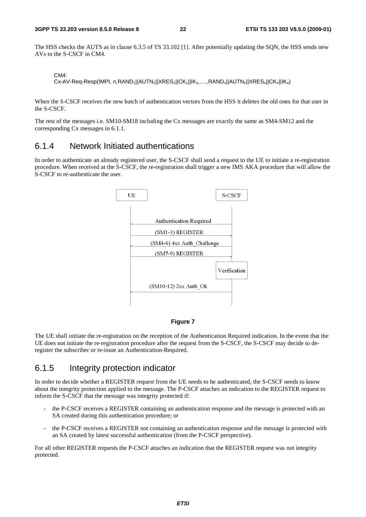The HSS checks the AUTS as in clause 6.3.5 of TS 33.102 [1]. After potentially updating the SQN, the HSS sends new AVs to the S-CSCF in CM4.

CM4:

Cx-AV-Req-Resp(IMPI, n,RAND<sub>1</sub>||AUTN<sub>1</sub>||XRES<sub>1</sub>||CK<sub>1</sub>||IK<sub>1</sub>,....,RAND<sub>n</sub>||AUTN<sub>n</sub>||XRES<sub>n</sub>||CK<sub>n</sub>||IK<sub>n</sub>)

When the S-CSCF receives the new batch of authentication vectors from the HSS it deletes the old ones for that user in the S-CSCF.

The rest of the messages i.e. SM10-SM18 including the Cx messages are exactly the same as SM4-SM12 and the corresponding Cx messages in 6.1.1.

### 6.1.4 Network Initiated authentications

In order to authenticate an already registered user, the S-CSCF shall send a request to the UE to initiate a re-registration procedure. When received at the S-CSCF, the re-registration shall trigger a new IMS AKA procedure that will allow the S-CSCF to re-authenticate the user.



#### **Figure 7**

The UE shall initiate the re-registration on the reception of the Authentication Required indication. In the event that the UE does not initiate the re-registration procedure after the request from the S-CSCF, the S-CSCF may decide to deregister the subscriber or re-issue an Authentication-Required.

#### 6.1.5 Integrity protection indicator

In order to decide whether a REGISTER request from the UE needs to be authenticated, the S-CSCF needs to know about the integrity protection applied to the message. The P-CSCF attaches an indication to the REGISTER request to inform the S-CSCF that the message was integrity protected if:

- the P-CSCF receives a REGISTER containing an authentication response and the message is protected with an SA created during this authentication procedure; or
- the P-CSCF receives a REGISTER not containing an authentication response and the message is protected with an SA created by latest successful authentication (from the P-CSCF perspective).

For all other REGISTER requests the P-CSCF attaches an indication that the REGISTER request was not integrity protected.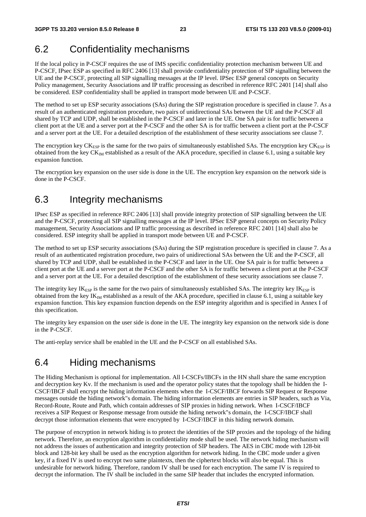### 6.2 Confidentiality mechanisms

If the local policy in P-CSCF requires the use of IMS specific confidentiality protection mechanism between UE and P-CSCF, IPsec ESP as specified in RFC 2406 [13] shall provide confidentiality protection of SIP signalling between the UE and the P-CSCF, protecting all SIP signalling messages at the IP level. IPSec ESP general concepts on Security Policy management, Security Associations and IP traffic processing as described in reference RFC 2401 [14] shall also be considered. ESP confidentiality shall be applied in transport mode between UE and P-CSCF.

The method to set up ESP security associations (SAs) during the SIP registration procedure is specified in clause 7. As a result of an authenticated registration procedure, two pairs of unidirectional SAs between the UE and the P-CSCF all shared by TCP and UDP, shall be established in the P-CSCF and later in the UE. One SA pair is for traffic between a client port at the UE and a server port at the P-CSCF and the other SA is for traffic between a client port at the P-CSCF and a server port at the UE. For a detailed description of the establishment of these security associations see clause 7.

The encryption key  $CK_{ESP}$  is the same for the two pairs of simultaneously established SAs. The encryption key  $CK_{ESP}$  is obtained from the key  $CK_{IM}$  established as a result of the AKA procedure, specified in clause 6.1, using a suitable key expansion function.

The encryption key expansion on the user side is done in the UE. The encryption key expansion on the network side is done in the P-CSCF.

### 6.3 Integrity mechanisms

IPsec ESP as specified in reference RFC 2406 [13] shall provide integrity protection of SIP signalling between the UE and the P-CSCF, protecting all SIP signalling messages at the IP level. IPSec ESP general concepts on Security Policy management, Security Associations and IP traffic processing as described in reference RFC 2401 [14] shall also be considered. ESP integrity shall be applied in transport mode between UE and P-CSCF.

The method to set up ESP security associations (SAs) during the SIP registration procedure is specified in clause 7. As a result of an authenticated registration procedure, two pairs of unidirectional SAs between the UE and the P-CSCF, all shared by TCP and UDP, shall be established in the P-CSCF and later in the UE. One SA pair is for traffic between a client port at the UE and a server port at the P-CSCF and the other SA is for traffic between a client port at the P-CSCF and a server port at the UE. For a detailed description of the establishment of these security associations see clause 7.

The integrity key  $IK<sub>ESP</sub>$  is the same for the two pairs of simultaneously established SAs. The integrity key  $IK<sub>ESP</sub>$  is obtained from the key  $IK_{IM}$  established as a result of the AKA procedure, specified in clause 6.1, using a suitable key expansion function. This key expansion function depends on the ESP integrity algorithm and is specified in Annex I of this specification.

The integrity key expansion on the user side is done in the UE. The integrity key expansion on the network side is done in the P-CSCF.

The anti-replay service shall be enabled in the UE and the P-CSCF on all established SAs.

### 6.4 Hiding mechanisms

The Hiding Mechanism is optional for implementation. All I-CSCFs/IBCFs in the HN shall share the same encryption and decryption key Kv. If the mechanism is used and the operator policy states that the topology shall be hidden the I-CSCF/IBCF shall encrypt the hiding information elements when the I-CSCF/IBCF forwards SIP Request or Response messages outside the hiding network"s domain. The hiding information elements are entries in SIP headers, such as Via, Record-Route, Route and Path, which contain addresses of SIP proxies in hiding network. When I-CSCF/IBCF receives a SIP Request or Response message from outside the hiding network"s domain, the I-CSCF/IBCF shall decrypt those information elements that were encrypted by I-CSCF/IBCF in this hiding network domain.

The purpose of encryption in network hiding is to protect the identities of the SIP proxies and the topology of the hiding network. Therefore, an encryption algorithm in confidentiality mode shall be used. The network hiding mechanism will not address the issues of authentication and integrity protection of SIP headers. The AES in CBC mode with 128-bit block and 128-bit key shall be used as the encryption algorithm for network hiding. In the CBC mode under a given key, if a fixed IV is used to encrypt two same plaintexts, then the ciphertext blocks will also be equal. This is undesirable for network hiding. Therefore, random IV shall be used for each encryption. The same IV is required to decrypt the information. The IV shall be included in the same SIP header that includes the encrypted information.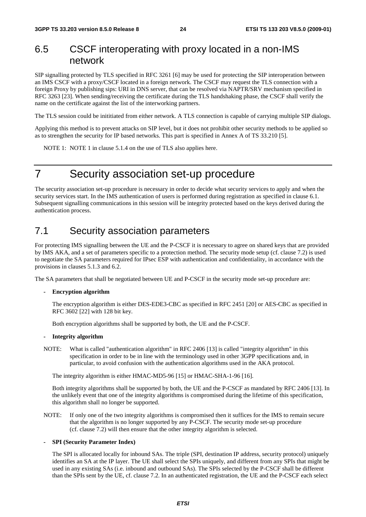### 6.5 CSCF interoperating with proxy located in a non-IMS network

SIP signalling protected by TLS specified in RFC 3261 [6] may be used for protecting the SIP interoperation between an IMS CSCF with a proxy/CSCF located in a foreign network. The CSCF may request the TLS connection with a foreign Proxy by publishing sips: URI in DNS server, that can be resolved via NAPTR/SRV mechanism specified in RFC 3263 [23]. When sending/receiving the certificate during the TLS handshaking phase, the CSCF shall verify the name on the certificate against the list of the interworking partners.

The TLS session could be inititiated from either network. A TLS connection is capable of carrying multiple SIP dialogs.

Applying this method is to prevent attacks on SIP level, but it does not prohibit other security methods to be applied so as to strengthen the security for IP based networks. This part is specified in Annex A of TS 33.210 [5].

NOTE 1: NOTE 1 in clause 5.1.4 on the use of TLS also applies here.

## 7 Security association set-up procedure

The security association set-up procedure is necessary in order to decide what security services to apply and when the security services start. In the IMS authentication of users is performed during registration as specified in clause 6.1. Subsequent signalling communications in this session will be integrity protected based on the keys derived during the authentication process.

### 7.1 Security association parameters

For protecting IMS signalling between the UE and the P-CSCF it is necessary to agree on shared keys that are provided by IMS AKA, and a set of parameters specific to a protection method. The security mode setup (cf. clause 7.2) is used to negotiate the SA parameters required for IPsec ESP with authentication and confidentiality, in accordance with the provisions in clauses 5.1.3 and 6.2.

The SA parameters that shall be negotiated between UE and P-CSCF in the security mode set-up procedure are:

#### **- Encryption algorithm**

 The encryption algorithm is either DES-EDE3-CBC as specified in RFC 2451 [20] or AES-CBC as specified in RFC 3602 [22] with 128 bit key.

Both encryption algorithms shall be supported by both, the UE and the P-CSCF.

#### **- Integrity algorithm**

NOTE: What is called "authentication algorithm" in RFC 2406 [13] is called "integrity algorithm" in this specification in order to be in line with the terminology used in other 3GPP specifications and, in particular, to avoid confusion with the authentication algorithms used in the AKA protocol.

The integrity algorithm is either HMAC-MD5-96 [15] or HMAC-SHA-1-96 [16].

 Both integrity algorithms shall be supported by both, the UE and the P-CSCF as mandated by RFC 2406 [13]. In the unlikely event that one of the integrity algorithms is compromised during the lifetime of this specification, this algorithm shall no longer be supported.

NOTE: If only one of the two integrity algorithms is compromised then it suffices for the IMS to remain secure that the algorithm is no longer supported by any P-CSCF. The security mode set-up procedure (cf. clause 7.2) will then ensure that the other integrity algorithm is selected.

#### **- SPI (Security Parameter Index)**

 The SPI is allocated locally for inbound SAs. The triple (SPI, destination IP address, security protocol) uniquely identifies an SA at the IP layer. The UE shall select the SPIs uniquely, and different from any SPIs that might be used in any existing SAs (i.e. inbound and outbound SAs). The SPIs selected by the P-CSCF shall be different than the SPIs sent by the UE, cf. clause 7.2. In an authenticated registration, the UE and the P-CSCF each select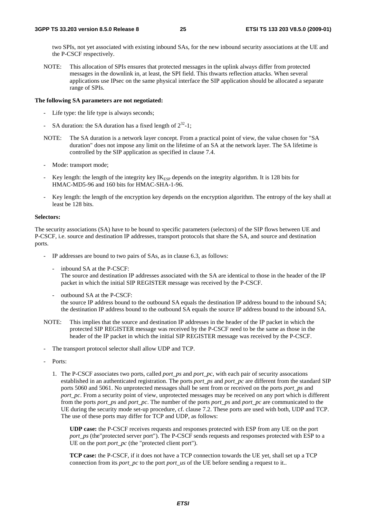two SPIs, not yet associated with existing inbound SAs, for the new inbound security associations at the UE and the P-CSCF respectively.

NOTE: This allocation of SPIs ensures that protected messages in the uplink always differ from protected messages in the downlink in, at least, the SPI field. This thwarts reflection attacks. When several applications use IPsec on the same physical interface the SIP application should be allocated a separate range of SPIs.

#### **The following SA parameters are not negotiated:**

- Life type: the life type is always seconds;
- SA duration: the SA duration has a fixed length of  $2^{32}$ -1;
- NOTE: The SA duration is a network layer concept. From a practical point of view, the value chosen for "SA duration" does not impose any limit on the lifetime of an SA at the network layer. The SA lifetime is controlled by the SIP application as specified in clause 7.4.
- Mode: transport mode;
- Key length: the length of the integrity key  $IK<sub>ESP</sub>$  depends on the integrity algorithm. It is 128 bits for HMAC-MD5-96 and 160 bits for HMAC-SHA-1-96.
- Key length: the length of the encryption key depends on the encryption algorithm. The entropy of the key shall at least be 128 bits.

#### **Selectors:**

The security associations (SA) have to be bound to specific parameters (selectors) of the SIP flows between UE and P-CSCF, i.e. source and destination IP addresses, transport protocols that share the SA, and source and destination ports.

- IP addresses are bound to two pairs of SAs, as in clause 6.3, as follows:
	- inbound SA at the P-CSCF: The source and destination IP addresses associated with the SA are identical to those in the header of the IP packet in which the initial SIP REGISTER message was received by the P-CSCF.
	- outbound SA at the P-CSCF: the source IP address bound to the outbound SA equals the destination IP address bound to the inbound SA; the destination IP address bound to the outbound SA equals the source IP address bound to the inbound SA.
- NOTE: This implies that the source and destination IP addresses in the header of the IP packet in which the protected SIP REGISTER message was received by the P-CSCF need to be the same as those in the header of the IP packet in which the initial SIP REGISTER message was received by the P-CSCF.
- The transport protocol selector shall allow UDP and TCP.
- Ports:
	- 1. The P-CSCF associates two ports, called *port\_ps* and *port\_pc*, with each pair of security assocations established in an authenticated registration. The ports *port\_ps* and *port\_pc* are different from the standard SIP ports 5060 and 5061. No unprotected messages shall be sent from or received on the ports *port\_ps* and *port\_pc*. From a security point of view, unprotected messages may be received on any port which is different from the ports *port\_ps* and *port\_pc*. The number of the ports *port\_ps* and *port\_pc* are communicated to the UE during the security mode set-up procedure, cf. clause 7.2. These ports are used with both, UDP and TCP. The use of these ports may differ for TCP and UDP, as follows:

 **UDP case:** the P-CSCF receives requests and responses protected with ESP from any UE on the port *port\_ps* (the "protected server port"). The P-CSCF sends requests and responses protected with ESP to a UE on the port *port pc* (the "protected client port").

 **TCP case:** the P-CSCF, if it does not have a TCP connection towards the UE yet, shall set up a TCP connection from its *port\_pc* to the port *port\_us* of the UE before sending a request to it...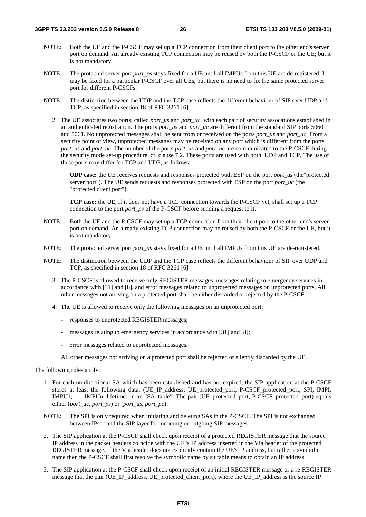- NOTE: Both the UE and the P-CSCF may set up a TCP connection from their client port to the other end's server port on demand. An already existing TCP connection may be reused by both the P-CSCF or the UE; but it is not mandatory.
- NOTE: The protected server port *port ps* stays fixed for a UE until all IMPUs from this UE are de-registered. It may be fixed for a particular P-CSCF over all UEs, but there is no need to fix the same protected server port for different P-CSCFs.
- NOTE: The distinction between the UDP and the TCP case reflects the different behaviour of SIP over UDP and TCP, as specified in section 18 of RFC 3261 [6].
	- 2. The UE associates two ports, called *port\_us* and *port\_uc*, with each pair of security assocations established in an authenticated registration. The ports *port\_us* and *port\_uc* are different from the standard SIP ports 5060 and 5061. No unprotected messages shall be sent from or received on the ports *port\_us* and *port\_uc*. From a security point of view, unprotected messages may be received on any port which is different from the ports *port\_us* and *port\_uc*. The number of the ports *port\_us* and *port\_uc* are communicated to the P-CSCF during the security mode set-up procedure, cf. clause 7.2. These ports are used with both, UDP and TCP. The use of these ports may differ for TCP and UDP, as follows:

**UDP case:** the UE receives requests and responses protected with ESP on the port *port\_us* (the"protected server port"). The UE sends requests and responses protected with ESP on the port *port\_uc* (the "protected client port").

**TCP case:** the UE, if it does not have a TCP connection towards the P-CSCF yet, shall set up a TCP connection to the port *port\_ps* of the P-CSCF before sending a request to it.

- NOTE: Both the UE and the P-CSCF may set up a TCP connection from their client port to the other end's server port on demand. An already existing TCP connection may be reused by both the P-CSCF or the UE, but it is not mandatory.
- NOTE: The protected server port *port* us stays fixed for a UE until all IMPUs from this UE are de-registered.
- NOTE: The distinction between the UDP and the TCP case reflects the different behaviour of SIP over UDP and TCP, as specified in section 18 of RFC 3261 [6]
	- 3. The P-CSCF is allowed to receive only REGISTER messages, messages relating to emergency services in accordance with [31] and [8], and error messages related to unprotected messages on unprotected ports. All other messages not arriving on a protected port shall be either discarded or rejected by the P-CSCF.
	- 4. The UE is allowed to receive only the following messages on an unprotected port:
		- responses to unprotected REGISTER messages;
		- messages relating to emergency services in accordance with [31] and [8];
		- error messages related to unprotected messages.

All other messages not arriving on a protected port shall be rejected or silently discarded by the UE.

The following rules apply:

- 1. For each unidirectional SA which has been established and has not expired, the SIP application at the P-CSCF stores at least the following data: (UE\_IP\_address, UE\_protected\_port, P-CSCF\_protected\_port, SPI, IMPI, IMPU1, ... , IMPUn, lifetime) in an "SA\_table". The pair (UE\_protected\_port, P-CSCF\_protected\_port) equals either (*port\_uc*, *port\_ps*) or (*port\_us*, *port\_pc*).
- NOTE: The SPI is only required when initiating and deleting SAs in the P-CSCF. The SPI is not exchanged between IPsec and the SIP layer for incoming or outgoing SIP messages.
- 2. The SIP application at the P-CSCF shall check upon receipt of a protected REGISTER message that the source IP address in the packet headers coincide with the UE"s IP address inserted in the Via header of the protected REGISTER message. If the Via header does not explicitly contain the UE's IP address, but rather a symbolic name then the P-CSCF shall first resolve the symbolic name by suitable means to obtain an IP address.
- 3. The SIP application at the P-CSCF shall check upon receipt of an initial REGISTER message or a re-REGISTER message that the pair (UE\_IP\_address, UE\_protected\_client\_port), where the UE\_IP\_address is the source IP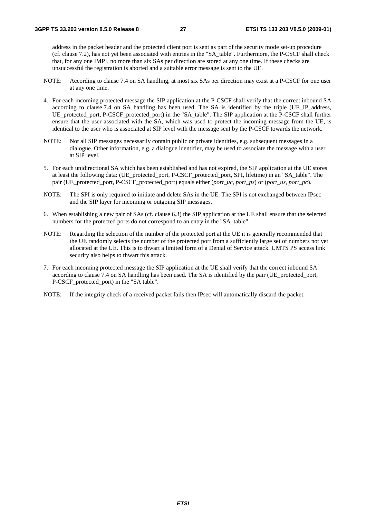address in the packet header and the protected client port is sent as part of the security mode set-up procedure (cf. clause 7.2), has not yet been associated with entries in the "SA\_table". Furthermore, the P-CSCF shall check that, for any one IMPI, no more than six SAs per direction are stored at any one time. If these checks are unsuccessful the registration is aborted and a suitable error message is sent to the UE.

- NOTE: According to clause 7.4 on SA handling, at most six SAs per direction may exist at a P-CSCF for one user at any one time.
- 4. For each incoming protected message the SIP application at the P-CSCF shall verify that the correct inbound SA according to clause 7.4 on SA handling has been used. The SA is identified by the triple (UE\_IP\_address, UE\_protected\_port, P-CSCF\_protected\_port) in the "SA\_table". The SIP application at the P-CSCF shall further ensure that the user associated with the SA, which was used to protect the incoming message from the UE, is identical to the user who is associated at SIP level with the message sent by the P-CSCF towards the network.
- NOTE: Not all SIP messages necessarily contain public or private identities, e.g. subsequent messages in a dialogue. Other information, e.g. a dialogue identifier, may be used to associate the message with a user at SIP level.
- 5. For each unidirectional SA which has been established and has not expired, the SIP application at the UE stores at least the following data: (UE\_protected\_port, P-CSCF\_protected\_port, SPI, lifetime) in an "SA\_table". The pair (UE\_protected\_port, P-CSCF\_protected\_port) equals either (*port\_uc, port\_ps*) or (*port\_us, port\_pc*).
- NOTE: The SPI is only required to initiate and delete SAs in the UE. The SPI is not exchanged between IPsec and the SIP layer for incoming or outgoing SIP messages.
- 6. When establishing a new pair of SAs (cf. clause 6.3) the SIP application at the UE shall ensure that the selected numbers for the protected ports do not correspond to an entry in the "SA\_table".
- NOTE: Regarding the selection of the number of the protected port at the UE it is generally recommended that the UE randomly selects the number of the protected port from a sufficiently large set of numbers not yet allocated at the UE. This is to thwart a limited form of a Denial of Service attack. UMTS PS access link security also helps to thwart this attack.
- 7. For each incoming protected message the SIP application at the UE shall verify that the correct inbound SA according to clause 7.4 on SA handling has been used. The SA is identified by the pair (UE\_protected\_port, P-CSCF\_protected\_port) in the "SA table".
- NOTE: If the integrity check of a received packet fails then IPsec will automatically discard the packet.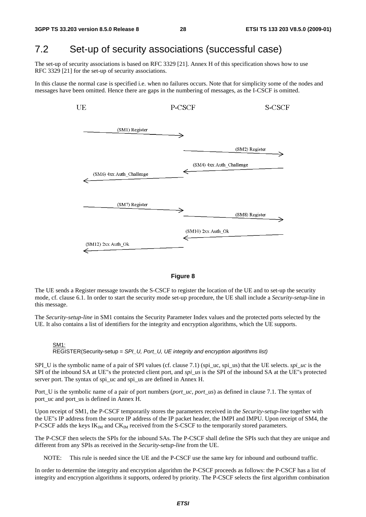### 7.2 Set-up of security associations (successful case)

The set-up of security associations is based on RFC 3329 [21]. Annex H of this specification shows how to use RFC 3329 [21] for the set-up of security associations.

In this clause the normal case is specified i.e. when no failures occurs. Note that for simplicity some of the nodes and messages have been omitted. Hence there are gaps in the numbering of messages, as the I-CSCF is omitted.





The UE sends a Register message towards the S-CSCF to register the location of the UE and to set-up the security mode, cf. clause 6.1. In order to start the security mode set-up procedure, the UE shall include a *Security-setup*-line in this message.

The *Security-setup-line* in SM1 contains the Security Parameter Index values and the protected ports selected by the UE. It also contains a list of identifiers for the integrity and encryption algorithms, which the UE supports.

#### SM1: REGISTER(Security-setup = *SPI\_U, Port\_U, UE integrity and encryption algorithms list)*

SPI\_U is the symbolic name of a pair of SPI values (cf. clause 7.1) (spi\_uc, spi\_us) that the UE selects. *spi\_uc* is the SPI of the inbound SA at UE"s the protected client port, and *spi\_us* is the SPI of the inbound SA at the UE"s protected server port. The syntax of spi\_uc and spi\_us are defined in Annex H.

Port\_U is the symbolic name of a pair of port numbers (*port\_uc, port\_us*) as defined in clause 7.1. The syntax of port\_uc and port\_us is defined in Annex H.

Upon receipt of SM1, the P-CSCF temporarily stores the parameters received in the *Security-setup*-*line* together with the UE"s IP address from the source IP address of the IP packet header, the IMPI and IMPU. Upon receipt of SM4, the P-CSCF adds the keys  $IK_{IM}$  and  $CK_{IM}$  received from the S-CSCF to the temporarily stored parameters.

The P-CSCF then selects the SPIs for the inbound SAs. The P-CSCF shall define the SPIs such that they are unique and different from any SPIs as received in the *Security-setup-line* from the UE.

NOTE: This rule is needed since the UE and the P-CSCF use the same key for inbound and outbound traffic.

In order to determine the integrity and encryption algorithm the P-CSCF proceeds as follows: the P-CSCF has a list of integrity and encryption algorithms it supports, ordered by priority. The P-CSCF selects the first algorithm combination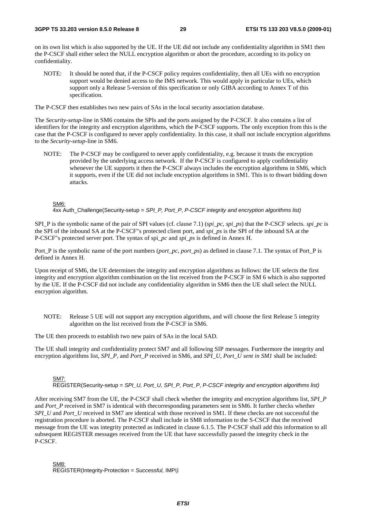on its own list which is also supported by the UE. If the UE did not include any confidentiality algorithm in SM1 then the P-CSCF shall either select the NULL encryption algorithm or abort the procedure, according to its policy on confidentiality.

NOTE: It should be noted that, if the P-CSCF policy requires confidentiality, then all UEs with no encryption support would be denied access to the IMS network. This would apply in particular to UEs, which support only a Release 5-version of this specification or only GIBA according to Annex T of this specification.

The P-CSCF then establishes two new pairs of SAs in the local security association database.

The *Security-setup-*line in SM6 contains the SPIs and the ports assigned by the P-CSCF. It also contains a list of identifiers for the integrity and encryption algorithms, which the P-CSCF supports. The only exception from this is the case that the P-CSCF is configured to never apply confidentiality. In this case, it shall not include encryption algorithms to the *Security-setup-*line in SM6.

NOTE: The P-CSCF may be configured to never apply confidentiality, e.g. because it trusts the encryption provided by the underlying access network. If the P-CSCF is configured to apply confidentiality whenever the UE supports it then the P-CSCF always includes the encryption algorithms in SM6, which it supports, even if the UE did not include encryption algorithms in SM1. This is to thwart bidding down attacks.

#### SM6:

4xx Auth\_Challenge(Security-setup = *SPI\_P, Port\_P*, *P-CSCF integrity and encryption algorithms list)*

SPI\_P is the symbolic name of the pair of SPI values (cf. clause 7.1) (*spi\_pc, spi\_ps*) that the P-CSCF selects. *spi\_pc* is the SPI of the inbound SA at the P-CSCF"s protected client port, and *spi\_ps* is the SPI of the inbound SA at the P-CSCF"s protected server port. The syntax of spi*\_pc* and *spi\_ps* is defined in Annex H.

Port\_P is the symbolic name of the port numbers (*port\_pc*, *port\_ps*) as defined in clause 7.1. The syntax of Port\_P is defined in Annex H.

Upon receipt of SM6, the UE determines the integrity and encryption algorithms as follows: the UE selects the first integrity and encryption algorithm combination on the list received from the P-CSCF in SM 6 which is also supported by the UE. If the P-CSCF did not include any confidentiality algorithm in SM6 then the UE shall select the NULL encryption algorithm.

NOTE: Release 5 UE will not support any encryption algorithms, and will choose the first Release 5 integrity algorithm on the list received from the P-CSCF in SM6.

The UE then proceeds to establish two new pairs of SAs in the local SAD.

The UE shall integrity and confidentiality protect SM7 and all following SIP messages. Furthermore the integrity and encryption algorithms list, *SPI\_P,* and *Port\_P* received in SM6, and *SPI\_U, Port\_U sent in SM1* shall be included:

#### SM7:

REGISTER(Security-setup = *SPI\_U, Port\_U, SPI\_P, Port\_P*, *P-CSCF integrity and encryption algorithms list)*

After receiving SM7 from the UE, the P-CSCF shall check whether the integrity and encryption algorithms list, *SPI\_P*  and *Port\_P* received in SM7 is identical with thecorresponding parameters sent in SM6. It further checks whether *SPI\_U* and *Port\_U* received in SM7 are identical with those received in SM1. If these checks are not successful the registration procedure is aborted. The P-CSCF shall include in SM8 information to the S-CSCF that the received message from the UE was integrity protected as indicated in clause 6.1.5. The P-CSCF shall add this information to all subsequent REGISTER messages received from the UE that have successfully passed the integrity check in the P-CSCF.

SM8: REGISTER(Integrity-Protection = *Successful,* IMPI*)*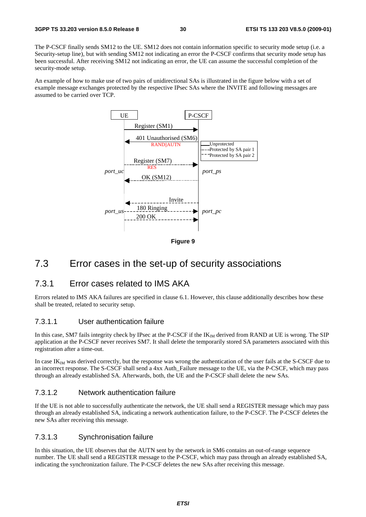The P-CSCF finally sends SM12 to the UE. SM12 does not contain information specific to security mode setup (i.e. a Security-setup line), but with sending SM12 not indicating an error the P-CSCF confirms that security mode setup has been successful. After receiving SM12 not indicating an error, the UE can assume the successful completion of the security-mode setup.

An example of how to make use of two pairs of unidirectional SAs is illustrated in the figure below with a set of example message exchanges protected by the respective IPsec SAs where the INVITE and following messages are assumed to be carried over TCP.



**Figure 9** 

### 7.3 Error cases in the set-up of security associations

#### 7.3.1 Error cases related to IMS AKA

Errors related to IMS AKA failures are specified in clause 6.1. However, this clause additionally describes how these shall be treated, related to security setup.

#### 7.3.1.1 User authentication failure

In this case, SM7 fails integrity check by IPsec at the P-CSCF if the IK<sub>IM</sub> derived from RAND at UE is wrong. The SIP application at the P-CSCF never receives SM7. It shall delete the temporarily stored SA parameters associated with this registration after a time-out.

In case  $IK_{IM}$  was derived correctly, but the response was wrong the authentication of the user fails at the S-CSCF due to an incorrect response. The S-CSCF shall send a 4xx Auth Failure message to the UE, via the P-CSCF, which may pass through an already established SA. Afterwards, both, the UE and the P-CSCF shall delete the new SAs.

#### 7.3.1.2 Network authentication failure

If the UE is not able to successfully authenticate the network, the UE shall send a REGISTER message which may pass through an already established SA, indicating a network authentication failure, to the P-CSCF. The P-CSCF deletes the new SAs after receiving this message.

#### 7.3.1.3 Synchronisation failure

In this situation, the UE observes that the AUTN sent by the network in SM6 contains an out-of-range sequence number. The UE shall send a REGISTER message to the P-CSCF, which may pass through an already established SA, indicating the synchronization failure. The P-CSCF deletes the new SAs after receiving this message.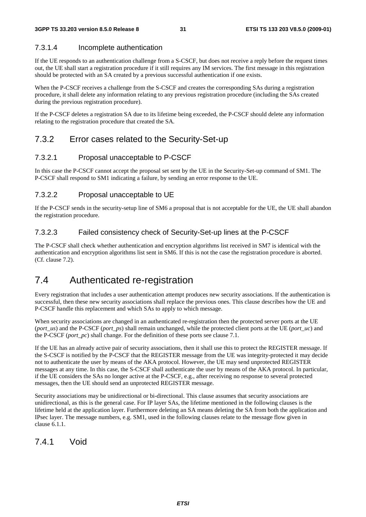### 7.3.1.4 Incomplete authentication

If the UE responds to an authentication challenge from a S-CSCF, but does not receive a reply before the request times out, the UE shall start a registration procedure if it still requires any IM services. The first message in this registration should be protected with an SA created by a previous successful authentication if one exists.

When the P-CSCF receives a challenge from the S-CSCF and creates the corresponding SAs during a registration procedure, it shall delete any information relating to any previous registration procedure (including the SAs created during the previous registration procedure).

If the P-CSCF deletes a registration SA due to its lifetime being exceeded, the P-CSCF should delete any information relating to the registration procedure that created the SA.

### 7.3.2 Error cases related to the Security-Set-up

### 7.3.2.1 Proposal unacceptable to P-CSCF

In this case the P-CSCF cannot accept the proposal set sent by the UE in the Security-Set-up command of SM1. The P-CSCF shall respond to SM1 indicating a failure, by sending an error response to the UE.

### 7.3.2.2 Proposal unacceptable to UE

If the P-CSCF sends in the security-setup line of SM6 a proposal that is not acceptable for the UE, the UE shall abandon the registration procedure.

### 7.3.2.3 Failed consistency check of Security-Set-up lines at the P-CSCF

The P-CSCF shall check whether authentication and encryption algorithms list received in SM7 is identical with the authentication and encryption algorithms list sent in SM6. If this is not the case the registration procedure is aborted. (Cf. clause 7.2).

### 7.4 Authenticated re-registration

Every registration that includes a user authentication attempt produces new security associations. If the authentication is successful, then these new security associations shall replace the previous ones. This clause describes how the UE and P-CSCF handle this replacement and which SAs to apply to which message.

When security associations are changed in an authenticated re-registration then the protected server ports at the UE (*port\_us*) and the P-CSCF (*port\_ps*) shall remain unchanged, while the protected client ports at the UE (*port\_uc*) and the P-CSCF (*port\_pc*) shall change. For the definition of these ports see clause 7.1.

If the UE has an already active pair of security associations, then it shall use this to protect the REGISTER message. If the S-CSCF is notified by the P-CSCF that the REGISTER message from the UE was integrity-protected it may decide not to authenticate the user by means of the AKA protocol. However, the UE may send unprotected REGISTER messages at any time. In this case, the S-CSCF shall authenticate the user by means of the AKA protocol. In particular, if the UE considers the SAs no longer active at the P-CSCF, e.g., after receiving no response to several protected messages, then the UE should send an unprotected REGISTER message.

Security associations may be unidirectional or bi-directional. This clause assumes that security associations are unidirectional, as this is the general case. For IP layer SAs, the lifetime mentioned in the following clauses is the lifetime held at the application layer. Furthermore deleting an SA means deleting the SA from both the application and IPsec layer. The message numbers, e.g. SM1, used in the following clauses relate to the message flow given in clause 6.1.1.

### 7.4.1 Void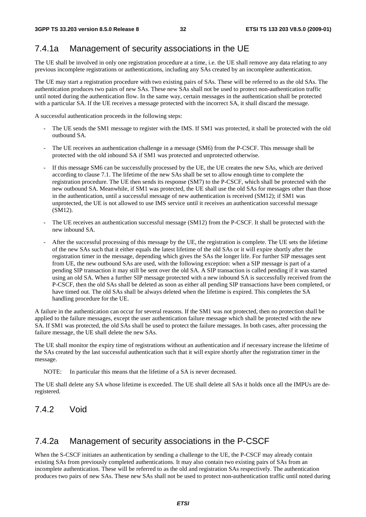### 7.4.1a Management of security associations in the UE

The UE shall be involved in only one registration procedure at a time, i.e. the UE shall remove any data relating to any previous incomplete registrations or authentications, including any SAs created by an incomplete authentication.

The UE may start a registration procedure with two existing pairs of SAs. These will be referred to as the old SAs. The authentication produces two pairs of new SAs. These new SAs shall not be used to protect non-authentication traffic until noted during the authentication flow. In the same way, certain messages in the authentication shall be protected with a particular SA. If the UE receives a message protected with the incorrect SA, it shall discard the message.

A successful authentication proceeds in the following steps:

- The UE sends the SM1 message to register with the IMS. If SM1 was protected, it shall be protected with the old outbound SA.
- The UE receives an authentication challenge in a message (SM6) from the P-CSCF. This message shall be protected with the old inbound SA if SM1 was protected and unprotected otherwise.
- If this message SM6 can be successfully processed by the UE, the UE creates the new SAs, which are derived according to clause 7.1. The lifetime of the new SAs shall be set to allow enough time to complete the registration procedure. The UE then sends its response (SM7) to the P-CSCF, which shall be protected with the new outbound SA. Meanwhile, if SM1 was protected, the UE shall use the old SAs for messages other than those in the authentication, until a successful message of new authentication is received (SM12); if SM1 was unprotected, the UE is not allowed to use IMS service until it receives an authentication successful message (SM12).
- The UE receives an authentication successful message (SM12) from the P-CSCF. It shall be protected with the new inbound SA.
- After the successful processing of this message by the UE, the registration is complete. The UE sets the lifetime of the new SAs such that it either equals the latest lifetime of the old SAs or it will expire shortly after the registration timer in the message, depending which gives the SAs the longer life. For further SIP messages sent from UE, the new outbound SAs are used, with the following exception: when a SIP message is part of a pending SIP transaction it may still be sent over the old SA. A SIP transaction is called pending if it was started using an old SA. When a further SIP message protected with a new inbound SA is successfully received from the P-CSCF, then the old SAs shall be deleted as soon as either all pending SIP transactions have been completed, or have timed out. The old SAs shall be always deleted when the lifetime is expired. This completes the SA handling procedure for the UE.

A failure in the authentication can occur for several reasons. If the SM1 was not protected, then no protection shall be applied to the failure messages, except the user authentication failure message which shall be protected with the new SA. If SM1 was protected, the old SAs shall be used to protect the failure messages. In both cases, after processing the failure message, the UE shall delete the new SAs.

The UE shall monitor the expiry time of registrations without an authentication and if necessary increase the lifetime of the SAs created by the last successful authentication such that it will expire shortly after the registration timer in the message.

NOTE: In particular this means that the lifetime of a SA is never decreased.

The UE shall delete any SA whose lifetime is exceeded. The UE shall delete all SAs it holds once all the IMPUs are deregistered.

#### 7.4.2 Void

#### 7.4.2a Management of security associations in the P-CSCF

When the S-CSCF initiates an authentication by sending a challenge to the UE, the P-CSCF may already contain existing SAs from previously completed authentications. It may also contain two existing pairs of SAs from an incomplete authentication. These will be referred to as the old and registration SAs respectively. The authentication produces two pairs of new SAs. These new SAs shall not be used to protect non-authentication traffic until noted during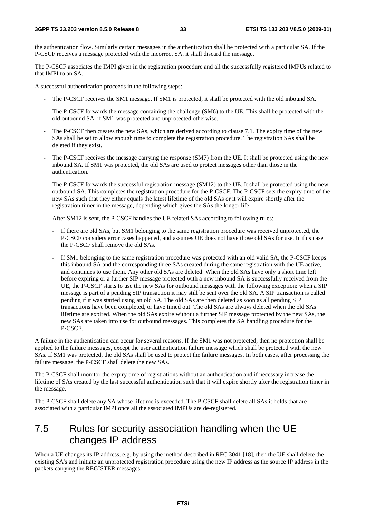the authentication flow. Similarly certain messages in the authentication shall be protected with a particular SA. If the P-CSCF receives a message protected with the incorrect SA, it shall discard the message.

The P-CSCF associates the IMPI given in the registration procedure and all the successfully registered IMPUs related to that IMPI to an SA.

A successful authentication proceeds in the following steps:

- The P-CSCF receives the SM1 message. If SM1 is protected, it shall be protected with the old inbound SA.
- The P-CSCF forwards the message containing the challenge (SM6) to the UE. This shall be protected with the old outbound SA, if SM1 was protected and unprotected otherwise.
- The P-CSCF then creates the new SAs, which are derived according to clause 7.1. The expiry time of the new SAs shall be set to allow enough time to complete the registration procedure. The registration SAs shall be deleted if they exist.
- The P-CSCF receives the message carrying the response (SM7) from the UE. It shall be protected using the new inbound SA. If SM1 was protected, the old SAs are used to protect messages other than those in the authentication.
- The P-CSCF forwards the successful registration message (SM12) to the UE. It shall be protected using the new outbound SA. This completes the registration procedure for the P-CSCF. The P-CSCF sets the expiry time of the new SAs such that they either equals the latest lifetime of the old SAs or it will expire shortly after the registration timer in the message, depending which gives the SAs the longer life.
- After SM12 is sent, the P-CSCF handles the UE related SAs according to following rules:
	- If there are old SAs, but SM1 belonging to the same registration procedure was received unprotected, the P-CSCF considers error cases happened, and assumes UE does not have those old SAs for use. In this case the P-CSCF shall remove the old SAs.
	- If SM1 belonging to the same registration procedure was protected with an old valid SA, the P-CSCF keeps this inbound SA and the corresponding three SAs created during the same registration with the UE active, and continues to use them. Any other old SAs are deleted. When the old SAs have only a short time left before expiring or a further SIP message protected with a new inbound SA is successfully received from the UE, the P-CSCF starts to use the new SAs for outbound messages with the following exception: when a SIP message is part of a pending SIP transaction it may still be sent over the old SA. A SIP transaction is called pending if it was started using an old SA. The old SAs are then deleted as soon as all pending SIP transactions have been completed, or have timed out. The old SAs are always deleted when the old SAs lifetime are expired. When the old SAs expire without a further SIP message protected by the new SAs, the new SAs are taken into use for outbound messages. This completes the SA handling procedure for the P-CSCF.

A failure in the authentication can occur for several reasons. If the SM1 was not protected, then no protection shall be applied to the failure messages, except the user authentication failure message which shall be protected with the new SAs. If SM1 was protected, the old SAs shall be used to protect the failure messages. In both cases, after processing the failure message, the P-CSCF shall delete the new SAs.

The P-CSCF shall monitor the expiry time of registrations without an authentication and if necessary increase the lifetime of SAs created by the last successful authentication such that it will expire shortly after the registration timer in the message.

The P-CSCF shall delete any SA whose lifetime is exceeded. The P-CSCF shall delete all SAs it holds that are associated with a particular IMPI once all the associated IMPUs are de-registered.

### 7.5 Rules for security association handling when the UE changes IP address

When a UE changes its IP address, e.g. by using the method described in RFC 3041 [18], then the UE shall delete the existing SA's and initiate an unprotected registration procedure using the new IP address as the source IP address in the packets carrying the REGISTER messages.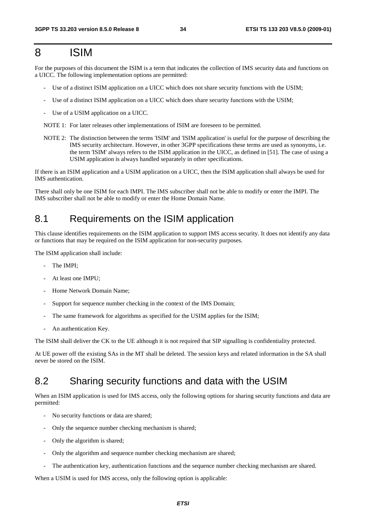### 8 ISIM

For the purposes of this document the ISIM is a term that indicates the collection of IMS security data and functions on a UICC. The following implementation options are permitted:

- Use of a distinct ISIM application on a UICC which does not share security functions with the USIM;
- Use of a distinct ISIM application on a UICC which does share security functions with the USIM;
- Use of a USIM application on a UICC.

NOTE 1: For later releases other implementations of ISIM are foreseen to be permitted.

NOTE 2: The distinction between the terms 'ISIM' and 'ISIM application' is useful for the purpose of describing the IMS security architecture. However, in other 3GPP specifications these terms are used as synonyms, i.e. the term 'ISIM' always refers to the ISIM application in the UICC, as defined in [51]. The case of using a USIM application is always handled separately in other specifications.

If there is an ISIM application and a USIM application on a UICC, then the ISIM application shall always be used for IMS authentication.

There shall only be one ISIM for each IMPI. The IMS subscriber shall not be able to modify or enter the IMPI. The IMS subscriber shall not be able to modify or enter the Home Domain Name.

### 8.1 Requirements on the ISIM application

This clause identifies requirements on the ISIM application to support IMS access security. It does not identify any data or functions that may be required on the ISIM application for non-security purposes.

The ISIM application shall include:

- The IMPI;
- At least one IMPU;
- Home Network Domain Name;
- Support for sequence number checking in the context of the IMS Domain;
- The same framework for algorithms as specified for the USIM applies for the ISIM;
- An authentication Key.

The ISIM shall deliver the CK to the UE although it is not required that SIP signalling is confidentiality protected.

At UE power off the existing SAs in the MT shall be deleted. The session keys and related information in the SA shall never be stored on the ISIM.

### 8.2 Sharing security functions and data with the USIM

When an ISIM application is used for IMS access, only the following options for sharing security functions and data are permitted:

- No security functions or data are shared;
- Only the sequence number checking mechanism is shared;
- Only the algorithm is shared:
- Only the algorithm and sequence number checking mechanism are shared;
- The authentication key, authentication functions and the sequence number checking mechanism are shared.

When a USIM is used for IMS access, only the following option is applicable: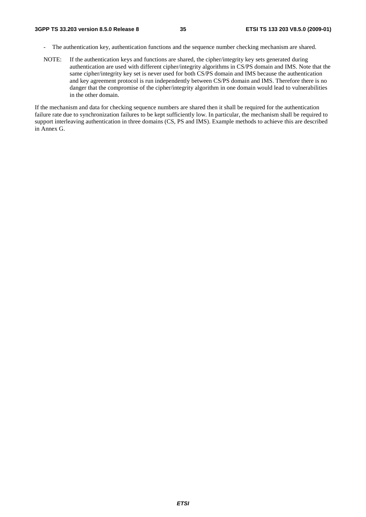- The authentication key, authentication functions and the sequence number checking mechanism are shared.
- NOTE: If the authentication keys and functions are shared, the cipher/integrity key sets generated during authentication are used with different cipher/integrity algorithms in CS/PS domain and IMS. Note that the same cipher/integrity key set is never used for both CS/PS domain and IMS because the authentication and key agreement protocol is run independently between CS/PS domain and IMS. Therefore there is no danger that the compromise of the cipher/integrity algorithm in one domain would lead to vulnerabilities in the other domain.

If the mechanism and data for checking sequence numbers are shared then it shall be required for the authentication failure rate due to synchronization failures to be kept sufficiently low. In particular, the mechanism shall be required to support interleaving authentication in three domains (CS, PS and IMS). Example methods to achieve this are described in Annex G.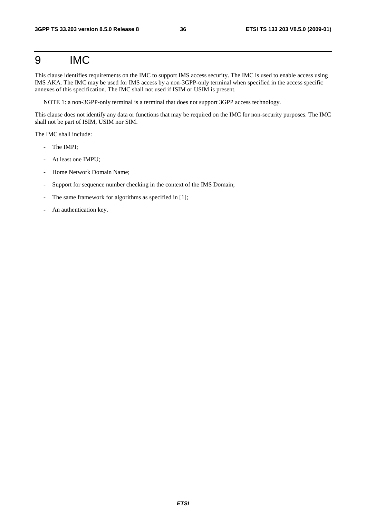# 9 IMC

This clause identifies requirements on the IMC to support IMS access security. The IMC is used to enable access using IMS AKA. The IMC may be used for IMS access by a non-3GPP-only terminal when specified in the access specific annexes of this specification. The IMC shall not used if ISIM or USIM is present.

NOTE 1: a non-3GPP-only terminal is a terminal that does not support 3GPP access technology.

This clause does not identify any data or functions that may be required on the IMC for non-security purposes. The IMC shall not be part of ISIM, USIM nor SIM.

The IMC shall include:

- The IMPI;
- At least one IMPU;
- Home Network Domain Name;
- Support for sequence number checking in the context of the IMS Domain;
- The same framework for algorithms as specified in [1];
- An authentication key.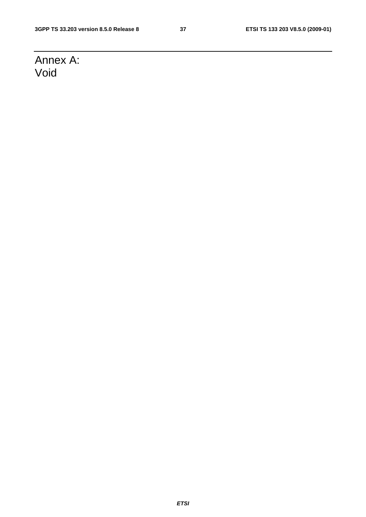# Annex A: Void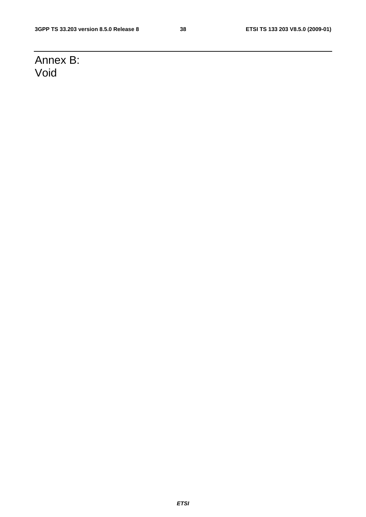# Annex B: Void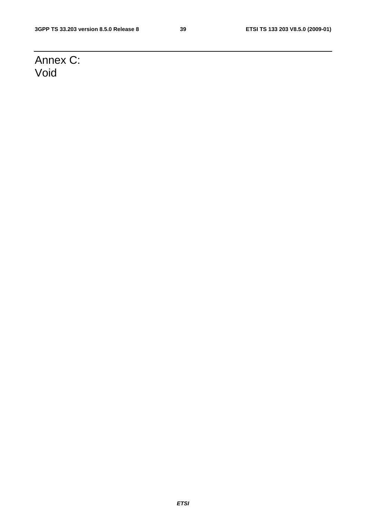# Annex C: Void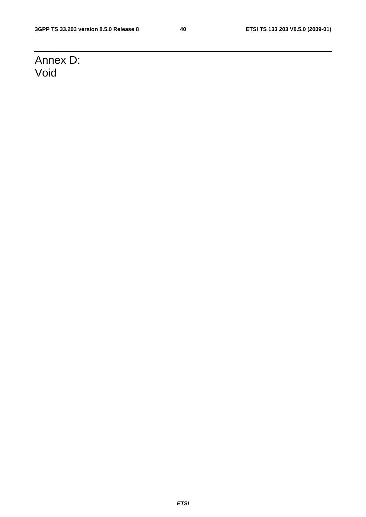# Annex D: Void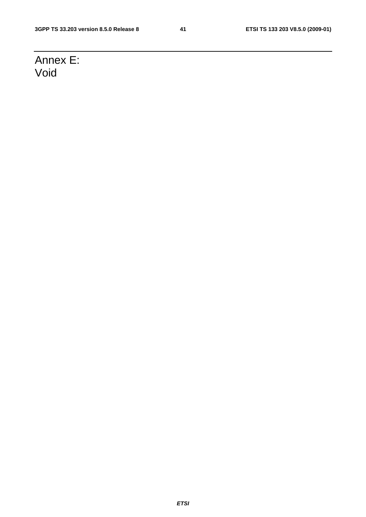# Annex E: Void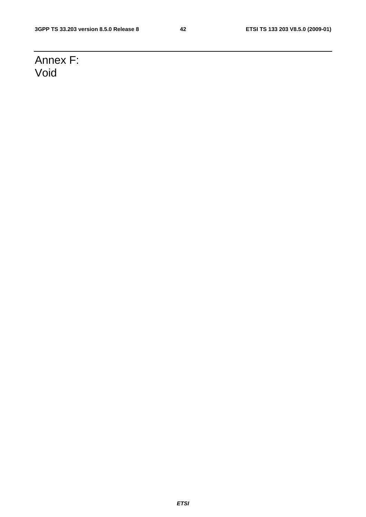# Annex F: Void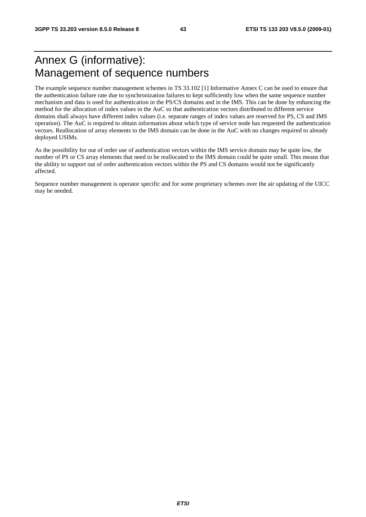# Annex G (informative): Management of sequence numbers

The example sequence number management schemes in TS 33.102 [1] Informative Annex C can be used to ensure that the authentication failure rate due to synchronization failures to kept sufficiently low when the same sequence number mechanism and data is used for authentication in the PS/CS domains and in the IMS. This can be done by enhancing the method for the allocation of index values in the AuC so that authentication vectors distributed to different service domains shall always have different index values (i.e. separate ranges of index values are reserved for PS, CS and IMS operation). The AuC is required to obtain information about which type of service node has requested the authentication vectors. Reallocation of array elements to the IMS domain can be done in the AuC with no changes required to already deployed USIMs.

As the possibility for out of order use of authentication vectors within the IMS service domain may be quite low, the number of PS or CS array elements that need to be reallocated to the IMS domain could be quite small. This means that the ability to support out of order authentication vectors within the PS and CS domains would not be significantly affected.

Sequence number management is operator specific and for some proprietary schemes over the air updating of the UICC may be needed.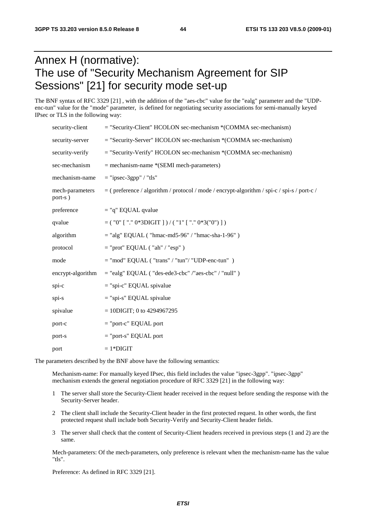# Annex H (normative): The use of "Security Mechanism Agreement for SIP Sessions" [21] for security mode set-up

The BNF syntax of RFC 3329 [21] , with the addition of the "aes-cbc" value for the "ealg" parameter and the "UDPenc-tun" value for the "mode" parameter, is defined for negotiating security associations for semi-manually keyed IPsec or TLS in the following way:

| security-client            | $=$ "Security-Client" HCOLON sec-mechanism $*(COMMA)$ sec-mechanism)                         |
|----------------------------|----------------------------------------------------------------------------------------------|
| security-server            | $=$ "Security-Server" HCOLON sec-mechanism $*(COMMA)$ sec-mechanism)                         |
| security-verify            | = "Security-Verify" HCOLON sec-mechanism *(COMMA sec-mechanism)                              |
| sec-mechanism              | $=$ mechanism-name *(SEMI mech-parameters)                                                   |
| mechanism-name             | $=$ "ipsec-3gpp" / "tls"                                                                     |
| mech-parameters<br>port-s) | $=$ (preference / algorithm / protocol / mode / encrypt-algorithm / spi-c / spi-s / port-c / |
| preference                 | $=$ "q" EQUAL qvalue                                                                         |
| qvalue                     | $=$ ( "0" [ "." 0*3DIGIT ] ) / ( "1" [ "." 0*3("0") ] )                                      |
| algorithm                  | $=$ "alg" EQUAL ("hmac-md5-96" / "hmac-sha-1-96")                                            |
| protocol                   | $=$ "prot" EQUAL ("ah" / "esp")                                                              |
| mode                       | $=$ "mod" EQUAL ("trans" / "tun"/ "UDP-enc-tun")                                             |
| encrypt-algorithm          | $=$ "ealg" EQUAL ("des-ede3-cbc" /"aes-cbc" / "null")                                        |
| spi-c                      | $=$ "spi-c" EQUAL spivalue                                                                   |
| spi-s                      | $=$ "spi-s" EQUAL spivalue                                                                   |
| spivalue                   | $= 10$ DIGIT; 0 to 4294967295                                                                |
| port-c                     | $=$ "port-c" EQUAL port                                                                      |
| port-s                     | $=$ "port-s" EQUAL port                                                                      |
| port                       | $=1*DIGIT$                                                                                   |

The parameters described by the BNF above have the following semantics:

 Mechanism-name: For manually keyed IPsec, this field includes the value "ipsec-3gpp". "ipsec-3gpp" mechanism extends the general negotiation procedure of RFC 3329 [21] in the following way:

- 1 The server shall store the Security-Client header received in the request before sending the response with the Security-Server header.
- 2 The client shall include the Security-Client header in the first protected request. In other words, the first protected request shall include both Security-Verify and Security-Client header fields.
- 3 The server shall check that the content of Security-Client headers received in previous steps (1 and 2) are the same.

Mech-parameters: Of the mech-parameters, only preference is relevant when the mechanism-name has the value "tls".

Preference: As defined in RFC 3329 [21].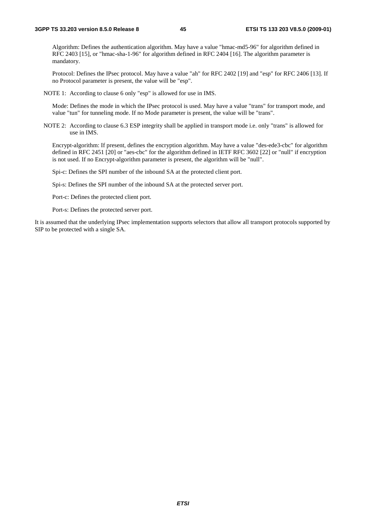Algorithm: Defines the authentication algorithm. May have a value "hmac-md5-96" for algorithm defined in RFC 2403 [15], or "hmac-sha-1-96" for algorithm defined in RFC 2404 [16]. The algorithm parameter is mandatory.

 Protocol: Defines the IPsec protocol. May have a value "ah" for RFC 2402 [19] and "esp" for RFC 2406 [13]. If no Protocol parameter is present, the value will be "esp".

NOTE 1: According to clause 6 only "esp" is allowed for use in IMS.

 Mode: Defines the mode in which the IPsec protocol is used. May have a value "trans" for transport mode, and value "tun" for tunneling mode. If no Mode parameter is present, the value will be "trans".

NOTE 2: According to clause 6.3 ESP integrity shall be applied in transport mode i.e. only "trans" is allowed for use in IMS.

 Encrypt-algorithm: If present, defines the encryption algorithm. May have a value "des-ede3-cbc" for algorithm defined in RFC 2451 [20] or "aes-cbc" for the algorithm defined in IETF RFC 3602 [22] or "null" if encryption is not used. If no Encrypt-algorithm parameter is present, the algorithm will be "null".

Spi-c: Defines the SPI number of the inbound SA at the protected client port.

Spi-s: Defines the SPI number of the inbound SA at the protected server port.

Port-c: Defines the protected client port.

Port-s: Defines the protected server port.

It is assumed that the underlying IPsec implementation supports selectors that allow all transport protocols supported by SIP to be protected with a single SA.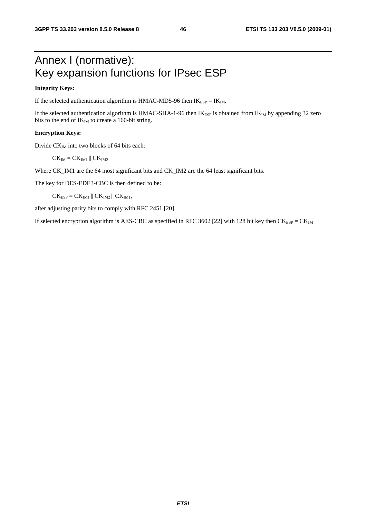# Annex I (normative): Key expansion functions for IPsec ESP

### **Integrity Keys:**

If the selected authentication algorithm is HMAC-MD5-96 then  $IK_{ESP} = IK_{IM}$ .

If the selected authentication algorithm is HMAC-SHA-1-96 then  $IK_{ESP}$  is obtained from  $IK_{IM}$  by appending 32 zero bits to the end of  $IK_{IM}$  to create a 160-bit string.

### **Encryption Keys:**

Divide  $CK_{IM}$  into two blocks of 64 bits each:

 $CK_{IM}$  =  $CK_{IM1}$  ||  $CK_{IM2}$ 

Where CK\_IM1 are the 64 most significant bits and CK\_IM2 are the 64 least significant bits.

The key for DES-EDE3-CBC is then defined to be:

 $CK_{ESP} = CK_{IM1} || CK_{IM2} || CK_{IM1},$ 

after adjusting parity bits to comply with RFC 2451 [20].

If selected encryption algorithm is AES-CBC as specified in RFC 3602 [22] with 128 bit key then  $CK_{ESP} = CK_{IM}$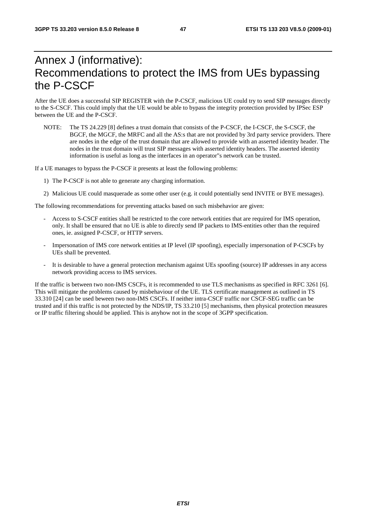# Annex J (informative): Recommendations to protect the IMS from UEs bypassing the P-CSCF

After the UE does a successful SIP REGISTER with the P-CSCF, malicious UE could try to send SIP messages directly to the S-CSCF. This could imply that the UE would be able to bypass the integrity protection provided by IPSec ESP between the UE and the P-CSCF.

NOTE: The TS 24.229 [8] defines a trust domain that consists of the P-CSCF, the I-CSCF, the S-CSCF, the BGCF, the MGCF, the MRFC and all the AS:s that are not provided by 3rd party service providers. There are nodes in the edge of the trust domain that are allowed to provide with an asserted identity header. The nodes in the trust domain will trust SIP messages with asserted identity headers. The asserted identity information is useful as long as the interfaces in an operator"s network can be trusted.

If a UE manages to bypass the P-CSCF it presents at least the following problems:

- 1) The P-CSCF is not able to generate any charging information.
- 2) Malicious UE could masquerade as some other user (e.g. it could potentially send INVITE or BYE messages).

The following recommendations for preventing attacks based on such misbehavior are given:

- Access to S-CSCF entities shall be restricted to the core network entities that are required for IMS operation, only. It shall be ensured that no UE is able to directly send IP packets to IMS-entities other than the required ones, ie. assigned P-CSCF, or HTTP servers.
- Impersonation of IMS core network entities at IP level (IP spoofing), especially impersonation of P-CSCFs by UEs shall be prevented.
- It is desirable to have a general protection mechanism against UEs spoofing (source) IP addresses in any access network providing access to IMS services.

If the traffic is between two non-IMS CSCFs, it is recommended to use TLS mechanisms as specified in RFC 3261 [6]. This will mitigate the problems caused by misbehaviour of the UE. TLS certificate management as outlined in TS 33.310 [24] can be used beween two non-IMS CSCFs. If neither intra-CSCF traffic nor CSCF-SEG traffic can be trusted and if this traffic is not protected by the NDS/IP, TS 33.210 [5] mechanisms, then physical protection measures or IP traffic filtering should be applied. This is anyhow not in the scope of 3GPP specification.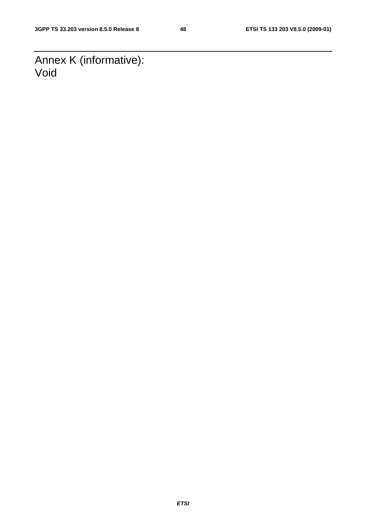Annex K (informative): Void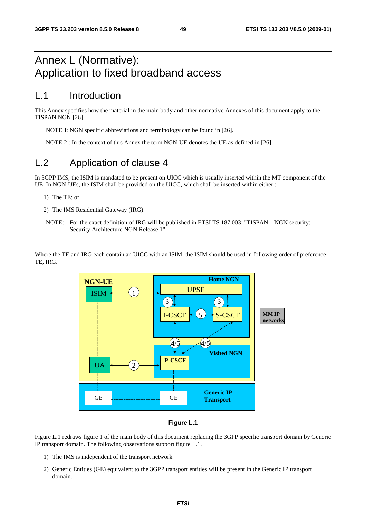# Annex L (Normative): Application to fixed broadband access

## L.1 Introduction

This Annex specifies how the material in the main body and other normative Annexes of this document apply to the TISPAN NGN [26].

NOTE 1: NGN specific abbreviations and terminology can be found in [26].

NOTE 2 : In the context of this Annex the term NGN-UE denotes the UE as defined in [26]

## L.2 Application of clause 4

In 3GPP IMS, the ISIM is mandated to be present on UICC which is usually inserted within the MT component of the UE. In NGN-UEs, the ISIM shall be provided on the UICC, which shall be inserted within either :

- 1) The TE; or
- 2) The IMS Residential Gateway (IRG).
- NOTE: For the exact definition of IRG will be published in ETSI TS 187 003: "TISPAN NGN security: Security Architecture NGN Release 1".

Where the TE and IRG each contain an UICC with an ISIM, the ISIM should be used in following order of preference TE, IRG.



### **Figure L.1**

Figure L.1 redraws figure 1 of the main body of this document replacing the 3GPP specific transport domain by Generic IP transport domain. The following observations support figure L.1.

- 1) The IMS is independent of the transport network
- 2) Generic Entities (GE) equivalent to the 3GPP transport entities will be present in the Generic IP transport domain.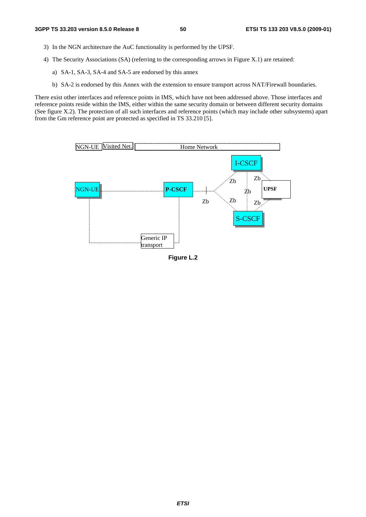- 3) In the NGN architecture the AuC functionality is performed by the UPSF.
- 4) The Security Associations (SA) (referring to the corresponding arrows in Figure X.1) are retained:
	- a) SA-1, SA-3, SA-4 and SA-5 are endorsed by this annex
	- b) SA-2 is endorsed by this Annex with the extension to ensure transport across NAT/Firewall boundaries.

There exist other interfaces and reference points in IMS, which have not been addressed above. Those interfaces and reference points reside within the IMS, either within the same security domain or between different security domains (See figure X.2). The protection of all such interfaces and reference points (which may include other subsystems) apart from the Gm reference point are protected as specified in TS 33.210 [5].



**Figure L.2**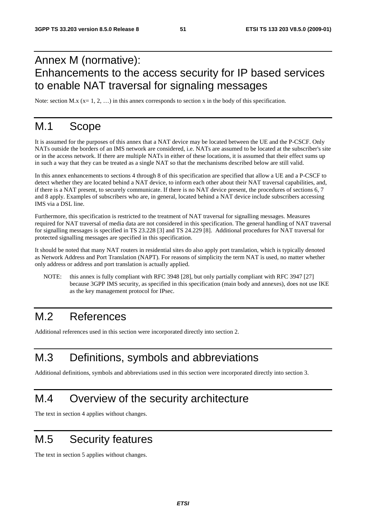# Annex M (normative): Enhancements to the access security for IP based services to enable NAT traversal for signaling messages

Note: section M.x ( $x = 1, 2, ...$ ) in this annex corresponds to section x in the body of this specification.

# M.1 Scope

It is assumed for the purposes of this annex that a NAT device may be located between the UE and the P-CSCF. Only NATs outside the borders of an IMS network are considered, i.e. NATs are assumed to be located at the subscriber's site or in the access network. If there are multiple NATs in either of these locations, it is assumed that their effect sums up in such a way that they can be treated as a single NAT so that the mechanisms described below are still valid.

In this annex enhancements to sections 4 through 8 of this specification are specified that allow a UE and a P-CSCF to detect whether they are located behind a NAT device, to inform each other about their NAT traversal capabilities, and, if there is a NAT present, to securely communicate. If there is no NAT device present, the procedures of sections 6, 7 and 8 apply. Examples of subscribers who are, in general, located behind a NAT device include subscribers accessing IMS via a DSL line.

Furthermore, this specification is restricted to the treatment of NAT traversal for signalling messages. Measures required for NAT traversal of media data are not considered in this specification. The general handling of NAT traversal for signalling messages is specified in TS 23.228 [3] and TS 24.229 [8]. Additional procedures for NAT traversal for protected signalling messages are specified in this specification.

It should be noted that many NAT routers in residential sites do also apply port translation, which is typically denoted as Network Address and Port Translation (NAPT). For reasons of simplicity the term NAT is used, no matter whether only address or address and port translation is actually applied.

NOTE: this annex is fully compliant with RFC 3948 [28], but only partially compliant with RFC 3947 [27] because 3GPP IMS security, as specified in this specification (main body and annexes), does not use IKE as the key management protocol for IPsec.

# M.2 References

Additional references used in this section were incorporated directly into section 2.

# M.3 Definitions, symbols and abbreviations

Additional definitions, symbols and abbreviations used in this section were incorporated directly into section 3.

## M.4 Overview of the security architecture

The text in section 4 applies without changes.

# M.5 Security features

The text in section 5 applies without changes.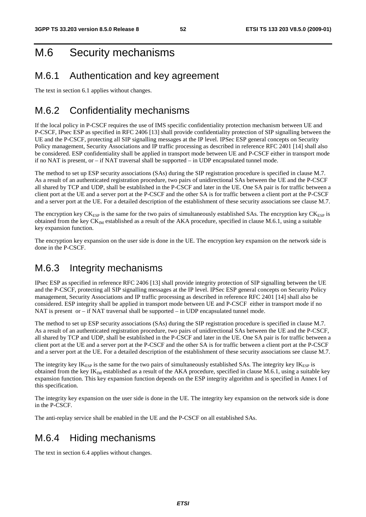# M.6 Security mechanisms

## M.6.1 Authentication and key agreement

The text in section 6.1 applies without changes.

## M.6.2 Confidentiality mechanisms

If the local policy in P-CSCF requires the use of IMS specific confidentiality protection mechanism between UE and P-CSCF, IPsec ESP as specified in RFC 2406 [13] shall provide confidentiality protection of SIP signalling between the UE and the P-CSCF, protecting all SIP signalling messages at the IP level. IPSec ESP general concepts on Security Policy management, Security Associations and IP traffic processing as described in reference RFC 2401 [14] shall also be considered. ESP confidentiality shall be applied in transport mode between UE and P-CSCF either in transport mode if no NAT is present, or  $-i$  if NAT traversal shall be supported  $-i$  in UDP encapsulated tunnel mode.

The method to set up ESP security associations (SAs) during the SIP registration procedure is specified in clause M.7. As a result of an authenticated registration procedure, two pairs of unidirectional SAs between the UE and the P-CSCF all shared by TCP and UDP, shall be established in the P-CSCF and later in the UE. One SA pair is for traffic between a client port at the UE and a server port at the P-CSCF and the other SA is for traffic between a client port at the P-CSCF and a server port at the UE. For a detailed description of the establishment of these security associations see clause M.7.

The encryption key  $CK_{ESP}$  is the same for the two pairs of simultaneously established SAs. The encryption key  $CK_{ESP}$  is obtained from the key  $CK_{IM}$  established as a result of the AKA procedure, specified in clause M.6.1, using a suitable key expansion function.

The encryption key expansion on the user side is done in the UE. The encryption key expansion on the network side is done in the P-CSCF.

## M.6.3 Integrity mechanisms

IPsec ESP as specified in reference RFC 2406 [13] shall provide integrity protection of SIP signalling between the UE and the P-CSCF, protecting all SIP signalling messages at the IP level. IPSec ESP general concepts on Security Policy management, Security Associations and IP traffic processing as described in reference RFC 2401 [14] shall also be considered. ESP integrity shall be applied in transport mode between UE and P-CSCF either in transport mode if no NAT is present or  $-i$  if NAT traversal shall be supported  $-i$  in UDP encapsulated tunnel mode.

The method to set up ESP security associations (SAs) during the SIP registration procedure is specified in clause M.7. As a result of an authenticated registration procedure, two pairs of unidirectional SAs between the UE and the P-CSCF, all shared by TCP and UDP, shall be established in the P-CSCF and later in the UE. One SA pair is for traffic between a client port at the UE and a server port at the P-CSCF and the other SA is for traffic between a client port at the P-CSCF and a server port at the UE. For a detailed description of the establishment of these security associations see clause M.7.

The integrity key  $IK_{ESP}$  is the same for the two pairs of simultaneously established SAs. The integrity key  $IK_{ESP}$  is obtained from the key  $IK_{IM}$  established as a result of the AKA procedure, specified in clause M.6.1, using a suitable key expansion function. This key expansion function depends on the ESP integrity algorithm and is specified in Annex I of this specification.

The integrity key expansion on the user side is done in the UE. The integrity key expansion on the network side is done in the P-CSCF.

The anti-replay service shall be enabled in the UE and the P-CSCF on all established SAs.

## M.6.4 Hiding mechanisms

The text in section 6.4 applies without changes.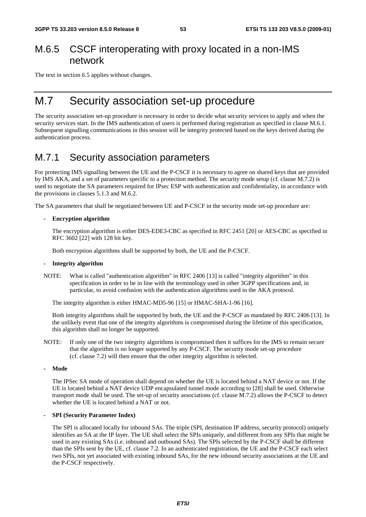## M.6.5 CSCF interoperating with proxy located in a non-IMS network

The text in section 6.5 applies without changes.

## M.7 Security association set-up procedure

The security association set-up procedure is necessary in order to decide what security services to apply and when the security services start. In the IMS authentication of users is performed during registration as specified in clause M.6.1. Subsequent signalling communications in this session will be integrity protected based on the keys derived during the authentication process.

## M.7.1 Security association parameters

For protecting IMS signalling between the UE and the P-CSCF it is necessary to agree on shared keys that are provided by IMS AKA, and a set of parameters specific to a protection method. The security mode setup (cf. clause M.7.2) is used to negotiate the SA parameters required for IPsec ESP with authentication and confidentiality, in accordance with the provisions in clauses 5.1.3 and M.6.2.

The SA parameters that shall be negotiated between UE and P-CSCF in the security mode set-up procedure are:

### **- Encryption algorithm**

 The encryption algorithm is either DES-EDE3-CBC as specified in RFC 2451 [20] or AES-CBC as specified in RFC 3602 [22] with 128 bit key.

Both encryption algorithms shall be supported by both, the UE and the P-CSCF.

#### **- Integrity algorithm**

NOTE: What is called "authentication algorithm" in RFC 2406 [13] is called "integrity algorithm" in this specification in order to be in line with the terminology used in other 3GPP specifications and, in particular, to avoid confusion with the authentication algorithms used in the AKA protocol.

The integrity algorithm is either HMAC-MD5-96 [15] or HMAC-SHA-1-96 [16].

 Both integrity algorithms shall be supported by both, the UE and the P-CSCF as mandated by RFC 2406 [13]. In the unlikely event that one of the integrity algorithms is compromised during the lifetime of this specification, this algorithm shall no longer be supported.

- NOTE: If only one of the two integrity algorithms is compromised then it suffices for the IMS to remain secure that the algorithm is no longer supported by any P-CSCF. The security mode set-up procedure (cf. clause 7.2) will then ensure that the other integrity algorithm is selected.
- **Mode**

The IPSec SA mode of operation shall depend on whether the UE is located behind a NAT device or not. If the UE is located behind a NAT device UDP encapsulated tunnel mode according to [28] shall be used. Otherwise transport mode shall be used. The set-up of security associations (cf. clause M.7.2) allows the P-CSCF to detect whether the UE is located behind a NAT or not.

#### **- SPI (Security Parameter Index)**

 The SPI is allocated locally for inbound SAs. The triple (SPI, destination IP address, security protocol) uniquely identifies an SA at the IP layer. The UE shall select the SPIs uniquely, and different from any SPIs that might be used in any existing SAs (i.e. inbound and outbound SAs). The SPIs selected by the P-CSCF shall be different than the SPIs sent by the UE, cf. clause 7.2. In an authenticated registration, the UE and the P-CSCF each select two SPIs, not yet associated with existing inbound SAs, for the new inbound security associations at the UE and the P-CSCF respectively.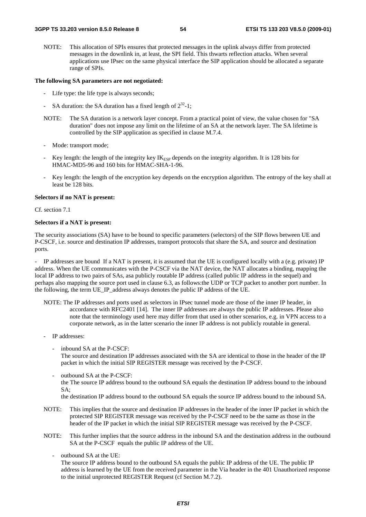NOTE: This allocation of SPIs ensures that protected messages in the uplink always differ from protected messages in the downlink in, at least, the SPI field. This thwarts reflection attacks. When several applications use IPsec on the same physical interface the SIP application should be allocated a separate range of SPIs.

#### **The following SA parameters are not negotiated:**

- Life type: the life type is always seconds;
- SA duration: the SA duration has a fixed length of  $2^{32}$ -1;
- NOTE: The SA duration is a network layer concept. From a practical point of view, the value chosen for "SA duration" does not impose any limit on the lifetime of an SA at the network layer. The SA lifetime is controlled by the SIP application as specified in clause M.7.4.
- Mode: transport mode;
- Key length: the length of the integrity key  $IK<sub>ESP</sub>$  depends on the integrity algorithm. It is 128 bits for HMAC-MD5-96 and 160 bits for HMAC-SHA-1-96.
- Key length: the length of the encryption key depends on the encryption algorithm. The entropy of the key shall at least be 128 bits.

#### **Selectors if no NAT is present:**

Cf. section 7.1

#### **Selectors if a NAT is present:**

The security associations (SA) have to be bound to specific parameters (selectors) of the SIP flows between UE and P-CSCF, i.e. source and destination IP addresses, transport protocols that share the SA, and source and destination ports.

- IP addresses are bound If a NAT is present, it is assumed that the UE is configured locally with a (e.g. private) IP address. When the UE communicates with the P-CSCF via the NAT device, the NAT allocates a binding, mapping the local IP address to two pairs of SAs, asa publicly routable IP address (called public IP address in the sequel) and perhaps also mapping the source port used in clause 6.3, as follows:the UDP or TCP packet to another port number. In the following, the term UE\_IP\_address always denotes the public IP address of the UE.

NOTE: The IP addresses and ports used as selectors in IPsec tunnel mode are those of the inner IP header, in accordance with RFC2401 [14]. The inner IP addresses are always the public IP addresses. Please also note that the terminology used here may differ from that used in other scenarios, e.g. in VPN access to a corporate network, as in the latter scenario the inner IP address is not publicly routable in general.

- IP addresses:
	- inbound SA at the P-CSCF:

The source and destination IP addresses associated with the SA are identical to those in the header of the IP packet in which the initial SIP REGISTER message was received by the P-CSCF.

outbound SA at the P-CSCF: the The source IP address bound to the outbound SA equals the destination IP address bound to the inbound SA;

the destination IP address bound to the outbound SA equals the source IP address bound to the inbound SA.

- NOTE: This implies that the source and destination IP addresses in the header of the inner IP packet in which the protected SIP REGISTER message was received by the P-CSCF need to be the same as those in the header of the IP packet in which the initial SIP REGISTER message was received by the P-CSCF.
- NOTE: This further implies that the source address in the inbound SA and the destination address in the outbound SA at the P-CSCF equals the public IP address of the UE.
	- outbound SA at the UE:

The source IP address bound to the outbound SA equals the public IP address of the UE. The public IP address is learned by the UE from the received parameter in the Via header in the 401 Unauthorized response to the initial unprotected REGISTER Request (cf Section M.7.2).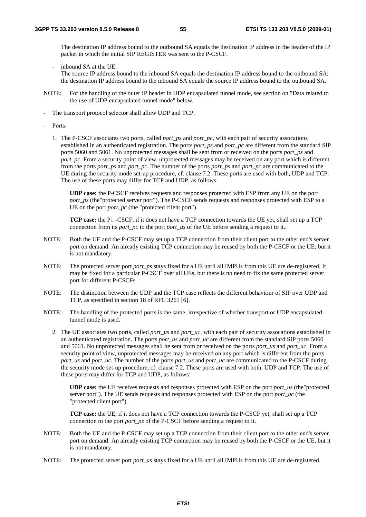The destination IP address bound to the outbound SA equals the destination IP address in the header of the IP packet in which the initial SIP REGISTER was sent to the P-CSCF.

- inbound SA at the UE: The source IP address bound to the inbound SA equals the destination IP address bound to the outbound SA; the destination IP address bound to the inbound SA equals the source IP address bound to the outbound SA.
- NOTE: For the handling of the outer IP header in UDP encapsulated tunnel mode, see section on "Data related to the use of UDP encapsulated tunnel mode" below.
- The transport protocol selector shall allow UDP and TCP.
- Ports:
	- 1. The P-CSCF associates two ports, called *port\_ps* and *port\_pc*, with each pair of security assocations established in an authenticated registration. The ports *port\_ps* and *port\_pc* are different from the standard SIP ports 5060 and 5061. No unprotected messages shall be sent from or received on the ports *port\_ps* and *port\_pc*. From a security point of view, unprotected messages may be received on any port which is different from the ports *port\_ps* and *port\_pc*. The number of the ports *port\_ps* and *port\_pc* are communicated to the UE during the security mode set-up procedure, cf. clause 7.2. These ports are used with both, UDP and TCP. The use of these ports may differ for TCP and UDP, as follows:

 **UDP case:** the P-CSCF receives requests and responses protected with ESP from any UE on the port *port\_ps* (the"protected server port"). The P-CSCF sends requests and responses protected with ESP to a UE on the port *port\_pc* (the "protected client port").

**TCP case:** the  $P\Box$ -CSCF, if it does not have a TCP connection towards the UE yet, shall set up a TCP connection from its *port\_pc* to the port *port\_us* of the UE before sending a request to it...

- NOTE: Both the UE and the P-CSCF may set up a TCP connection from their client port to the other end's server port on demand. An already existing TCP connection may be reused by both the P-CSCF or the UE; but it is not mandatory.
- NOTE: The protected server port *port\_ps* stays fixed for a UE until all IMPUs from this UE are de-registered. It may be fixed for a particular P-CSCF over all UEs, but there is no need to fix the same protected server port for different P-CSCFs.
- NOTE: The distinction between the UDP and the TCP case reflects the different behaviour of SIP over UDP and TCP, as specified in section 18 of RFC 3261 [6].
- NOTE: The handling of the protected ports is the same, irrespective of whether transport or UDP encapsulated tunnel mode is used.
	- 2. The UE associates two ports, called *port\_us* and *port\_uc*, with each pair of security assocations established in an authenticated registration. The ports *port\_us* and *port\_uc* are different from the standard SIP ports 5060 and 5061. No unprotected messages shall be sent from or received on the ports *port\_us* and *port\_uc*. From a security point of view, unprotected messages may be received on any port which is different from the ports *port\_us* and *port\_uc*. The number of the ports *port\_us* and *port\_uc* are communicated to the P-CSCF during the security mode set-up procedure, cf. clause 7.2. These ports are used with both, UDP and TCP. The use of these ports may differ for TCP and UDP, as follows:

**UDP case:** the UE receives requests and responses protected with ESP on the port *port\_us* (the"protected server port"). The UE sends requests and responses protected with ESP on the port *port uc* (the "protected client port").

**TCP case:** the UE, if it does not have a TCP connection towards the P-CSCF yet, shall set up a TCP connection to the port *port ps* of the P-CSCF before sending a request to it.

- NOTE: Both the UE and the P-CSCF may set up a TCP connection from their client port to the other end's server port on demand. An already existing TCP connection may be reused by both the P-CSCF or the UE, but it is not mandatory.
- NOTE: The protected server port *port\_us* stays fixed for a UE until all IMPUs from this UE are de-registered.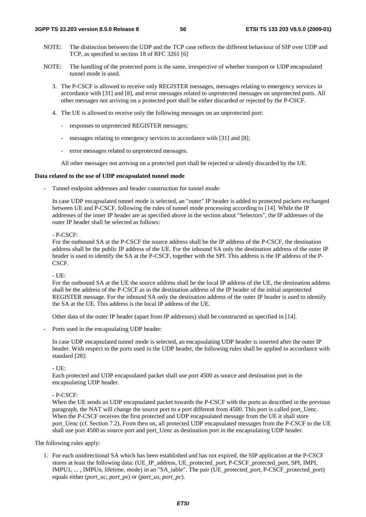- NOTE: The distinction between the UDP and the TCP case reflects the different behaviour of SIP over UDP and TCP, as specified in section 18 of RFC 3261 [6]
- NOTE: The handling of the protected ports is the same, irrespective of whether transport or UDP encapsulated tunnel mode is used.
	- 3. The P-CSCF is allowed to receive only REGISTER messages, messages relating to emergency services in accordance with [31] and [8], and error messages related to unprotected messages on unprotected ports. All other messages not arriving on a protected port shall be either discarded or rejected by the P-CSCF.
	- 4. The UE is allowed to receive only the following messages on an unprotected port:
		- responses to unprotected REGISTER messages;
		- messages relating to emergency services in accordance with [31] and [8];
		- error messages related to unprotected messages.

All other messages not arriving on a protected port shall be rejected or silently discarded by the UE.

#### **Data related to the use of UDP encapsulated tunnel mode**

Tunnel endpoint addresses and header construction for tunnel mode:

In case UDP encapsulated tunnel mode is selected, an "outer" IP header is added to protected packets exchanged between UE and P-CSCF, following the rules of tunnel mode processing according to [14]. While the IP addresses of the inner IP header are as specified above in the section about "Selectors", the IP addresses of the outer IP header shall be selected as follows:

#### $-$  P-CSCF $\cdot$

For the outbound SA at the P-CSCF the source address shall be the IP address of the P-CSCF, the destination address shall be the public IP address of the UE. For the inbound SA only the destination address of the outer IP header is used to identify the SA at the P-CSCF, together with the SPI. This address is the IP address of the P-CSCF.

 $- IIF$ 

For the outbound SA at the UE the source address shall be the local IP address of the UE, the destination address shall be the address of the P-CSCF as in the destination address of the IP header of the initial unprotected REGISTER message. For the inbound SA only the destination address of the outer IP header is used to identify the SA at the UE. This address is the local IP address of the UE.

Other data of the outer IP header (apart from IP addresses) shall be constructed as specified in [14].

Ports used in the encapsulating UDP header:

In case UDP encapsulated tunnel mode is selected, an encapsulating UDP header is inserted after the outer IP header. With respect to the ports used in the UDP header, the following rules shall be applied in accordance with standard [28]:

- UE:

Each protected and UDP encapsulated packet shall use port 4500 as source and destination port in the encapsulating UDP header.

- P-CSCF:

When the UE sends an UDP encapsulated packet towards the P-CSCF with the ports as described in the previous paragraph, the NAT will change the source port to a port different from 4500. This port is called port\_Uenc. When the P-CSCF receives the first protected and UDP encapsulated message from the UE it shall store port\_Uenc (cf. Section 7.2). From then on, all protected UDP encapsulated messages from the P-CSCF to the UE shall use port 4500 as source port and port. Uenc as destination port in the encapsulating UDP header.

The following rules apply:

1. For each unidirectional SA which has been established and has not expired, the SIP application at the P-CSCF stores at least the following data: (UE\_IP\_address, UE\_protected\_port, P-CSCF\_protected\_port, SPI, IMPI, IMPU1, ... , IMPUn, lifetime, mode) in an "SA\_table". The pair (UE\_protected\_port, P-CSCF\_protected\_port) equals either (*port\_uc*, *port\_ps*) or (*port\_us*, *port\_pc*).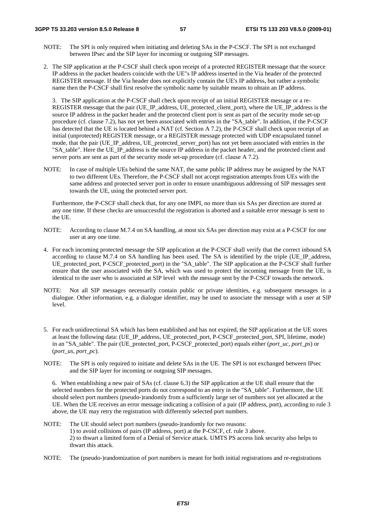- NOTE: The SPI is only required when initiating and deleting SAs in the P-CSCF. The SPI is not exchanged between IPsec and the SIP layer for incoming or outgoing SIP messages.
- 2. The SIP application at the P-CSCF shall check upon receipt of a protected REGISTER message that the source IP address in the packet headers coincide with the UE"s IP address inserted in the Via header of the protected REGISTER message. If the Via header does not explicitly contain the UE's IP address, but rather a symbolic name then the P-CSCF shall first resolve the symbolic name by suitable means to obtain an IP address.

3. The SIP application at the P-CSCF shall check upon receipt of an initial REGISTER message or a re-REGISTER message that the pair (UE\_IP\_address, UE\_protected\_client\_port), where the UE\_IP\_address is the source IP address in the packet header and the protected client port is sent as part of the security mode set-up procedure (cf. clause 7.2), has not yet been associated with entries in the "SA\_table". In addition, if the P-CSCF has detected that the UE is located behind a NAT (cf. Section A 7.2), the P-CSCF shall check upon receipt of an initial (unprotected) REGISTER message, or a REGISTER message protected with UDP encapsulated tunnel mode, that the pair (UE\_IP\_address, UE\_protected\_server\_port) has not yet been associated with entries in the "SA\_table". Here the UE\_IP\_address is the source IP address in the packet header, and the protected client and server ports are sent as part of the security mode set-up procedure (cf. clause A 7.2).

NOTE: In case of multiple UEs behind the same NAT, the same public IP address may be assigned by the NAT to two different UEs. Therefore, the P-CSCF shall not accept registration attempts from UEs with the same address and protected server port in order to ensure unambiguous addressing of SIP messages sent towards the UE, using the protected server port.

Furthermore, the P-CSCF shall check that, for any one IMPI, no more than six SAs per direction are stored at any one time. If these checks are unsuccessful the registration is aborted and a suitable error message is sent to the UE.

- NOTE: According to clause M.7.4 on SA handling, at most six SAs per direction may exist at a P-CSCF for one user at any one time.
- 4. For each incoming protected message the SIP application at the P-CSCF shall verify that the correct inbound SA according to clause M.7.4 on SA handling has been used. The SA is identified by the triple (UE\_IP\_address, UE\_protected\_port, P-CSCF\_protected\_port) in the "SA\_table". The SIP application at the P-CSCF shall further ensure that the user associated with the SA, which was used to protect the incoming message from the UE, is identical to the user who is associated at SIP level with the message sent by the P-CSCF towards the network.
- NOTE: Not all SIP messages necessarily contain public or private identities, e.g. subsequent messages in a dialogue. Other information, e.g. a dialogue identifier, may be used to associate the message with a user at SIP level.
- 5. For each unidirectional SA which has been established and has not expired, the SIP application at the UE stores at least the following data: (UE\_IP\_address, UE\_protected\_port, P-CSCF\_protected\_port, SPI, lifetime, mode) in an "SA\_table". The pair (UE\_protected\_port, P-CSCF\_protected\_port) equals either (*port\_uc, port\_ps*) or (*port\_us, port\_pc*).
- NOTE: The SPI is only required to initiate and delete SAs in the UE. The SPI is not exchanged between IPsec and the SIP layer for incoming or outgoing SIP messages.

6. When establishing a new pair of SAs (cf. clause 6.3) the SIP application at the UE shall ensure that the selected numbers for the protected ports do not correspond to an entry in the "SA\_table". Furthermore, the UE should select port numbers (pseudo-)randomly from a sufficiently large set of numbers not yet allocated at the UE. When the UE receives an error message indicating a collision of a pair (IP address, port), according to rule 3 above, the UE may retry the registration with differently selected port numbers.

- NOTE: The UE should select port numbers (pseudo-)randomly for two reasons: 1) to avoid collisions of pairs (IP address, port) at the P-CSCF, cf. rule 3 above. 2) to thwart a limited form of a Denial of Service attack. UMTS PS access link security also helps to thwart this attack.
- NOTE: The (pseudo-)randomization of port numbers is meant for both initial registrations and re-registrations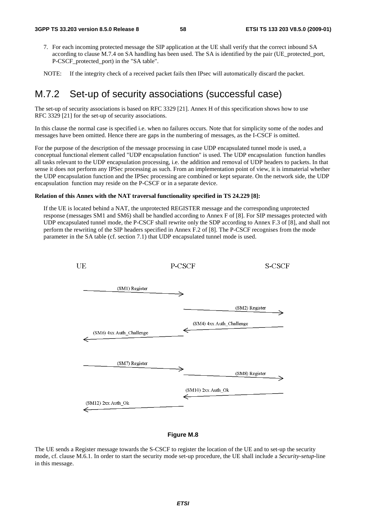- 7. For each incoming protected message the SIP application at the UE shall verify that the correct inbound SA according to clause M.7.4 on SA handling has been used. The SA is identified by the pair (UE\_protected\_port, P-CSCF\_protected\_port) in the "SA table".
- NOTE: If the integrity check of a received packet fails then IPsec will automatically discard the packet.

## M.7.2 Set-up of security associations (successful case)

The set-up of security associations is based on RFC 3329 [21]. Annex H of this specification shows how to use RFC 3329 [21] for the set-up of security associations.

In this clause the normal case is specified i.e. when no failures occurs. Note that for simplicity some of the nodes and messages have been omitted. Hence there are gaps in the numbering of messages, as the I-CSCF is omitted.

For the purpose of the description of the message processing in case UDP encapsulated tunnel mode is used, a conceptual functional element called "UDP encapsulation function" is used. The UDP encapsulation function handles all tasks relevant to the UDP encapsulation processing, i.e. the addition and removal of UDP headers to packets. In that sense it does not perform any IPSec processing as such. From an implementation point of view, it is immaterial whether the UDP encapsulation function and the IPSec processing are combined or kept separate. On the network side, the UDP encapsulation function may reside on the P-CSCF or in a separate device.

#### **Relation of this Annex with the NAT traversal functionality specified in TS 24.229 [8]:**

If the UE is located behind a NAT, the unprotected REGISTER message and the corresponding unprotected response (messages SM1 and SM6) shall be handled according to Annex F of [8]. For SIP messages protected with UDP encapsulated tunnel mode, the P-CSCF shall rewrite only the SDP according to Annex F.3 of [8], and shall not perform the rewriting of the SIP headers specified in Annex F.2 of [8]. The P-CSCF recognises from the mode parameter in the SA table (cf. section 7.1) that UDP encapsulated tunnel mode is used.



### **Figure M.8**

The UE sends a Register message towards the S-CSCF to register the location of the UE and to set-up the security mode, cf. clause M.6.1. In order to start the security mode set-up procedure, the UE shall include a *Security-setup*-line in this message.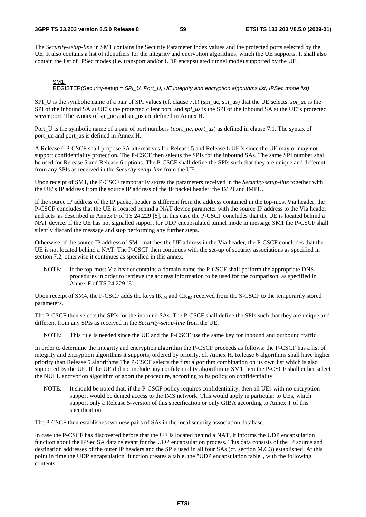#### **3GPP TS 33.203 version 8.5.0 Release 8 59 ETSI TS 133 203 V8.5.0 (2009-01)**

The *Security-setup-line* in SM1 contains the Security Parameter Index values and the protected ports selected by the UE. It also contains a list of identifiers for the integrity and encryption algorithms, which the UE supports. It shall also contain the list of IPSec modes (i.e. transport and/or UDP encapsulated tunnel mode) supported by the UE.

### SM1:

REGISTER(Security-setup = *SPI\_U, Port\_U, UE integrity and encryption algorithms list, IPSec mode list)*

SPI\_U is the symbolic name of a pair of SPI values (cf. clause 7.1) (spi\_uc, spi\_us) that the UE selects. *spi\_uc* is the SPI of the inbound SA at UE"s the protected client port, and *spi\_us* is the SPI of the inbound SA at the UE"s protected server port. The syntax of spi\_uc and spi\_us are defined in Annex H.

Port\_U is the symbolic name of a pair of port numbers (*port\_uc, port\_us*) as defined in clause 7.1. The syntax of port uc and port us is defined in Annex H.

A Release 6 P-CSCF shall propose SA alternatives for Release 5 and Release 6 UE"s since the UE may or may not support confidentiality protection. The P-CSCF then selects the SPIs for the inbound SAs. The same SPI number shall be used for Release 5 and Release 6 options. The P-CSCF shall define the SPIs such that they are unique and different from any SPIs as received in the *Security-setup-line* from the UE.

Upon receipt of SM1, the P-CSCF temporarily stores the parameters received in the *Security-setup*-*line* together with the UE"s IP address from the source IP address of the IP packet header, the IMPI and IMPU.

If the source IP address of the IP packet header is different from the address contained in the top-most Via header, the P-CSCF concludes that the UE is located behind a NAT device parameter with the source IP address to the Via header and acts as described in Annex F of TS 24.229 [8]. In this case the P-CSCF concludes that the UE is located behind a NAT device. If the UE has not signalled support for UDP encapsulated tunnel mode in message SM1 the P-CSCF shall silently discard the message and stop performing any further steps.

Otherwise, if the source IP address of SM1 matches the UE address in the Via header, the P-CSCF concludes that the UE is not located behind a NAT. The P-CSCF then continues with the set-up of security associations as specified in section 7.2, otherwise it continues as specified in this annex.

NOTE: If the top-most Via header contains a domain name the P-CSCF shall perform the appropriate DNS procedures in order to retrieve the address information to be used for the comparison, as specified in Annex F of TS 24.229 [8].

Upon receipt of SM4, the P-CSCF adds the keys  $IK_M$  and  $CK_M$  received from the S-CSCF to the temporarily stored parameters.

The P-CSCF then selects the SPIs for the inbound SAs. The P-CSCF shall define the SPIs such that they are unique and different from any SPIs as received in the *Security-setup-line* from the UE.

NOTE: This rule is needed since the UE and the P-CSCF use the same key for inbound and outbound traffic.

In order to determine the integrity and encryption algorithm the P-CSCF proceeds as follows: the P-CSCF has a list of integrity and encryption algorithms it supports, ordered by priority, cf. Annex H. Release 6 algorithms shall have higher priority than Release 5 algorithms.The P-CSCF selects the first algorithm combination on its own list which is also supported by the UE. If the UE did not include any confidentiality algorithm in SM1 then the P-CSCF shall either select the NULL encryption algorithm or abort the procedure, according to its policy on confidentiality.

NOTE: It should be noted that, if the P-CSCF policy requires confidentiality, then all UEs with no encryption support would be denied access to the IMS network. This would apply in particular to UEs, which support only a Release 5-version of this specification or only GIBA according to Annex T of this specification.

The P-CSCF then establishes two new pairs of SAs in the local security association database.

In case the P-CSCF has discovered before that the UE is located behind a NAT, it informs the UDP encapsulation function about the IPSec SA data relevant for the UDP encapsulation process. This data consists of the IP source and destination addresses of the outer IP headers and the SPIs used in all four SAs (cf. section M.6.3) established. At this point in time the UDP encapsulation function creates a table, the "UDP encapsulation table", with the following contents: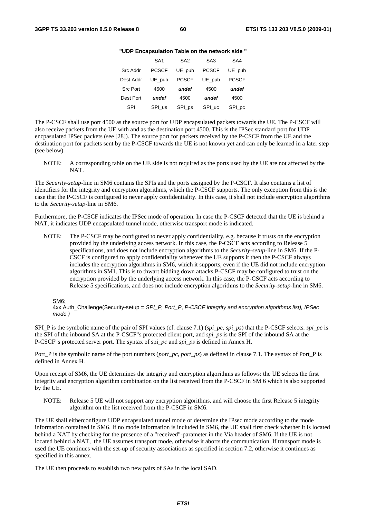### **"UDP Encapsulation Table on the network side "**

|                 | SA <sub>1</sub> | SA <sub>2</sub> | SA <sub>3</sub> | SA4          |
|-----------------|-----------------|-----------------|-----------------|--------------|
| <b>Src Addr</b> | <b>PCSCF</b>    | UE pub          | <b>PCSCF</b>    | UE pub       |
| Dest Addr       | UE pub          | <b>PCSCF</b>    | UE pub          | <b>PCSCF</b> |
| <b>Src Port</b> | 4500            | undef           | 4500            | undef        |
| Dest Port       | undef           | 4500            | undef           | 4500         |
| SPI             | SPI us          | SPI_ps          | SPI uc          | SPI_pc       |

The P-CSCF shall use port 4500 as the source port for UDP encapsulated packets towards the UE. The P-CSCF will also receive packets from the UE with and as the destination port 4500. This is the IPSec standard port for UDP encpasulated IPSec packets (see [28]). The source port for packets received by the P-CSCF from the UE and the destination port for packets sent by the P-CSCF towards the UE is not known yet and can only be learned in a later step (see below).

NOTE: A corresponding table on the UE side is not required as the ports used by the UE are not affected by the NAT.

The *Security-setup-*line in SM6 contains the SPIs and the ports assigned by the P-CSCF. It also contains a list of identifiers for the integrity and encryption algorithms, which the P-CSCF supports. The only exception from this is the case that the P-CSCF is configured to never apply confidentiality. In this case, it shall not include encryption algorithms to the *Security-setup-*line in SM6.

Furthermore, the P-CSCF indicates the IPSec mode of operation. In case the P-CSCF detected that the UE is behind a NAT, it indicates UDP encapsulated tunnel mode, otherwise transport mode is indicated.

NOTE: The P-CSCF may be configured to never apply confidentiality, e.g. because it trusts on the encryption provided by the underlying access network. In this case, the P-CSCF acts according to Release 5 specifications, and does not include encryption algorithms to the *Security-setup-*line in SM6. If the P-CSCF is configured to apply confidentiality whenever the UE supports it then the P-CSCF always includes the encryption algorithms in SM6, which it supports, even if the UE did not include encryption algorithms in SM1. This is to thwart bidding down attacks.P-CSCF may be configured to trust on the encryption provided by the underlying access network. In this case, the P-CSCF acts according to Release 5 specifications, and does not include encryption algorithms to the *Security-setup-*line in SM6.

#### SM6:

4xx Auth\_Challenge(Security-setup = *SPI\_P, Port\_P*, *P-CSCF integrity and encryption algorithms list), IPSec mode )*

SPI\_P is the symbolic name of the pair of SPI values (cf. clause 7.1) (*spi\_pc, spi\_ps*) that the P-CSCF selects. *spi\_pc* is the SPI of the inbound SA at the P-CSCF"s protected client port, and *spi\_ps* is the SPI of the inbound SA at the P-CSCF"s protected server port. The syntax of spi*\_pc* and *spi\_ps* is defined in Annex H.

Port\_P is the symbolic name of the port numbers (*port\_pc*, *port\_ps*) as defined in clause 7.1. The syntax of Port\_P is defined in Annex H.

Upon receipt of SM6, the UE determines the integrity and encryption algorithms as follows: the UE selects the first integrity and encryption algorithm combination on the list received from the P-CSCF in SM 6 which is also supported by the UE.

NOTE: Release 5 UE will not support any encryption algorithms, and will choose the first Release 5 integrity algorithm on the list received from the P-CSCF in SM6.

The UE shall eitherconfigure UDP encapsulated tunnel mode or determine the IPsec mode according to the mode information contained in SM6. If no mode information is included in SM6, the UE shall first check whether it is located behind a NAT by checking for the presence of a "received"-parameter in the Via header of SM6. If the UE is not located behind a NAT, the UE assumes transport mode, otherwise it aborts the communication. If transport mode is used the UE continues with the set-up of security associations as specified in section 7.2, otherwise it continues as specified in this annex.

The UE then proceeds to establish two new pairs of SAs in the local SAD.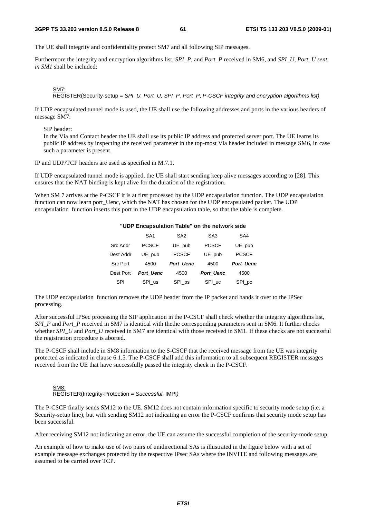#### **3GPP TS 33.203 version 8.5.0 Release 8 61 ETSI TS 133 203 V8.5.0 (2009-01)**

The UE shall integrity and confidentiality protect SM7 and all following SIP messages.

Furthermore the integrity and encryption algorithms list, *SPI\_P,* and *Port\_P* received in SM6, and *SPI\_U, Port\_U sent in SM1* shall be included:

#### SM7: REGISTER(Security-setup = *SPI\_U, Port\_U, SPI\_P, Port\_P*, *P-CSCF integrity and encryption algorithms list)*

If UDP encapsulated tunnel mode is used, the UE shall use the following addresses and ports in the various headers of message SM7:

SIP header:

In the Via and Contact header the UE shall use its public IP address and protected server port. The UE learns its public IP address by inspecting the received parameter in the top-most Via header included in message SM6, in case such a parameter is present.

IP and UDP/TCP headers are used as specified in M.7.1.

If UDP encapsulated tunnel mode is applied, the UE shall start sending keep alive messages according to [28]. This ensures that the NAT binding is kept alive for the duration of the registration.

When SM 7 arrives at the P-CSCF it is at first processed by the UDP encapsulation function. The UDP encapsulation function can now learn port\_Uenc, which the NAT has chosen for the UDP encapsulated packet. The UDP encapsulation function inserts this port in the UDP encapsulation table, so that the table is complete.

### **"UDP Encapsulation Table" on the network side**

|                 | SA <sub>1</sub>  | SA <sub>2</sub>  | SA <sub>3</sub>  | SA4              |
|-----------------|------------------|------------------|------------------|------------------|
|                 |                  |                  |                  |                  |
| <b>Src Addr</b> | <b>PCSCF</b>     | UE_pub           | <b>PCSCF</b>     | UE_pub           |
| Dest Addr       | UE pub           | <b>PCSCF</b>     | UE pub           | <b>PCSCF</b>     |
| <b>Src Port</b> | 4500             | <b>Port Uenc</b> | 4500             | <b>Port Uenc</b> |
| Dest Port       | <b>Port Uenc</b> | 4500             | <b>Port Uenc</b> | 4500             |
| <b>SPI</b>      | SPI us           | SPI_ps           | SPI uc           | SPI_pc           |

The UDP encapsulation function removes the UDP header from the IP packet and hands it over to the IPSec processing.

After successful IPSec processing the SIP application in the P-CSCF shall check whether the integrity algorithms list, *SPI\_P* and *Port\_P* received in SM7 is identical with thethe corresponding parameters sent in SM6. It further checks whether *SPI\_U* and *Port\_U* received in SM7 are identical with those received in SM1. If these checks are not successful the registration procedure is aborted.

The P-CSCF shall include in SM8 information to the S-CSCF that the received message from the UE was integrity protected as indicated in clause 6.1.5. The P-CSCF shall add this information to all subsequent REGISTER messages received from the UE that have successfully passed the integrity check in the P-CSCF.

#### <u>SM8:</u> REGISTER(Integrity-Protection = *Successful,* IMPI*)*

The P-CSCF finally sends SM12 to the UE. SM12 does not contain information specific to security mode setup (i.e. a Security-setup line), but with sending SM12 not indicating an error the P-CSCF confirms that security mode setup has been successful.

After receiving SM12 not indicating an error, the UE can assume the successful completion of the security-mode setup.

An example of how to make use of two pairs of unidirectional SAs is illustrated in the figure below with a set of example message exchanges protected by the respective IPsec SAs where the INVITE and following messages are assumed to be carried over TCP.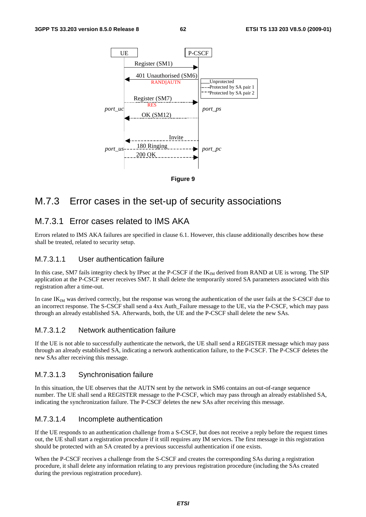

### **Figure 9**

## M.7.3 Error cases in the set-up of security associations

### M.7.3.1 Error cases related to IMS AKA

Errors related to IMS AKA failures are specified in clause 6.1. However, this clause additionally describes how these shall be treated, related to security setup.

### M.7.3.1.1 User authentication failure

In this case, SM7 fails integrity check by IPsec at the P-CSCF if the  $IK_{\text{IM}}$  derived from RAND at UE is wrong. The SIP application at the P-CSCF never receives SM7. It shall delete the temporarily stored SA parameters associated with this registration after a time-out.

In case IK<sub>IM</sub> was derived correctly, but the response was wrong the authentication of the user fails at the S-CSCF due to an incorrect response. The S-CSCF shall send a 4xx Auth Failure message to the UE, via the P-CSCF, which may pass through an already established SA. Afterwards, both, the UE and the P-CSCF shall delete the new SAs.

### M.7.3.1.2 Network authentication failure

If the UE is not able to successfully authenticate the network, the UE shall send a REGISTER message which may pass through an already established SA, indicating a network authentication failure, to the P-CSCF. The P-CSCF deletes the new SAs after receiving this message.

### M.7.3.1.3 Synchronisation failure

In this situation, the UE observes that the AUTN sent by the network in SM6 contains an out-of-range sequence number. The UE shall send a REGISTER message to the P-CSCF, which may pass through an already established SA, indicating the synchronization failure. The P-CSCF deletes the new SAs after receiving this message.

### M.7.3.1.4 Incomplete authentication

If the UE responds to an authentication challenge from a S-CSCF, but does not receive a reply before the request times out, the UE shall start a registration procedure if it still requires any IM services. The first message in this registration should be protected with an SA created by a previous successful authentication if one exists.

When the P-CSCF receives a challenge from the S-CSCF and creates the corresponding SAs during a registration procedure, it shall delete any information relating to any previous registration procedure (including the SAs created during the previous registration procedure).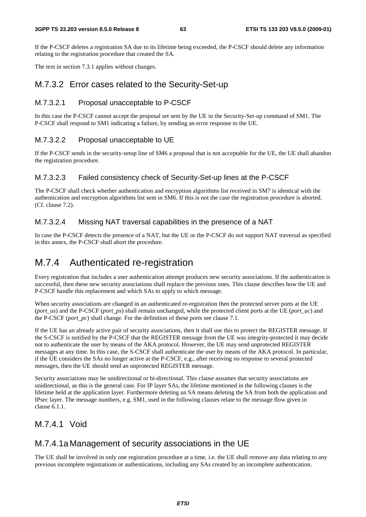If the P-CSCF deletes a registration SA due to its lifetime being exceeded, the P-CSCF should delete any information relating to the registration procedure that created the SA.

The text in section 7.3.1 applies without changes.

### M.7.3.2 Error cases related to the Security-Set-up

### M.7.3.2.1 Proposal unacceptable to P-CSCF

In this case the P-CSCF cannot accept the proposal set sent by the UE in the Security-Set-up command of SM1. The P-CSCF shall respond to SM1 indicating a failure, by sending an error response to the UE.

### M.7.3.2.2 Proposal unacceptable to UE

If the P-CSCF sends in the security-setup line of SM6 a proposal that is not acceptable for the UE, the UE shall abandon the registration procedure.

### M.7.3.2.3 Failed consistency check of Security-Set-up lines at the P-CSCF

The P-CSCF shall check whether authentication and encryption algorithms list received in SM7 is identical with the authentication and encryption algorithms list sent in SM6. If this is not the case the registration procedure is aborted. (Cf. clause 7.2).

### M.7.3.2.4 Missing NAT traversal capabilities in the presence of a NAT

In case the P-CSCF detects the presence of a NAT, but the UE or the P-CSCF do not support NAT traversal as specified in this annex, the P-CSCF shall abort the procedure.

## M.7.4 Authenticated re-registration

Every registration that includes a user authentication attempt produces new security associations. If the authentication is successful, then these new security associations shall replace the previous ones. This clause describes how the UE and P-CSCF handle this replacement and which SAs to apply to which message.

When security associations are changed in an authenticated re-registration then the protected server ports at the UE (*port\_us*) and the P-CSCF (*port\_ps*) shall remain unchanged, while the protected client ports at the UE (*port\_uc*) and the P-CSCF (*port\_pc*) shall change. For the definition of these ports see clause 7.1.

If the UE has an already active pair of security associations, then it shall use this to protect the REGISTER message. If the S-CSCF is notified by the P-CSCF that the REGISTER message from the UE was integrity-protected it may decide not to authenticate the user by means of the AKA protocol. However, the UE may send unprotected REGISTER messages at any time. In this case, the S-CSCF shall authenticate the user by means of the AKA protocol. In particular, if the UE considers the SAs no longer active at the P-CSCF, e.g., after receiving no response to several protected messages, then the UE should send an unprotected REGISTER message.

Security associations may be unidirectional or bi-directional. This clause assumes that security associations are unidirectional, as this is the general case. For IP layer SAs, the lifetime mentioned in the following clauses is the lifetime held at the application layer. Furthermore deleting an SA means deleting the SA from both the application and IPsec layer. The message numbers, e.g. SM1, used in the following clauses relate to the message flow given in clause 6.1.1.

### M.7.4.1 Void

### M.7.4.1a Management of security associations in the UE

The UE shall be involved in only one registration procedure at a time, i.e. the UE shall remove any data relating to any previous incomplete registrations or authentications, including any SAs created by an incomplete authentication.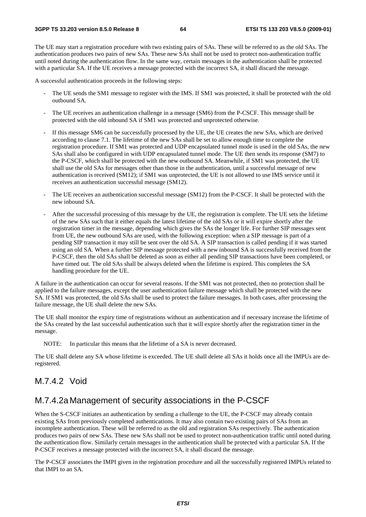The UE may start a registration procedure with two existing pairs of SAs. These will be referred to as the old SAs. The authentication produces two pairs of new SAs. These new SAs shall not be used to protect non-authentication traffic until noted during the authentication flow. In the same way, certain messages in the authentication shall be protected with a particular SA. If the UE receives a message protected with the incorrect SA, it shall discard the message.

A successful authentication proceeds in the following steps:

- The UE sends the SM1 message to register with the IMS. If SM1 was protected, it shall be protected with the old outbound SA.
- The UE receives an authentication challenge in a message (SM6) from the P-CSCF. This message shall be protected with the old inbound SA if SM1 was protected and unprotected otherwise.
- If this message SM6 can be successfully processed by the UE, the UE creates the new SAs, which are derived according to clause 7.1. The lifetime of the new SAs shall be set to allow enough time to complete the registration procedure. If SM1 was protected and UDP encapsulated tunnel mode is used in the old SAs, the new SAs shall also be configured in with UDP encapsulated tunnel mode. The UE then sends its response (SM7) to the P-CSCF, which shall be protected with the new outbound SA. Meanwhile, if SM1 was protected, the UE shall use the old SAs for messages other than those in the authentication, until a successful message of new authentication is received (SM12); if SM1 was unprotected, the UE is not allowed to use IMS service until it receives an authentication successful message (SM12).
- The UE receives an authentication successful message (SM12) from the P-CSCF. It shall be protected with the new inbound SA.
- After the successful processing of this message by the UE, the registration is complete. The UE sets the lifetime of the new SAs such that it either equals the latest lifetime of the old SAs or it will expire shortly after the registration timer in the message, depending which gives the SAs the longer life. For further SIP messages sent from UE, the new outbound SAs are used, with the following exception: when a SIP message is part of a pending SIP transaction it may still be sent over the old SA. A SIP transaction is called pending if it was started using an old SA. When a further SIP message protected with a new inbound SA is successfully received from the P-CSCF, then the old SAs shall be deleted as soon as either all pending SIP transactions have been completed, or have timed out. The old SAs shall be always deleted when the lifetime is expired. This completes the SA handling procedure for the UE.

A failure in the authentication can occur for several reasons. If the SM1 was not protected, then no protection shall be applied to the failure messages, except the user authentication failure message which shall be protected with the new SA. If SM1 was protected, the old SAs shall be used to protect the failure messages. In both cases, after processing the failure message, the UE shall delete the new SAs.

The UE shall monitor the expiry time of registrations without an authentication and if necessary increase the lifetime of the SAs created by the last successful authentication such that it will expire shortly after the registration timer in the message.

NOTE: In particular this means that the lifetime of a SA is never decreased.

The UE shall delete any SA whose lifetime is exceeded. The UE shall delete all SAs it holds once all the IMPUs are deregistered.

### M.7.4.2 Void

## M.7.4.2a Management of security associations in the P-CSCF

When the S-CSCF initiates an authentication by sending a challenge to the UE, the P-CSCF may already contain existing SAs from previously completed authentications. It may also contain two existing pairs of SAs from an incomplete authentication. These will be referred to as the old and registration SAs respectively. The authentication produces two pairs of new SAs. These new SAs shall not be used to protect non-authentication traffic until noted during the authentication flow. Similarly certain messages in the authentication shall be protected with a particular SA. If the P-CSCF receives a message protected with the incorrect SA, it shall discard the message.

The P-CSCF associates the IMPI given in the registration procedure and all the successfully registered IMPUs related to that IMPI to an SA.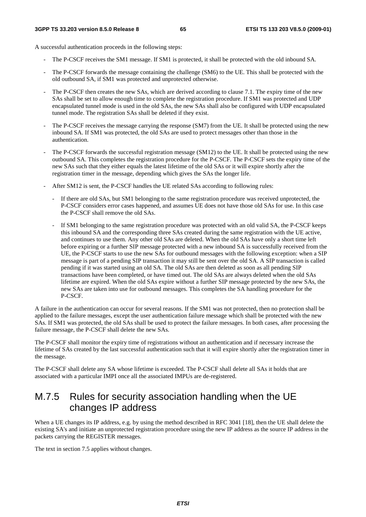A successful authentication proceeds in the following steps:

- The P-CSCF receives the SM1 message. If SM1 is protected, it shall be protected with the old inbound SA.
- The P-CSCF forwards the message containing the challenge (SM6) to the UE. This shall be protected with the old outbound SA, if SM1 was protected and unprotected otherwise.
- The P-CSCF then creates the new SAs, which are derived according to clause 7.1. The expiry time of the new SAs shall be set to allow enough time to complete the registration procedure. If SM1 was protected and UDP encapsulated tunnel mode is used in the old SAs, the new SAs shall also be configured with UDP encapsulated tunnel mode. The registration SAs shall be deleted if they exist.
- The P-CSCF receives the message carrying the response (SM7) from the UE. It shall be protected using the new inbound SA. If SM1 was protected, the old SAs are used to protect messages other than those in the authentication.
- The P-CSCF forwards the successful registration message (SM12) to the UE. It shall be protected using the new outbound SA. This completes the registration procedure for the P-CSCF. The P-CSCF sets the expiry time of the new SAs such that they either equals the latest lifetime of the old SAs or it will expire shortly after the registration timer in the message, depending which gives the SAs the longer life.
- After SM12 is sent, the P-CSCF handles the UE related SAs according to following rules:
	- If there are old SAs, but SM1 belonging to the same registration procedure was received unprotected, the P-CSCF considers error cases happened, and assumes UE does not have those old SAs for use. In this case the P-CSCF shall remove the old SAs.
	- If SM1 belonging to the same registration procedure was protected with an old valid SA, the P-CSCF keeps this inbound SA and the corresponding three SAs created during the same registration with the UE active, and continues to use them. Any other old SAs are deleted. When the old SAs have only a short time left before expiring or a further SIP message protected with a new inbound SA is successfully received from the UE, the P-CSCF starts to use the new SAs for outbound messages with the following exception: when a SIP message is part of a pending SIP transaction it may still be sent over the old SA. A SIP transaction is called pending if it was started using an old SA. The old SAs are then deleted as soon as all pending SIP transactions have been completed, or have timed out. The old SAs are always deleted when the old SAs lifetime are expired. When the old SAs expire without a further SIP message protected by the new SAs, the new SAs are taken into use for outbound messages. This completes the SA handling procedure for the P-CSCF.

A failure in the authentication can occur for several reasons. If the SM1 was not protected, then no protection shall be applied to the failure messages, except the user authentication failure message which shall be protected with the new SAs. If SM1 was protected, the old SAs shall be used to protect the failure messages. In both cases, after processing the failure message, the P-CSCF shall delete the new SAs.

The P-CSCF shall monitor the expiry time of registrations without an authentication and if necessary increase the lifetime of SAs created by the last successful authentication such that it will expire shortly after the registration timer in the message.

The P-CSCF shall delete any SA whose lifetime is exceeded. The P-CSCF shall delete all SAs it holds that are associated with a particular IMPI once all the associated IMPUs are de-registered.

## M.7.5 Rules for security association handling when the UE changes IP address

When a UE changes its IP address, e.g. by using the method described in RFC 3041 [18], then the UE shall delete the existing SA's and initiate an unprotected registration procedure using the new IP address as the source IP address in the packets carrying the REGISTER messages.

The text in section 7.5 applies without changes.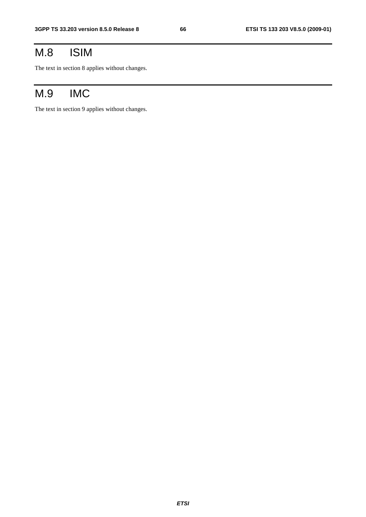# M.8 ISIM

The text in section 8 applies without changes.

# M.9 IMC

The text in section 9 applies without changes.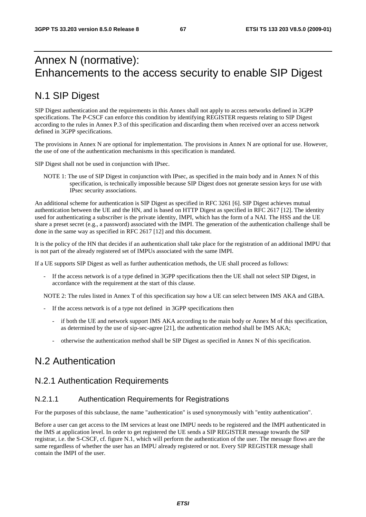# Annex N (normative): Enhancements to the access security to enable SIP Digest

## N.1 SIP Digest

SIP Digest authentication and the requirements in this Annex shall not apply to access networks defined in 3GPP specifications. The P-CSCF can enforce this condition by identifying REGISTER requests relating to SIP Digest according to the rules in Annex P.3 of this specification and discarding them when received over an access network defined in 3GPP specifications.

The provisions in Annex N are optional for implementation. The provisions in Annex N are optional for use. However, the use of one of the authentication mechanisms in this specification is mandated.

SIP Digest shall not be used in conjunction with IPsec.

NOTE 1: The use of SIP Digest in conjunction with IPsec, as specified in the main body and in Annex N of this specification, is technically impossible because SIP Digest does not generate session keys for use with IPsec security associations.

An additional scheme for authentication is SIP Digest as specified in RFC 3261 [6]. SIP Digest achieves mutual authentication between the UE and the HN, and is based on HTTP Digest as specified in RFC 2617 [12]. The identity used for authenticating a subscriber is the private identity, IMPI, which has the form of a NAI. The HSS and the UE share a preset secret (e.g., a password) associated with the IMPI. The generation of the authentication challenge shall be done in the same way as specified in RFC 2617 [12] and this document.

It is the policy of the HN that decides if an authentication shall take place for the registration of an additional IMPU that is not part of the already registered set of IMPUs associated with the same IMPI.

If a UE supports SIP Digest as well as further authentication methods, the UE shall proceed as follows:

If the access network is of a type defined in 3GPP specifications then the UE shall not select SIP Digest, in accordance with the requirement at the start of this clause.

NOTE 2: The rules listed in Annex T of this specification say how a UE can select between IMS AKA and GIBA.

- If the access network is of a type not defined in 3GPP specifications then
	- if both the UE and network support IMS AKA according to the main body or Annex M of this specification, as determined by the use of sip-sec-agree [21], the authentication method shall be IMS AKA;
	- otherwise the authentication method shall be SIP Digest as specified in Annex N of this specification.

## N.2 Authentication

### N.2.1 Authentication Requirements

### N.2.1.1 Authentication Requirements for Registrations

For the purposes of this subclause, the name "authentication" is used synonymously with "entity authentication".

Before a user can get access to the IM services at least one IMPU needs to be registered and the IMPI authenticated in the IMS at application level. In order to get registered the UE sends a SIP REGISTER message towards the SIP registrar, i.e. the S-CSCF, cf. figure N.1, which will perform the authentication of the user. The message flows are the same regardless of whether the user has an IMPU already registered or not. Every SIP REGISTER message shall contain the IMPI of the user.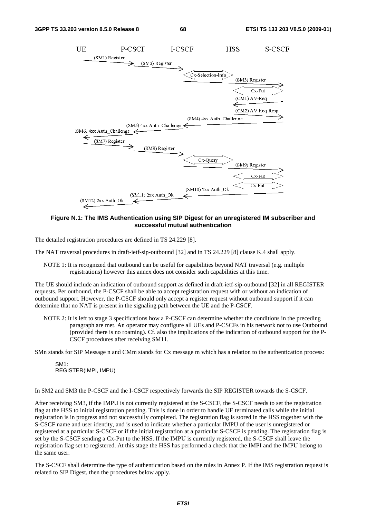

### **Figure N.1: The IMS Authentication using SIP Digest for an unregistered IM subscriber and successful mutual authentication**

The detailed registration procedures are defined in TS 24.229 [8].

The NAT traversal procedures in draft-ietf-sip-outbound [32] and in TS 24.229 [8] clause K.4 shall apply.

NOTE 1: It is recognized that outbound can be useful for capabilities beyond NAT traversal (e.g. multiple registrations) however this annex does not consider such capabilities at this time.

The UE should include an indication of outbound support as defined in draft-ietf-sip-outbound [32] in all REGISTER requests. Per outbound, the P-CSCF shall be able to accept registration request with or without an indication of outbound support. However, the P-CSCF should only accept a register request without outbound support if it can determine that no NAT is present in the signaling path between the UE and the P-CSCF.

NOTE 2: It is left to stage 3 specifications how a P-CSCF can determine whether the conditions in the preceding paragraph are met. An operator may configure all UEs and P-CSCFs in his network not to use Outbound (provided there is no roaming). Cf. also the implications of the indication of outbound support for the P-CSCF procedures after receiving SM11.

SMn stands for SIP Message n and CMm stands for Cx message m which has a relation to the authentication process:

SM1: REGISTER(IMPI, IMPU)

In SM2 and SM3 the P-CSCF and the I-CSCF respectively forwards the SIP REGISTER towards the S-CSCF.

After receiving SM3, if the IMPU is not currently registered at the S-CSCF, the S-CSCF needs to set the registration flag at the HSS to initial registration pending. This is done in order to handle UE terminated calls while the initial registration is in progress and not successfully completed. The registration flag is stored in the HSS together with the S-CSCF name and user identity, and is used to indicate whether a particular IMPU of the user is unregistered or registered at a particular S-CSCF or if the initial registration at a particular S-CSCF is pending. The registration flag is set by the S-CSCF sending a Cx-Put to the HSS. If the IMPU is currently registered, the S-CSCF shall leave the registration flag set to registered. At this stage the HSS has performed a check that the IMPI and the IMPU belong to the same user.

The S-CSCF shall determine the type of authentication based on the rules in Annex P. If the IMS registration request is related to SIP Digest, then the procedures below apply.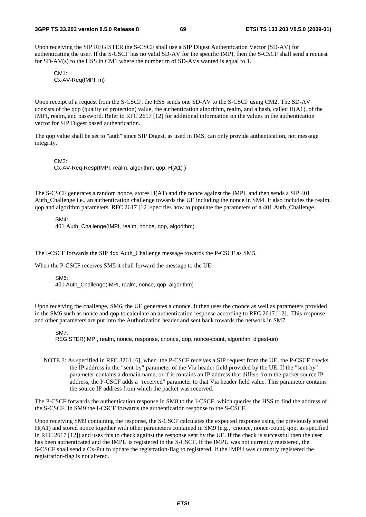Upon receiving the SIP REGISTER the S-CSCF shall use a SIP Digest Authentication Vector (SD-AV) for authenticating the user. If the S-CSCF has no valid SD-AV for the specific IMPI, then the S-CSCF shall send a request for SD-AV(s) to the HSS in CM1 where the number m of SD-AVs wanted is equal to 1.

 $CM1$ Cx-AV-Req(IMPI, m)

Upon receipt of a request from the S-CSCF, the HSS sends one SD-AV to the S-CSCF using CM2. The SD-AV consists of the qop (quality of protection) value, the authentication algorithm, realm, and a hash, called H(A1), of the IMPI, realm, and password. Refer to RFC 2617 [12] for additional information on the values in the authentication vector for SIP Digest based authentication.

The qop value shall be set to "auth" since SIP Digest, as used in IMS, can only provide authentication, not message integrity.

CM2:

Cx-AV-Req-Resp(IMPI, realm, algorithm, qop, H(A1) )

The S-CSCF generates a random nonce, stores H(A1) and the nonce against the IMPI, and then sends a SIP 401 Auth Challenge i.e., an authentication challenge towards the UE including the nonce in SM4. It also includes the realm, qop and algorithm parameters. RFC 2617 [12] specifies how to populate the parameters of a 401 Auth\_Challenge.

SM4:

401 Auth Challenge(IMPI, realm, nonce, gop, algorithm)

The I-CSCF forwards the SIP 4xx Auth\_Challenge message towards the P-CSCF as SM5.

When the P-CSCF receives SM5 it shall forward the message to the UE.

SM6: 401 Auth\_Challenge(IMPI, realm, nonce, qop, algorithm)

Upon receiving the challenge, SM6, the UE generates a cnonce. It then uses the cnonce as well as parameters provided in the SM6 such as nonce and qop to calculate an authentication response according to RFC 2617 [12]. This response and other parameters are put into the Authorization header and sent back towards the network in SM7.

#### SM7:

REGISTER(IMPI, realm, nonce, response, cnonce, qop, nonce-count, algorithm, digest-uri)

NOTE 3: As specified in RFC 3261 [6], when the P-CSCF receives a SIP request from the UE, the P-CSCF checks the IP address in the "sent-by" parameter of the Via header field provided by the UE. If the "sent-by" parameter contains a domain name, or if it contains an IP address that differs from the packet source IP address, the P-CSCF adds a "received" parameter to that Via header field value. This parameter contains the source IP address from which the packet was received.

The P-CSCF forwards the authentication response in SM8 to the I-CSCF, which queries the HSS to find the address of the S-CSCF. In SM9 the I-CSCF forwards the authentication response to the S-CSCF.

Upon receiving SM9 containing the response, the S-CSCF calculates the expected response using the previously stored H(A1) and stored nonce together with other parameters contained in SM9 (e.g., cnonce, nonce-count, qop, as specified in RFC 2617 [12]) and uses this to check against the response sent by the UE. If the check is successful then the user has been authenticated and the IMPU is registered in the S-CSCF. If the IMPU was not currently registered, the S-CSCF shall send a Cx-Put to update the registration-flag to registered. If the IMPU was currently registered the registration-flag is not altered.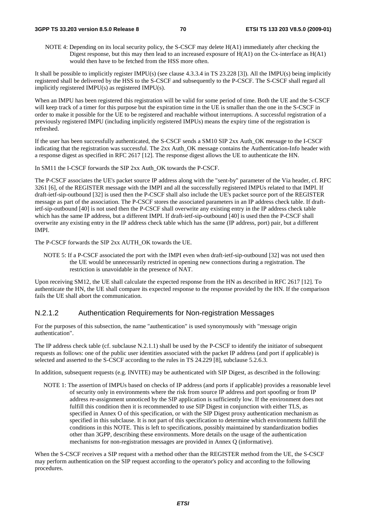#### **3GPP TS 33.203 version 8.5.0 Release 8 70 ETSI TS 133 203 V8.5.0 (2009-01)**

 NOTE 4: Depending on its local security policy, the S-CSCF may delete H(A1) immediately after checking the Digest response, but this may then lead to an increased exposure of  $H(A1)$  on the Cx-interface as  $H(A1)$ would then have to be fetched from the HSS more often.

It shall be possible to implicitly register IMPU(s) (see clause 4.3.3.4 in TS 23.228 [3]). All the IMPU(s) being implicitly registered shall be delivered by the HSS to the S-CSCF and subsequently to the P-CSCF. The S-CSCF shall regard all implicitly registered IMPU(s) as registered IMPU(s).

When an IMPU has been registered this registration will be valid for some period of time. Both the UE and the S-CSCF will keep track of a timer for this purpose but the expiration time in the UE is smaller than the one in the S-CSCF in order to make it possible for the UE to be registered and reachable without interruptions. A successful registration of a previously registered IMPU (including implicitly registered IMPUs) means the expiry time of the registration is refreshed.

If the user has been successfully authenticated, the S-CSCF sends a SM10 SIP 2xx Auth\_OK message to the I-CSCF indicating that the registration was successful. The 2xx Auth OK message contains the Authentication-Info header with a response digest as specified in RFC 2617 [12]. The response digest allows the UE to authenticate the HN.

In SM11 the I-CSCF forwards the SIP 2xx Auth\_OK towards the P-CSCF.

The P-CSCF associates the UE's packet source IP address along with the "sent-by" parameter of the Via header, cf. RFC 3261 [6], of the REGISTER message with the IMPI and all the successfully registered IMPUs related to that IMPI. If draft-ietf-sip-outbound [32] is used then the P-CSCF shall also include the UE's packet source port of the REGISTER message as part of the association. The P-CSCF stores the associated parameters in an IP address check table. If draftietf-sip-outbound [40] is not used then the P-CSCF shall overwrite any existing entry in the IP address check table which has the same IP address, but a different IMPI. If draft-ietf-sip-outbound [40] is used then the P-CSCF shall overwrite any existing entry in the IP address check table which has the same (IP address, port) pair, but a different IMPI.

The P-CSCF forwards the SIP 2xx AUTH\_OK towards the UE.

NOTE 5: If a P-CSCF associated the port with the IMPI even when draft-ietf-sip-outbound [32] was not used then the UE would be unnecessarily restricted in opening new connections during a registration. The restriction is unavoidable in the presence of NAT.

Upon receiving SM12, the UE shall calculate the expected response from the HN as described in RFC 2617 [12]. To authenticate the HN, the UE shall compare its expected response to the response provided by the HN. If the comparison fails the UE shall abort the communication.

### N.2.1.2 Authentication Requirements for Non-registration Messages

For the purposes of this subsection, the name "authentication" is used synonymously with "message origin authentication".

The IP address check table (cf. subclause N.2.1.1) shall be used by the P-CSCF to identify the initiator of subsequent requests as follows: one of the public user identities associated with the packet IP address (and port if applicable) is selected and asserted to the S-CSCF according to the rules in TS 24.229 [8], subclause 5.2.6.3.

In addition, subsequent requests (e.g. INVITE) may be authenticated with SIP Digest, as described in the following:

NOTE 1: The assertion of IMPUs based on checks of IP address (and ports if applicable) provides a reasonable level of security only in environments where the risk from source IP address and port spoofing or from IP address re-assignment unnoticed by the SIP application is sufficiently low. If the environment does not fulfill this condition then it is recommended to use SIP Digest in conjunction with either TLS, as specified in Annex O of this specification, or with the SIP Digest proxy authentication mechanism as specified in this subclause. It is not part of this specification to determine which environments fulfill the conditions in this NOTE. This is left to specifications, possibly maintained by standardization bodies other than 3GPP, describing these environments. More details on the usage of the authentication mechanisms for non-registration messages are provided in Annex Q (informative).

When the S-CSCF receives a SIP request with a method other than the REGISTER method from the UE, the S-CSCF may perform authentication on the SIP request according to the operator's policy and according to the following procedures.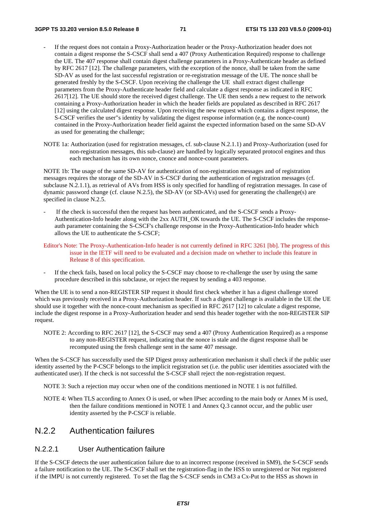- If the request does not contain a Proxy-Authorization header or the Proxy-Authorization header does not contain a digest response the S-CSCF shall send a 407 (Proxy Authentication Required) response to challenge the UE. The 407 response shall contain digest challenge parameters in a Proxy-Authenticate header as defined by RFC 2617 [12]. The challenge parameters, with the exception of the nonce, shall be taken from the same SD-AV as used for the last successful registration or re-registration message of the UE. The nonce shall be generated freshly by the S-CSCF. Upon receiving the challenge the UE shall extract digest challenge parameters from the Proxy-Authenticate header field and calculate a digest response as indicated in RFC 2617[12]. The UE should store the received digest challenge. The UE then sends a new request to the network containing a Proxy-Authorization header in which the header fields are populated as described in RFC 2617 [12] using the calculated digest response. Upon receiving the new request which contains a digest response, the S-CSCF verifies the user"s identity by validating the digest response information (e.g. the nonce-count) contained in the Proxy-Authorization header field against the expected information based on the same SD-AV as used for generating the challenge;
- NOTE 1a: Authorization (used for registration messages, cf. sub-clause N.2.1.1) and Proxy-Authorization (used for non-registration messages, this sub-clause) are handled by logically separated protocol engines and thus each mechanism has its own nonce, cnonce and nonce-count parameters.

NOTE 1b: The usage of the same SD-AV for authentication of non-registration messages and of registration messages requires the storage of the SD-AV in S-CSCF during the authentication of registration messages (cf. subclause N.2.1.1), as retrieval of AVs from HSS is only specified for handling of registration messages. In case of dynamic password change (cf. clause N.2.5), the SD-AV (or SD-AVs) used for generating the challenge(s) are specified in clause N.2.5.

- If the check is successful then the request has been authenticated, and the S-CSCF sends a Proxy-Authentication-Info header along with the 2xx AUTH\_OK towards the UE. The S-CSCF includes the responseauth parameter containing the S-CSCF's challenge response in the Proxy-Authentication-Info header which allows the UE to authenticate the S-CSCF;
- Editor's Note: The Proxy-Authentication-Info header is not currently defined in RFC 3261 [bb]. The progress of this issue in the IETF will need to be evaluated and a decision made on whether to include this feature in Release 8 of this specification.
- If the check fails, based on local policy the S-CSCF may choose to re-challenge the user by using the same procedure described in this subclause, or reject the request by sending a 403 response.

When the UE is to send a non-REGISTER SIP request it should first check whether it has a digest challenge stored which was previously received in a Proxy-Authorization header. If such a digest challenge is available in the UE the UE should use it together with the nonce-count mechanism as specified in RFC 2617 [12] to calculate a digest response, include the digest response in a Proxy-Authorization header and send this header together with the non-REGISTER SIP request.

NOTE 2: According to RFC 2617 [12], the S-CSCF may send a 407 (Proxy Authentication Required) as a response to any non-REGISTER request, indicating that the nonce is stale and the digest response shall be recomputed using the fresh challenge sent in the same 407 message.

When the S-CSCF has successfully used the SIP Digest proxy authentication mechanism it shall check if the public user identity asserted by the P-CSCF belongs to the implicit registration set (i.e. the public user identities associated with the authenticated user). If the check is not successful the S-CSCF shall reject the non-registration request.

NOTE 3: Such a rejection may occur when one of the conditions mentioned in NOTE 1 is not fulfilled.

NOTE 4: When TLS according to Annex O is used, or when IPsec according to the main body or Annex M is used, then the failure conditions mentioned in NOTE 1 and Annex Q.3 cannot occur, and the public user identity asserted by the P-CSCF is reliable.

## N.2.2 Authentication failures

### N.2.2.1 User Authentication failure

If the S-CSCF detects the user authentication failure due to an incorrect response (received in SM9), the S-CSCF sends a failure notification to the UE. The S-CSCF shall set the registration-flag in the HSS to unregistered or Not registered if the IMPU is not currently registered. To set the flag the S-CSCF sends in CM3 a Cx-Put to the HSS as shown in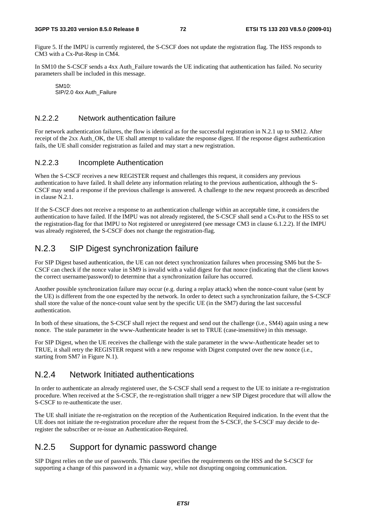Figure 5. If the IMPU is currently registered, the S-CSCF does not update the registration flag. The HSS responds to CM3 with a Cx-Put-Resp in CM4.

In SM10 the S-CSCF sends a 4xx Auth\_Failure towards the UE indicating that authentication has failed. No security parameters shall be included in this message.

SM10: SIP/2.0 4xx Auth\_Failure

### N.2.2.2 Network authentication failure

For network authentication failures, the flow is identical as for the successful registration in N.2.1 up to SM12. After receipt of the 2xx Auth OK, the UE shall attempt to validate the response digest. If the response digest authentication fails, the UE shall consider registration as failed and may start a new registration.

#### N.2.2.3 Incomplete Authentication

When the S-CSCF receives a new REGISTER request and challenges this request, it considers any previous authentication to have failed. It shall delete any information relating to the previous authentication, although the S-CSCF may send a response if the previous challenge is answered. A challenge to the new request proceeds as described in clause N.2.1.

If the S-CSCF does not receive a response to an authentication challenge within an acceptable time, it considers the authentication to have failed. If the IMPU was not already registered, the S-CSCF shall send a Cx-Put to the HSS to set the registration-flag for that IMPU to Not registered or unregistered (see message CM3 in clause 6.1.2.2). If the IMPU was already registered, the S-CSCF does not change the registration-flag.

### N.2.3 SIP Digest synchronization failure

For SIP Digest based authentication, the UE can not detect synchronization failures when processing SM6 but the S-CSCF can check if the nonce value in SM9 is invalid with a valid digest for that nonce (indicating that the client knows the correct username/password) to determine that a synchronization failure has occurred.

Another possible synchronization failure may occur (e.g. during a replay attack) when the nonce-count value (sent by the UE) is different from the one expected by the network. In order to detect such a synchronization failure, the S-CSCF shall store the value of the nonce-count value sent by the specific UE (in the SM7) during the last successful authentication.

In both of these situations, the S-CSCF shall reject the request and send out the challenge (i.e., SM4) again using a new nonce. The stale parameter in the www-Authenticate header is set to TRUE (case-insensitive) in this message.

For SIP Digest, when the UE receives the challenge with the stale parameter in the www-Authenticate header set to TRUE, it shall retry the REGISTER request with a new response with Digest computed over the new nonce (i.e., starting from SM7 in Figure N.1).

### N.2.4 Network Initiated authentications

In order to authenticate an already registered user, the S-CSCF shall send a request to the UE to initiate a re-registration procedure. When received at the S-CSCF, the re-registration shall trigger a new SIP Digest procedure that will allow the S-CSCF to re-authenticate the user.

The UE shall initiate the re-registration on the reception of the Authentication Required indication. In the event that the UE does not initiate the re-registration procedure after the request from the S-CSCF, the S-CSCF may decide to deregister the subscriber or re-issue an Authentication-Required.

### N.2.5 Support for dynamic password change

SIP Digest relies on the use of passwords. This clause specifies the requirements on the HSS and the S-CSCF for supporting a change of this password in a dynamic way, while not disrupting ongoing communication.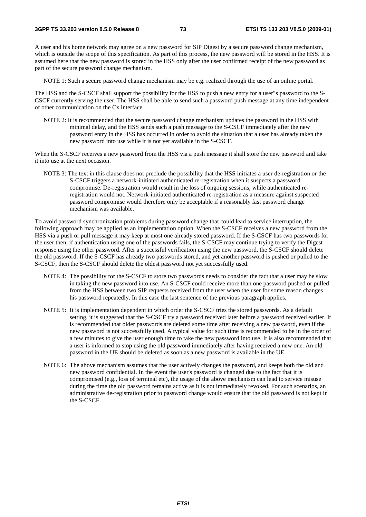A user and his home network may agree on a new password for SIP Digest by a secure password change mechanism, which is outside the scope of this specification. As part of this process, the new password will be stored in the HSS. It is assumed here that the new password is stored in the HSS only after the user confirmed receipt of the new password as part of the secure password change mechanism.

NOTE 1: Such a secure password change mechanism may be e.g. realized through the use of an online portal.

The HSS and the S-CSCF shall support the possibility for the HSS to push a new entry for a user"s password to the S-CSCF currently serving the user. The HSS shall be able to send such a password push message at any time independent of other communication on the Cx interface.

NOTE 2: It is recommended that the secure password change mechanism updates the password in the HSS with minimal delay, and the HSS sends such a push message to the S-CSCF immediately after the new password entry in the HSS has occurred in order to avoid the situation that a user has already taken the new password into use while it is not yet available in the S-CSCF.

When the S-CSCF receives a new password from the HSS via a push message it shall store the new password and take it into use at the next occasion.

NOTE 3: The text in this clause does not preclude the possibility that the HSS initiates a user de-registration or the S-CSCF triggers a network-initiated authenticated re-registration when it suspects a password compromise. De-registration would result in the loss of ongoing sessions, while authenticated reregistration would not. Network-initiated authenticated re-registration as a measure against suspected password compromise would therefore only be acceptable if a reasonably fast password change mechanism was available.

To avoid password synchronization problems during password change that could lead to service interruption, the following approach may be applied as an implementation option. When the S-CSCF receives a new password from the HSS via a push or pull message it may keep at most one already stored password. If the S-CSCF has two passwords for the user then, if authentication using one of the passwords fails, the S-CSCF may continue trying to verify the Digest response using the other password. After a successful verification using the new password, the S-CSCF should delete the old password. If the S-CSCF has already two passwords stored, and yet another password is pushed or pulled to the S-CSCF, then the S-CSCF should delete the oldest password not yet successfully used.

- NOTE 4: The possibility for the S-CSCF to store two passwords needs to consider the fact that a user may be slow in taking the new password into use. An S-CSCF could receive more than one password pushed or pulled from the HSS between two SIP requests received from the user when the user for some reason changes his password repeatedly. In this case the last sentence of the previous paragraph applies.
- NOTE 5: It is implementation dependent in which order the S-CSCF tries the stored passwords. As a default setting, it is suggested that the S-CSCF try a password received later before a password received earlier. It is recommended that older passwords are deleted some time after receiving a new password, even if the new password is not successfully used. A typical value for such time is recommended to be in the order of a few minutes to give the user enough time to take the new password into use. It is also recommended that a user is informed to stop using the old password immediately after having received a new one. An old password in the UE should be deleted as soon as a new password is available in the UE.
- NOTE 6: The above mechanism assumes that the user actively changes the password, and keeps both the old and new password confidential. In the event the user's password is changed due to the fact that it is compromised (e.g., loss of terminal etc), the usage of the above mechanism can lead to service misuse during the time the old password remains active as it is not immediately revoked. For such scenarios, an administrative de-registration prior to password change would ensure that the old password is not kept in the S-CSCF.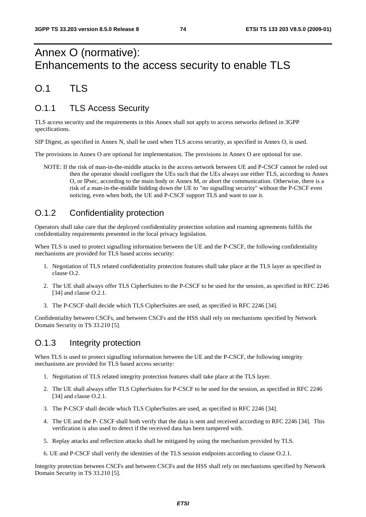# Annex O (normative): Enhancements to the access security to enable TLS

## $0.1$  TLS

## O.1.1 TLS Access Security

TLS access security and the requirements in this Annex shall not apply to access networks defined in 3GPP specifications.

SIP Digest, as specified in Annex N, shall be used when TLS access security, as specified in Annex O, is used.

The provisions in Annex O are optional for implementation. The provisions in Annex O are optional for use.

NOTE: If the risk of man-in-the-middle attacks in the access network between UE and P-CSCF cannot be ruled out then the operator should configure the UEs such that the UEs always use either TLS, according to Annex O, or IPsec, according to the main body or Annex M, or abort the communication. Otherwise, there is a risk of a man-in-the-middle bidding down the UE to "no signalling security" without the P-CSCF even noticing, even when both, the UE and P-CSCF support TLS and want to use it.

## O.1.2 Confidentiality protection

Operators shall take care that the deployed confidentiality protection solution and roaming agreements fulfils the confidentiality requirements presented in the local privacy legislation.

When TLS is used to protect signalling information between the UE and the P-CSCF, the following confidentiality mechanisms are provided for TLS based access security:

- 1. Negotiation of TLS related confidentiality protection features shall take place at the TLS layer as specified in clause O.2.
- 2. The UE shall always offer TLS CipherSuites to the P-CSCF to be used for the session, as specified in RFC 2246 [34] and clause O.2.1.
- 3. The P-CSCF shall decide which TLS CipherSuites are used, as specified in RFC 2246 [34].

Confidentiality between CSCFs, and between CSCFs and the HSS shall rely on mechanisms specified by Network Domain Security in TS 33.210 [5].

### O.1.3 Integrity protection

When TLS is used to protect signalling information between the UE and the P-CSCF, the following integrity mechanisms are provided for TLS based access security:

- 1. Negotiation of TLS related integrity protection features shall take place at the TLS layer.
- 2. The UE shall always offer TLS CipherSuites for P-CSCF to be used for the session, as specified in RFC 2246 [34] and clause O.2.1.
- 3. The P-CSCF shall decide which TLS CipherSuites are used, as specified in RFC 2246 [34].
- 4. The UE and the P- CSCF shall both verify that the data is sent and received according to RFC 2246 [34]. This verification is also used to detect if the received data has been tampered with.
- 5. Replay attacks and reflection attacks shall be mitigated by using the mechanism provided by TLS.
- 6. UE and P-CSCF shall verify the identities of the TLS session endpoints according to clause O.2.1.

Integrity protection between CSCFs and between CSCFs and the HSS shall rely on mechanisms specified by Network Domain Security in TS 33.210 [5].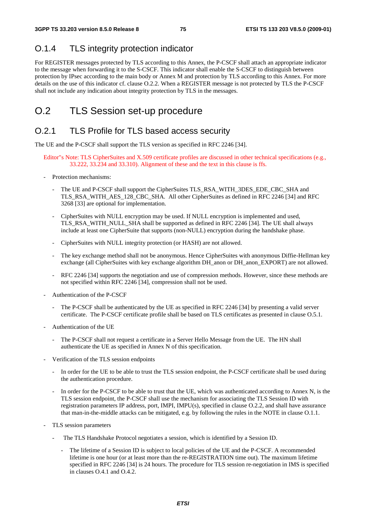## O.1.4 TLS integrity protection indicator

For REGISTER messages protected by TLS according to this Annex, the P-CSCF shall attach an appropriate indicator to the message when forwarding it to the S-CSCF. This indicator shall enable the S-CSCF to distinguish between protection by IPsec according to the main body or Annex M and protection by TLS according to this Annex. For more details on the use of this indicator cf. clause O.2.2. When a REGISTER message is not protected by TLS the P-CSCF shall not include any indication about integrity protection by TLS in the messages.

# O.2 TLS Session set-up procedure

### O.2.1 TLS Profile for TLS based access security

The UE and the P-CSCF shall support the TLS version as specified in RFC 2246 [34].

- Editor"s Note: TLS CipherSuites and X.509 certificate profiles are discussed in other technical specifications (e.g., 33.222, 33.234 and 33.310). Alignment of these and the text in this clause is ffs.
- Protection mechanisms:
	- The UE and P-CSCF shall support the CipherSuites TLS\_RSA\_WITH\_3DES\_EDE\_CBC\_SHA and TLS\_RSA\_WITH\_AES\_128\_CBC\_SHA. All other CipherSuites as defined in RFC 2246 [34] and RFC 3268 [33] are optional for implementation.
	- CipherSuites with NULL encryption may be used. If NULL encryption is implemented and used, TLS\_RSA\_WITH\_NULL\_SHA shall be supported as defined in RFC 2246 [34]. The UE shall always include at least one CipherSuite that supports (non-NULL) encryption during the handshake phase.
	- CipherSuites with NULL integrity protection (or HASH) are not allowed.
	- The key exchange method shall not be anonymous. Hence CipherSuites with anonymous Diffie-Hellman key exchange (all CipherSuites with key exchange algorithm DH\_anon or DH\_anon\_EXPORT) are not allowed.
	- RFC 2246 [34] supports the negotiation and use of compression methods. However, since these methods are not specified within RFC 2246 [34], compression shall not be used.
- Authentication of the P-CSCF
	- The P-CSCF shall be authenticated by the UE as specified in RFC 2246 [34] by presenting a valid server certificate. The P-CSCF certificate profile shall be based on TLS certificates as presented in clause O.5.1.
- Authentication of the UE
	- The P-CSCF shall not request a certificate in a Server Hello Message from the UE. The HN shall authenticate the UE as specified in Annex N of this specification.
- Verification of the TLS session endpoints
	- In order for the UE to be able to trust the TLS session endpoint, the P-CSCF certificate shall be used during the authentication procedure.
	- In order for the P-CSCF to be able to trust that the UE, which was authenticated according to Annex N, is the TLS session endpoint, the P-CSCF shall use the mechanism for associating the TLS Session ID with registration parameters IP address, port, IMPI, IMPU(s), specified in clause O.2.2, and shall have assurance that man-in-the-middle attacks can be mitigated, e.g. by following the rules in the NOTE in clause O.1.1.
- TLS session parameters
	- The TLS Handshake Protocol negotiates a session, which is identified by a Session ID.
		- The lifetime of a Session ID is subject to local policies of the UE and the P-CSCF. A recommended lifetime is one hour (or at least more than the re-REGISTRATION time out). The maximum lifetime specified in RFC 2246 [34] is 24 hours. The procedure for TLS session re-negotiation in IMS is specified in clauses O.4.1 and O.4.2.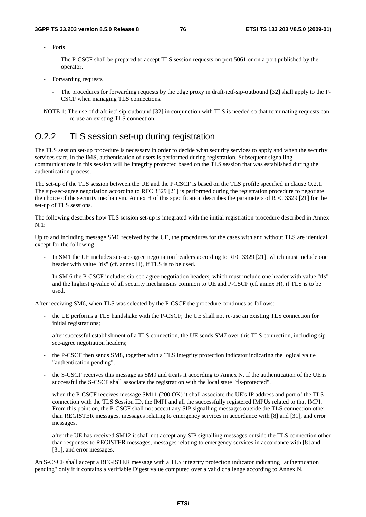- Ports
	- The P-CSCF shall be prepared to accept TLS session requests on port 5061 or on a port published by the operator.
- Forwarding requests
	- The procedures for forwarding requests by the edge proxy in draft-ietf-sip-outbound [32] shall apply to the P-CSCF when managing TLS connections.
- NOTE 1: The use of draft-ietf-sip-outbound [32] in conjunction with TLS is needed so that terminating requests can re-use an existing TLS connection.

### O.2.2 TLS session set-up during registration

The TLS session set-up procedure is necessary in order to decide what security services to apply and when the security services start. In the IMS, authentication of users is performed during registration. Subsequent signalling communications in this session will be integrity protected based on the TLS session that was established during the authentication process.

The set-up of the TLS session between the UE and the P-CSCF is based on the TLS profile specified in clause O.2.1. The sip-sec-agree negotiation according to RFC 3329 [21] is performed during the registration procedure to negotiate the choice of the security mechanism. Annex H of this specification describes the parameters of RFC 3329 [21] for the set-up of TLS sessions.

The following describes how TLS session set-up is integrated with the initial registration procedure described in Annex N.1:

Up to and including message SM6 received by the UE, the procedures for the cases with and without TLS are identical, except for the following:

- In SM1 the UE includes sip-sec-agree negotiation headers according to RFC 3329 [21], which must include one header with value "tls" (cf. annex H), if TLS is to be used.
- In SM 6 the P-CSCF includes sip-sec-agree negotiation headers, which must include one header with value "tls" and the highest q-value of all security mechanisms common to UE and P-CSCF (cf. annex H), if TLS is to be used.

After receiving SM6, when TLS was selected by the P-CSCF the procedure continues as follows:

- the UE performs a TLS handshake with the P-CSCF; the UE shall not re-use an existing TLS connection for initial registrations;
- after successful establishment of a TLS connection, the UE sends SM7 over this TLS connection, including sipsec-agree negotiation headers;
- the P-CSCF then sends SM8, together with a TLS integrity protection indicator indicating the logical value "authentication pending".
- the S-CSCF receives this message as SM9 and treats it according to Annex N. If the authentication of the UE is successful the S-CSCF shall associate the registration with the local state "tls-protected".
- when the P-CSCF receives message SM11 (200 OK) it shall associate the UE's IP address and port of the TLS connection with the TLS Session ID, the IMPI and all the successfully registered IMPUs related to that IMPI. From this point on, the P-CSCF shall not accept any SIP signalling messages outside the TLS connection other than REGISTER messages, messages relating to emergency services in accordance with [8] and [31], and error messages.
- after the UE has received SM12 it shall not accept any SIP signalling messages outside the TLS connection other than responses to REGISTER messages, messages relating to emergency services in accordance with [8] and [31], and error messages.

An S-CSCF shall accept a REGISTER message with a TLS integrity protection indicator indicating "authentication pending" only if it contains a verifiable Digest value computed over a valid challenge according to Annex N.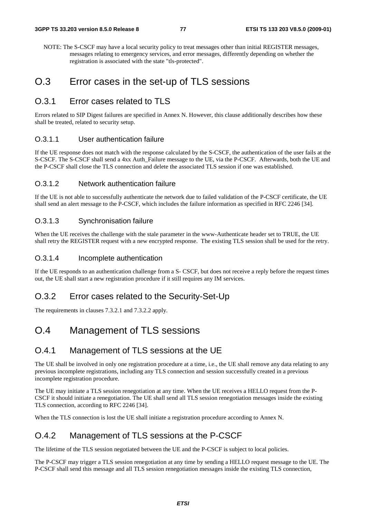NOTE: The S-CSCF may have a local security policy to treat messages other than initial REGISTER messages, messages relating to emergency services, and error messages, differently depending on whether the registration is associated with the state "tls-protected".

### O.3 Error cases in the set-up of TLS sessions

### O.3.1 Frror cases related to TLS

Errors related to SIP Digest failures are specified in Annex N. However, this clause additionally describes how these shall be treated, related to security setup.

#### O.3.1.1 User authentication failure

If the UE response does not match with the response calculated by the S-CSCF, the authentication of the user fails at the S-CSCF. The S-CSCF shall send a 4xx Auth\_Failure message to the UE, via the P-CSCF. Afterwards, both the UE and the P-CSCF shall close the TLS connection and delete the associated TLS session if one was established.

### O.3.1.2 Network authentication failure

If the UE is not able to successfully authenticate the network due to failed validation of the P-CSCF certificate, the UE shall send an alert message to the P-CSCF, which includes the failure information as specified in RFC 2246 [34].

#### O.3.1.3 Synchronisation failure

When the UE receives the challenge with the stale parameter in the www-Authenticate header set to TRUE, the UE shall retry the REGISTER request with a new encrypted response. The existing TLS session shall be used for the retry.

#### O.3.1.4 Incomplete authentication

If the UE responds to an authentication challenge from a S- CSCF, but does not receive a reply before the request times out, the UE shall start a new registration procedure if it still requires any IM services.

### O.3.2 Error cases related to the Security-Set-Up

The requirements in clauses 7.3.2.1 and 7.3.2.2 apply.

## O.4 Management of TLS sessions

### O.4.1 Management of TLS sessions at the UE

The UE shall be involved in only one registration procedure at a time, i.e., the UE shall remove any data relating to any previous incomplete registrations, including any TLS connection and session successfully created in a previous incomplete registration procedure.

The UE may initiate a TLS session renegotiation at any time. When the UE receives a HELLO request from the P-CSCF it should initiate a renegotiation. The UE shall send all TLS session renegotiation messages inside the existing TLS connection, according to RFC 2246 [34].

When the TLS connection is lost the UE shall initiate a registration procedure according to Annex N.

### O.4.2 Management of TLS sessions at the P-CSCF

The lifetime of the TLS session negotiated between the UE and the P-CSCF is subject to local policies.

The P-CSCF may trigger a TLS session renegotiation at any time by sending a HELLO request message to the UE. The P-CSCF shall send this message and all TLS session renegotiation messages inside the existing TLS connection,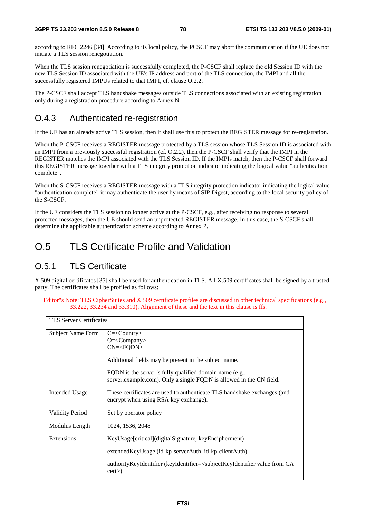according to RFC 2246 [34]. According to its local policy, the PCSCF may abort the communication if the UE does not initiate a TLS session renegotiation.

When the TLS session renegotiation is successfully completed, the P-CSCF shall replace the old Session ID with the new TLS Session ID associated with the UE's IP address and port of the TLS connection, the IMPI and all the successfully registered IMPUs related to that IMPI, cf. clause O.2.2.

The P-CSCF shall accept TLS handshake messages outside TLS connections associated with an existing registration only during a registration procedure according to Annex N.

### O.4.3 Authenticated re-registration

If the UE has an already active TLS session, then it shall use this to protect the REGISTER message for re-registration.

When the P-CSCF receives a REGISTER message protected by a TLS session whose TLS Session ID is associated with an IMPI from a previously successful registration (cf. O.2.2), then the P-CSCF shall verify that the IMPI in the REGISTER matches the IMPI associated with the TLS Session ID. If the IMPIs match, then the P-CSCF shall forward this REGISTER message together with a TLS integrity protection indicator indicating the logical value "authentication complete".

When the S-CSCF receives a REGISTER message with a TLS integrity protection indicator indicating the logical value "authentication complete" it may authenticate the user by means of SIP Digest, according to the local security policy of the S-CSCF.

If the UE considers the TLS session no longer active at the P-CSCF, e.g., after receiving no response to several protected messages, then the UE should send an unprotected REGISTER message. In this case, the S-CSCF shall determine the applicable authentication scheme according to Annex P.

# O.5 TLS Certificate Profile and Validation

### O.5.1 TLS Certificate

X.509 digital certificates [35] shall be used for authentication in TLS. All X.509 certificates shall be signed by a trusted party. The certificates shall be profiled as follows:

Editor"s Note: TLS CipherSuites and X.509 certificate profiles are discussed in other technical specifications (e.g., 33.222, 33.234 and 33.310). Alignment of these and the text in this clause is ffs.

| <b>TLS Server Certificates</b> |                                                                                                                                                                                                                                          |
|--------------------------------|------------------------------------------------------------------------------------------------------------------------------------------------------------------------------------------------------------------------------------------|
| Subject Name Form              | $C = <$ Country><br>$O=\lt{Company}$<br>$CN=$<br>Additional fields may be present in the subject name.<br>FQDN is the server" sfully qualified domain name (e.g.,<br>server.example.com). Only a single FQDN is allowed in the CN field. |
| <b>Intended Usage</b>          | These certificates are used to authenticate TLS handshake exchanges (and<br>encrypt when using RSA key exchange).                                                                                                                        |
| <b>Validity Period</b>         | Set by operator policy                                                                                                                                                                                                                   |
| Modulus Length                 | 1024, 1536, 2048                                                                                                                                                                                                                         |
| Extensions                     | KeyUsage[critical](digitalSignature, keyEncipherment)<br>extendedKeyUsage (id-kp-serverAuth, id-kp-clientAuth)<br>authorityKeyIdentifier (keyIdentifier= <subjectkeyidentifier ca<br="" from="" value="">cert</subjectkeyidentifier>     |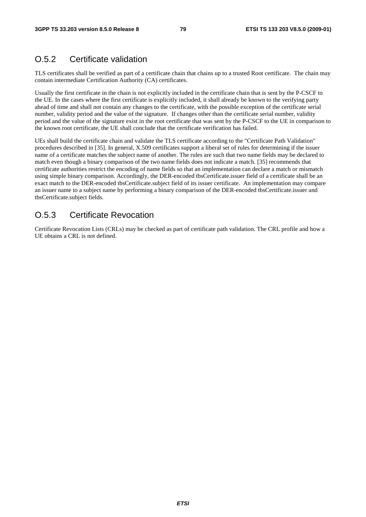### O.5.2 Certificate validation

TLS certificates shall be verified as part of a certificate chain that chains up to a trusted Root certificate. The chain may contain intermediate Certification Authority (CA) certificates.

Usually the first certificate in the chain is not explicitly included in the certificate chain that is sent by the P-CSCF to the UE. In the cases where the first certificate is explicitly included, it shall already be known to the verifying party ahead of time and shall not contain any changes to the certificate, with the possible exception of the certificate serial number, validity period and the value of the signature. If changes other than the certificate serial number, validity period and the value of the signature exist in the root certificate that was sent by the P-CSCF to the UE in comparison to the known root certificate, the UE shall conclude that the certificate verification has failed.

UEs shall build the certificate chain and validate the TLS certificate according to the "Certificate Path Validation" procedures described in [35]. In general, X.509 certificates support a liberal set of rules for determining if the issuer name of a certificate matches the subject name of another. The rules are such that two name fields may be declared to match even though a binary comparison of the two name fields does not indicate a match. [35] recommends that certificate authorities restrict the encoding of name fields so that an implementation can declare a match or mismatch using simple binary comparison. Accordingly, the DER-encoded tbsCertificate.issuer field of a certificate shall be an exact match to the DER-encoded tbsCertificate.subject field of its issuer certificate. An implementation may compare an issuer name to a subject name by performing a binary comparison of the DER-encoded tbsCertificate.issuer and tbsCertificate.subject fields.

### O.5.3 Certificate Revocation

Certificate Revocation Lists (CRLs) may be checked as part of certificate path validation. The CRL profile and how a UE obtains a CRL is not defined.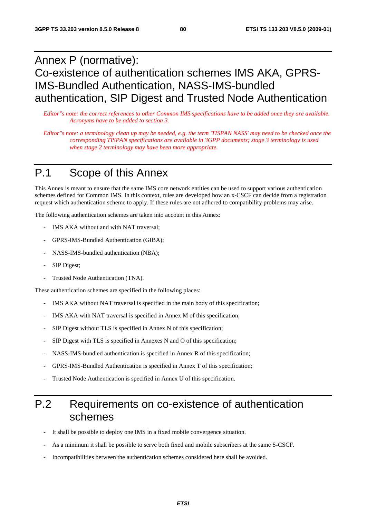# Annex P (normative): Co-existence of authentication schemes IMS AKA, GPRS-IMS-Bundled Authentication, NASS-IMS-bundled authentication, SIP Digest and Trusted Node Authentication

*Editor"s note: the correct references to other Common IMS specifications have to be added once they are available. Acronyms have to be added to section 3.* 

*Editor"s note: a terminology clean up may be needed, e.g. the term 'TISPAN NASS' may need to be checked once the corresponding TISPAN specifications are available in 3GPP documents; stage 3 terminology is used when stage 2 terminology may have been more appropriate.* 

# P.1 Scope of this Annex

This Annex is meant to ensure that the same IMS core network entities can be used to support various authentication schemes defined for Common IMS. In this context, rules are developed how an x-CSCF can decide from a registration request which authentication scheme to apply. If these rules are not adhered to compatibility problems may arise.

The following authentication schemes are taken into account in this Annex:

- IMS AKA without and with NAT traversal;
- GPRS-IMS-Bundled Authentication (GIBA);
- NASS-IMS-bundled authentication (NBA);
- SIP Digest;
- Trusted Node Authentication (TNA).

These authentication schemes are specified in the following places:

- IMS AKA without NAT traversal is specified in the main body of this specification;
- IMS AKA with NAT traversal is specified in Annex M of this specification;
- SIP Digest without TLS is specified in Annex N of this specification;
- SIP Digest with TLS is specified in Annexes N and O of this specification;
- NASS-IMS-bundled authentication is specified in Annex R of this specification;
- GPRS-IMS-Bundled Authentication is specified in Annex T of this specification;
- Trusted Node Authentication is specified in Annex U of this specification.

# P.2 Requirements on co-existence of authentication schemes

- It shall be possible to deploy one IMS in a fixed mobile convergence situation.
- As a minimum it shall be possible to serve both fixed and mobile subscribers at the same S-CSCF.
- Incompatibilities between the authentication schemes considered here shall be avoided.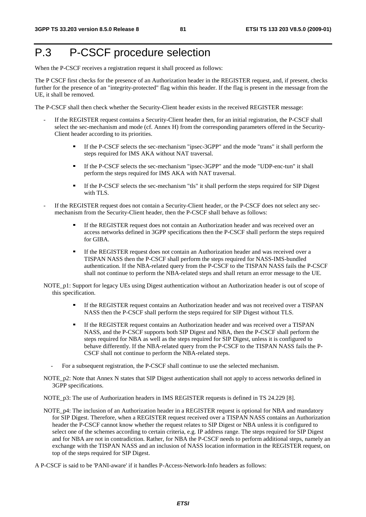# P.3 P-CSCF procedure selection

When the P-CSCF receives a registration request it shall proceed as follows:

The P CSCF first checks for the presence of an Authorization header in the REGISTER request, and, if present, checks further for the presence of an "integrity-protected" flag within this header. If the flag is present in the message from the UE, it shall be removed.

The P-CSCF shall then check whether the Security-Client header exists in the received REGISTER message:

- If the REGISTER request contains a Security-Client header then, for an initial registration, the P-CSCF shall select the sec-mechanism and mode (cf. Annex H) from the corresponding parameters offered in the Security-Client header according to its priorities.
	- If the P-CSCF selects the sec-mechanism "ipsec-3GPP" and the mode "trans" it shall perform the steps required for IMS AKA without NAT traversal.
	- If the P-CSCF selects the sec-mechanism "ipsec-3GPP" and the mode "UDP-enc-tun" it shall perform the steps required for IMS AKA with NAT traversal.
	- If the P-CSCF selects the sec-mechanism "tls" it shall perform the steps required for SIP Digest with TLS.
- If the REGISTER request does not contain a Security-Client header, or the P-CSCF does not select any secmechanism from the Security-Client header, then the P-CSCF shall behave as follows:
	- If the REGISTER request does not contain an Authorization header and was received over an access networks defined in 3GPP specifications then the P-CSCF shall perform the steps required for GIBA.
	- If the REGISTER request does not contain an Authorization header and was received over a TISPAN NASS then the P-CSCF shall perform the steps required for NASS-IMS-bundled authentication. If the NBA-related query from the P-CSCF to the TISPAN NASS fails the P-CSCF shall not continue to perform the NBA-related steps and shall return an error message to the UE.
- NOTE\_p1: Support for legacy UEs using Digest authentication without an Authorization header is out of scope of this specification.
	- If the REGISTER request contains an Authorization header and was not received over a TISPAN NASS then the P-CSCF shall perform the steps required for SIP Digest without TLS.
	- If the REGISTER request contains an Authorization header and was received over a TISPAN NASS, and the P-CSCF supports both SIP Digest and NBA, then the P-CSCF shall perform the steps required for NBA as well as the steps required for SIP Digest, unless it is configured to behave differently. If the NBA-related query from the P-CSCF to the TISPAN NASS fails the P-CSCF shall not continue to perform the NBA-related steps.
	- For a subsequent registration, the P-CSCF shall continue to use the selected mechanism.
- NOTE p2: Note that Annex N states that SIP Digest authentication shall not apply to access networks defined in 3GPP specifications.

NOTE\_p3: The use of Authorization headers in IMS REGISTER requests is defined in TS 24.229 [8].

- NOTE p4: The inclusion of an Authorization header in a REGISTER request is optional for NBA and mandatory for SIP Digest. Therefore, when a REGISTER request received over a TISPAN NASS contains an Authorization header the P-CSCF cannot know whether the request relates to SIP Digest or NBA unless it is configured to select one of the schemes according to certain criteria, e.g. IP address range. The steps required for SIP Digest and for NBA are not in contradiction. Rather, for NBA the P-CSCF needs to perform additional steps, namely an exchange with the TISPAN NASS and an inclusion of NASS location information in the REGISTER request, on top of the steps required for SIP Digest.
- A P-CSCF is said to be 'PANI-aware' if it handles P-Access-Network-Info headers as follows: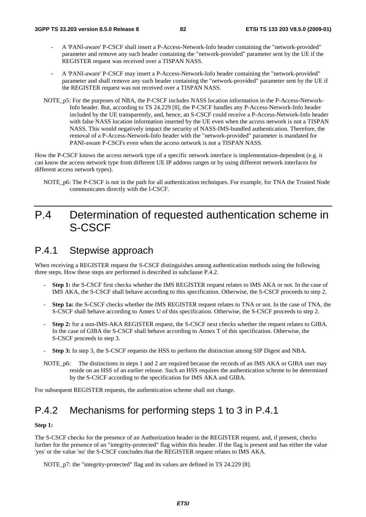- A 'PANI-aware' P-CSCF shall insert a P-Access-Network-Info header containing the "network-provided" parameter and remove any such header containing the "network-provided" parameter sent by the UE if the REGISTER request was received over a TISPAN NASS.
- A 'PANI-aware' P-CSCF may insert a P-Access-Network-Info header containing the "network-provided" parameter and shall remove any such header containing the "network-provided" parameter sent by the UE if the REGISTER request was not received over a TISPAN NASS.
- NOTE\_p5: For the purposes of NBA, the P-CSCF includes NASS location information in the P-Access-Network-Info header. But, according to TS 24.229 [8], the P-CSCF handles any P-Access-Network-Info header included by the UE transparently, and, hence, an S-CSCF could receive a P-Access-Network-Info header with false NASS location information inserted by the UE even when the access network is not a TISPAN NASS. This would negatively impact the security of NASS-IMS-bundled authentication. Therefore, the removal of a P-Access-Network-Info header with the "network-provided" parameter is mandated for PANI-aware P-CSCFs even when the access network is not a TISPAN NASS.

How the P-CSCF knows the access network type of a specific network interface is implementation-dependent (e.g. it can know the access network type from different UE IP address ranges or by using different network interfaces for different access network types).

NOTE\_p6: The P-CSCF is not in the path for all authentication techniques. For example, for TNA the Trusted Node communicates directly with the I-CSCF.

# P.4 Determination of requested authentication scheme in S-CSCF

## P.4.1 Stepwise approach

When receiving a REGISTER request the S-CSCF distinguishes among authentication methods using the following three steps. How these steps are performed is described in subclause P.4.2.

- Step 1: the S-CSCF first checks whether the IMS REGISTER request relates to IMS AKA or not. In the case of IMS AKA, the S-CSCF shall behave according to this specification. Otherwise, the S-CSCF proceeds to step 2.
- Step 1a: the S-CSCF checks whether the IMS REGISTER request relates to TNA or not. In the case of TNA, the S-CSCF shall behave according to Annex U of this specification. Otherwise, the S-CSCF proceeds to step 2.
- **Step 2:** for a non-IMS-AKA REGISTER request, the S-CSCF next checks whether the request relates to GIBA. In the case of GIBA the S-CSCF shall behave according to Annex T of this specification. Otherwise, the S-CSCF proceeds to step 3.
- **Step 3:** In step 3, the S-CSCF requests the HSS to perform the distinction among SIP Digest and NBA.
- NOTE p6: The distinctions in steps 1 and 2 are required because the records of an IMS AKA or GIBA user may reside on an HSS of an earlier release. Such an HSS requires the authentication scheme to be determined by the S-CSCF according to the specification for IMS AKA and GIBA.

For subsequent REGISTER requests, the authentication scheme shall not change.

## P.4.2 Mechanisms for performing steps 1 to 3 in P.4.1

#### **Step 1:**

The S-CSCF checks for the presence of an Authorization header in the REGISTER request, and, if present, checks further for the presence of an "integrity-protected" flag within this header. If the flag is present and has either the value 'yes' or the value 'no' the S-CSCF concludes that the REGISTER request relates to IMS AKA.

NOTE\_p7: the "integrity-protected" flag and its values are defined in TS 24.229 [8].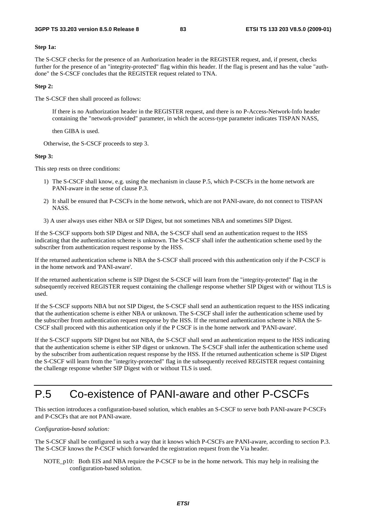#### **Step 1a:**

The S-CSCF checks for the presence of an Authorization header in the REGISTER request, and, if present, checks further for the presence of an "integrity-protected" flag within this header. If the flag is present and has the value "authdone" the S-CSCF concludes that the REGISTER request related to TNA.

#### **Step 2:**

The S-CSCF then shall proceed as follows:

 If there is no Authorization header in the REGISTER request, and there is no P-Access-Network-Info header containing the "network-provided" parameter, in which the access-type parameter indicates TISPAN NASS,

then GIBA is used.

Otherwise, the S-CSCF proceeds to step 3.

#### **Step 3:**

This step rests on three conditions:

- 1) The S-CSCF shall know, e.g. using the mechanism in clause P.5, which P-CSCFs in the home network are PANI-aware in the sense of clause P.3.
- 2) It shall be ensured that P-CSCFs in the home network, which are not PANI-aware, do not connect to TISPAN NASS.
- 3) A user always uses either NBA or SIP Digest, but not sometimes NBA and sometimes SIP Digest.

If the S-CSCF supports both SIP Digest and NBA, the S-CSCF shall send an authentication request to the HSS indicating that the authentication scheme is unknown. The S-CSCF shall infer the authentication scheme used by the subscriber from authentication request response by the HSS.

If the returned authentication scheme is NBA the S-CSCF shall proceed with this authentication only if the P-CSCF is in the home network and 'PANI-aware'.

If the returned authentication scheme is SIP Digest the S-CSCF will learn from the "integrity-protected" flag in the subsequently received REGISTER request containing the challenge response whether SIP Digest with or without TLS is used.

If the S-CSCF supports NBA but not SIP Digest, the S-CSCF shall send an authentication request to the HSS indicating that the authentication scheme is either NBA or unknown. The S-CSCF shall infer the authentication scheme used by the subscriber from authentication request response by the HSS. If the returned authentication scheme is NBA the S-CSCF shall proceed with this authentication only if the P CSCF is in the home network and 'PANI-aware'.

If the S-CSCF supports SIP Digest but not NBA, the S-CSCF shall send an authentication request to the HSS indicating that the authentication scheme is either SIP digest or unknown. The S-CSCF shall infer the authentication scheme used by the subscriber from authentication request response by the HSS. If the returned authentication scheme is SIP Digest the S-CSCF will learn from the "integrity-protected" flag in the subsequently received REGISTER request containing the challenge response whether SIP Digest with or without TLS is used.

# P.5 Co-existence of PANI-aware and other P-CSCFs

This section introduces a configuration-based solution, which enables an S-CSCF to serve both PANI-aware P-CSCFs and P-CSCFs that are not PANI-aware.

#### *Configuration-based solution:*

The S-CSCF shall be configured in such a way that it knows which P-CSCFs are PANI-aware, according to section P.3. The S-CSCF knows the P-CSCF which forwarded the registration request from the Via header.

NOTE p10: Both EIS and NBA require the P-CSCF to be in the home network. This may help in realising the configuration-based solution.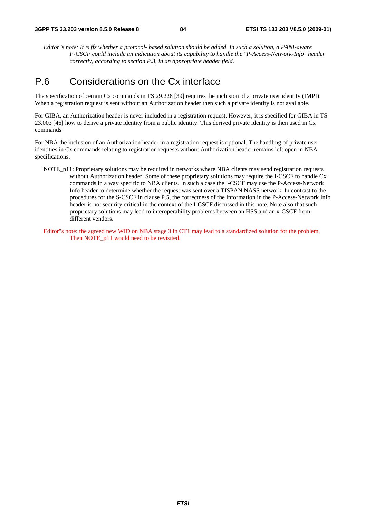*Editor"s note: It is ffs whether a protocol- based solution should be added. In such a solution, a PANI-aware P-CSCF could include an indication about its capability to handle the "P-Access-Network-Info" header correctly, according to section P.3, in an appropriate header field.*

## P.6 Considerations on the Cx interface

The specification of certain Cx commands in TS 29.228 [39] requires the inclusion of a private user identity (IMPI). When a registration request is sent without an Authorization header then such a private identity is not available.

For GIBA, an Authorization header is never included in a registration request. However, it is specified for GIBA in TS 23.003 [46] how to derive a private identity from a public identity. This derived private identity is then used in Cx commands.

For NBA the inclusion of an Authorization header in a registration request is optional. The handling of private user identities in Cx commands relating to registration requests without Authorization header remains left open in NBA specifications.

- NOTE p11: Proprietary solutions may be required in networks where NBA clients may send registration requests without Authorization header. Some of these proprietary solutions may require the I-CSCF to handle Cx commands in a way specific to NBA clients. In such a case the I-CSCF may use the P-Access-Network Info header to determine whether the request was sent over a TISPAN NASS network. In contrast to the procedures for the S-CSCF in clause P.5, the correctness of the information in the P-Access-Network Info header is not security-critical in the context of the I-CSCF discussed in this note. Note also that such proprietary solutions may lead to interoperability problems between an HSS and an x-CSCF from different vendors.
- Editor"s note: the agreed new WID on NBA stage 3 in CT1 may lead to a standardized solution for the problem. Then NOTE p11 would need to be revisited.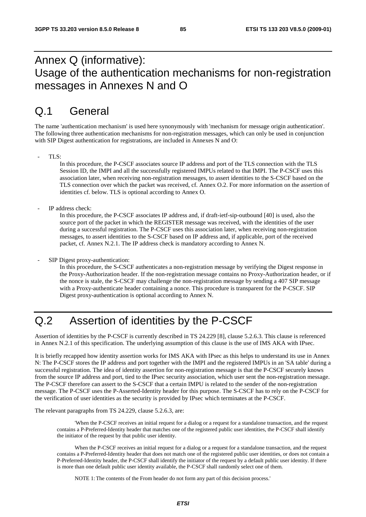# Annex Q (informative): Usage of the authentication mechanisms for non-registration messages in Annexes N and O

# Q.1 General

The name 'authentication mechanism' is used here synonymously with 'mechanism for message origin authentication'. The following three authentication mechanisms for non-registration messages, which can only be used in conjunction with SIP Digest authentication for registrations, are included in Annexes N and O:

TLS:

In this procedure, the P-CSCF associates source IP address and port of the TLS connection with the TLS Session ID, the IMPI and all the successfully registered IMPUs related to that IMPI. The P-CSCF uses this association later, when receiving non-registration messages, to assert identities to the S-CSCF based on the TLS connection over which the packet was received, cf. Annex O.2. For more information on the assertion of identities cf. below. TLS is optional according to Annex O.

IP address check:

In this procedure, the P-CSCF associates IP address and, if draft-ietf-sip-outbound [40] is used, also the source port of the packet in which the REGISTER message was received, with the identities of the user during a successful registration. The P-CSCF uses this association later, when receiving non-registration messages, to assert identities to the S-CSCF based on IP address and, if applicable, port of the received packet, cf. Annex N.2.1. The IP address check is mandatory according to Annex N.

SIP Digest proxy-authentication:

In this procedure, the S-CSCF authenticates a non-registration message by verifying the Digest response in the Proxy-Authorization header. If the non-registration message contains no Proxy-Authorization header, or if the nonce is stale, the S-CSCF may challenge the non-registration message by sending a 407 SIP message with a Proxy-authenticate header containing a nonce. This procedure is transparent for the P-CSCF. SIP Digest proxy-authentication is optional according to Annex N.

# Q.2 Assertion of identities by the P-CSCF

Assertion of identities by the P-CSCF is currently described in TS 24.229 [8], clause 5.2.6.3. This clause is referenced in Annex N.2.1 of this specification. The underlying assumption of this clause is the use of IMS AKA with IPsec.

It is briefly recapped how identity assertion works for IMS AKA with IPsec as this helps to understand its use in Annex N: The P-CSCF stores the IP address and port together with the IMPI and the registered IMPUs in an 'SA table' during a successful registration. The idea of identity assertion for non-registration message is that the P-CSCF securely knows from the source IP address and port, tied to the IPsec security association, which user sent the non-registration message. The P-CSCF therefore can assert to the S-CSCF that a certain IMPU is related to the sender of the non-registration message. The P-CSCF uses the P-Asserted-Identity header for this purpose. The S-CSCF has to rely on the P-CSCF for the verification of user identities as the security is provided by IPsec which terminates at the P-CSCF.

The relevant paragraphs from TS 24.229, clause 5.2.6.3, are:

'When the P-CSCF receives an initial request for a dialog or a request for a standalone transaction, and the request contains a P-Preferred-Identity header that matches one of the registered public user identities, the P-CSCF shall identify the initiator of the request by that public user identity.

When the P-CSCF receives an initial request for a dialog or a request for a standalone transaction, and the request contains a P-Preferred-Identity header that does not match one of the registered public user identities, or does not contain a P-Preferred-Identity header, the P-CSCF shall identify the initiator of the request by a default public user identity. If there is more than one default public user identity available, the P-CSCF shall randomly select one of them.

NOTE 1: The contents of the From header do not form any part of this decision process.'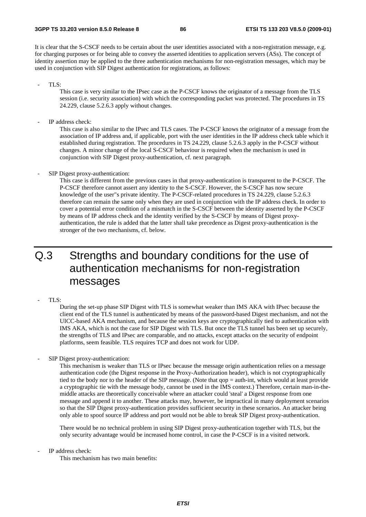It is clear that the S-CSCF needs to be certain about the user identities associated with a non-registration message, e.g. for charging purposes or for being able to convey the asserted identities to application servers (ASs). The concept of identity assertion may be applied to the three authentication mechanisms for non-registration messages, which may be used in conjunction with SIP Digest authentication for registrations, as follows:

TLS:

This case is very similar to the IPsec case as the P-CSCF knows the originator of a message from the TLS session (i.e. security association) with which the corresponding packet was protected. The procedures in TS 24.229, clause 5.2.6.3 apply without changes.

IP address check:

This case is also similar to the IPsec and TLS cases. The P-CSCF knows the originator of a message from the association of IP address and, if applicable, port with the user identities in the IP address check table which it established during registration. The procedures in TS 24.229, clause 5.2.6.3 apply in the P-CSCF without changes. A minor change of the local S-CSCF behaviour is required when the mechanism is used in conjunction with SIP Digest proxy-authentication, cf. next paragraph.

#### SIP Digest proxy-authentication:

This case is different from the previous cases in that proxy-authentication is transparent to the P-CSCF. The P-CSCF therefore cannot assert any identity to the S-CSCF. However, the S-CSCF has now secure knowledge of the user"s private identity. The P-CSCF-related procedures in TS 24.229, clause 5.2.6.3 therefore can remain the same only when they are used in conjunction with the IP address check. In order to cover a potential error condition of a mismatch in the S-CSCF between the identity asserted by the P-CSCF by means of IP address check and the identity verified by the S-CSCF by means of Digest proxyauthentication, the rule is added that the latter shall take precedence as Digest proxy-authentication is the stronger of the two mechanisms, cf. below.

# Q.3 Strengths and boundary conditions for the use of authentication mechanisms for non-registration messages

TLS:

During the set-up phase SIP Digest with TLS is somewhat weaker than IMS AKA with IPsec because the client end of the TLS tunnel is authenticated by means of the password-based Digest mechanism, and not the UICC-based AKA mechanism, and because the session keys are cryptographically tied to authentication with IMS AKA, which is not the case for SIP Digest with TLS. But once the TLS tunnel has been set up securely, the strengths of TLS and IPsec are comparable, and no attacks, except attacks on the security of endpoint platforms, seem feasible. TLS requires TCP and does not work for UDP.

SIP Digest proxy-authentication:

This mechanism is weaker than TLS or IPsec because the message origin authentication relies on a message authentication code (the Digest response in the Proxy-Authorization header), which is not cryptographically tied to the body nor to the header of the SIP message. (Note that qop = auth-int, which would at least provide a cryptographic tie with the message body, cannot be used in the IMS context.) Therefore, certain man-in-themiddle attacks are theoretically conceivable where an attacker could 'steal' a Digest response from one message and append it to another. These attacks may, however, be impractical in many deployment scenarios so that the SIP Digest proxy-authentication provides sufficient security in these scenarios. An attacker being only able to spoof source IP address and port would not be able to break SIP Digest proxy-authentication.

There would be no technical problem in using SIP Digest proxy-authentication together with TLS, but the only security advantage would be increased home control, in case the P-CSCF is in a visited network.

IP address check:

This mechanism has two main benefits: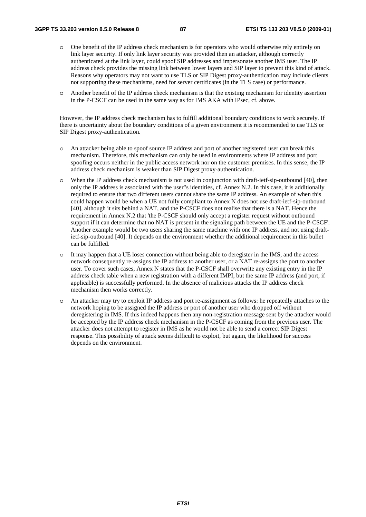- o One benefit of the IP address check mechanism is for operators who would otherwise rely entirely on link layer security. If only link layer security was provided then an attacker, although correctly authenticated at the link layer, could spoof SIP addresses and impersonate another IMS user. The IP address check provides the missing link between lower layers and SIP layer to prevent this kind of attack. Reasons why operators may not want to use TLS or SIP Digest proxy-authentication may include clients not supporting these mechanisms, need for server certificates (in the TLS case) or performance.
- o Another benefit of the IP address check mechanism is that the existing mechanism for identity assertion in the P-CSCF can be used in the same way as for IMS AKA with IPsec, cf. above.

However, the IP address check mechanism has to fulfill additional boundary conditions to work securely. If there is uncertainty about the boundary conditions of a given environment it is recommended to use TLS or SIP Digest proxy-authentication.

- o An attacker being able to spoof source IP address and port of another registered user can break this mechanism. Therefore, this mechanism can only be used in environments where IP address and port spoofing occurs neither in the public access network nor on the customer premises. In this sense, the IP address check mechanism is weaker than SIP Digest proxy-authentication.
- o When the IP address check mechanism is not used in conjunction with draft-ietf-sip-outbound [40], then only the IP address is associated with the user"s identities, cf. Annex N.2. In this case, it is additionally required to ensure that two different users cannot share the same IP address. An example of when this could happen would be when a UE not fully compliant to Annex N does not use draft-ietf-sip-outbound [40], although it sits behind a NAT, and the P-CSCF does not realise that there is a NAT. Hence the requirement in Annex N.2 that 'the P-CSCF should only accept a register request without outbound support if it can determine that no NAT is present in the signaling path between the UE and the P-CSCF'. Another example would be two users sharing the same machine with one IP address, and not using draftietf-sip-outbound [40]. It depends on the environment whether the additional requirement in this bullet can be fulfilled.
- o It may happen that a UE loses connection without being able to deregister in the IMS, and the access network consequently re-assigns the IP address to another user, or a NAT re-assigns the port to another user. To cover such cases, Annex N states that the P-CSCF shall overwrite any existing entry in the IP address check table when a new registration with a different IMPI, but the same IP address (and port, if applicable) is successfully performed. In the absence of malicious attacks the IP address check mechanism then works correctly.
- o An attacker may try to exploit IP address and port re-assignment as follows: he repeatedly attaches to the network hoping to be assigned the IP address or port of another user who dropped off without deregistering in IMS. If this indeed happens then any non-registration message sent by the attacker would be accepted by the IP address check mechanism in the P-CSCF as coming from the previous user. The attacker does not attempt to register in IMS as he would not be able to send a correct SIP Digest response. This possibility of attack seems difficult to exploit, but again, the likelihood for success depends on the environment.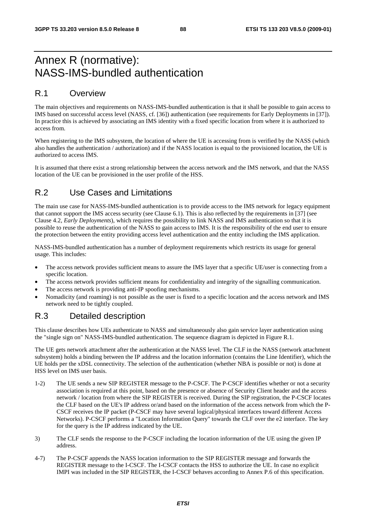# Annex R (normative): NASS-IMS-bundled authentication

### R.1 Overview

The main objectives and requirements on NASS-IMS-bundled authentication is that it shall be possible to gain access to IMS based on successful access level (NASS, cf. [36]) authentication (see requirements for Early Deployments in [37]). In practice this is achieved by associating an IMS identity with a fixed specific location from where it is authorized to access from.

When registering to the IMS subsystem, the location of where the UE is accessing from is verified by the NASS (which also handles the authentication / authorization) and if the NASS location is equal to the provisioned location, the UE is authorized to access IMS.

It is assumed that there exist a strong relationship between the access network and the IMS network, and that the NASS location of the UE can be provisioned in the user profile of the HSS.

### R.2 Use Cases and Limitations

The main use case for NASS-IMS-bundled authentication is to provide access to the IMS network for legacy equipment that cannot support the IMS access security (see Clause 6.1). This is also reflected by the requirements in [37] (see Clause 4.2, *Early Deployments*), which requires the possibility to link NASS and IMS authentication so that it is possible to reuse the authentication of the NASS to gain access to IMS. It is the responsibility of the end user to ensure the protection between the entity providing access level authentication and the entity including the IMS application.

NASS-IMS-bundled authentication has a number of deployment requirements which restricts its usage for general usage. This includes:

- The access network provides sufficient means to assure the IMS layer that a specific UE/user is connecting from a specific location.
- The access network provides sufficient means for confidentiality and integrity of the signalling communication.
- The access network is providing anti-IP spoofing mechanisms.
- Nomadicity (and roaming) is not possible as the user is fixed to a specific location and the access network and IMS network need to be tightly coupled.

### R.3 Detailed description

This clause describes how UEs authenticate to NASS and simultaneously also gain service layer authentication using the "single sign on" NASS-IMS-bundled authentication. The sequence diagram is depicted in Figure R.1.

The UE gets network attachment after the authentication at the NASS level. The CLF in the NASS (network attachment subsystem) holds a binding between the IP address and the location information (contains the Line Identifier), which the UE holds per the xDSL connectivity. The selection of the authentication (whether NBA is possible or not) is done at HSS level on IMS user basis.

- 1-2) The UE sends a new SIP REGISTER message to the P-CSCF. The P-CSCF identifies whether or not a security association is required at this point, based on the presence or absence of Security Client header and the access network / location from where the SIP REGISTER is received. During the SIP registration, the P-CSCF locates the CLF based on the UE's IP address or/and based on the information of the access network from which the P-CSCF receives the IP packet (P-CSCF may have several logical/physical interfaces toward different Access Networks). P-CSCF performs a "Location Information Query" towards the CLF over the e2 interface. The key for the query is the IP address indicated by the UE.
- 3) The CLF sends the response to the P-CSCF including the location information of the UE using the given IP address.
- 4-7) The P-CSCF appends the NASS location information to the SIP REGISTER message and forwards the REGISTER message to the I-CSCF. The I-CSCF contacts the HSS to authorize the UE. In case no explicit IMPI was included in the SIP REGISTER, the I-CSCF behaves according to Annex P.6 of this specification.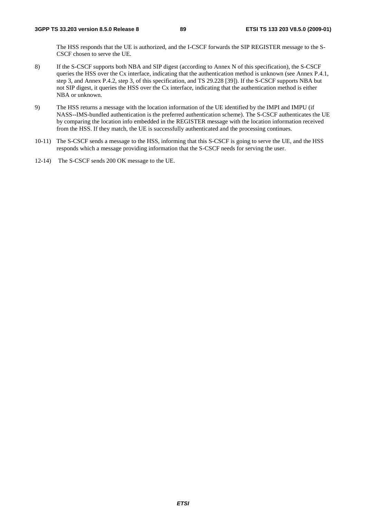The HSS responds that the UE is authorized, and the I-CSCF forwards the SIP REGISTER message to the S-CSCF chosen to serve the UE.

- 8) If the S-CSCF supports both NBA and SIP digest (according to Annex N of this specification), the S-CSCF queries the HSS over the Cx interface, indicating that the authentication method is unknown (see Annex P.4.1, step 3, and Annex P.4.2, step 3, of this specification, and TS 29.228 [39]). If the S-CSCF supports NBA but not SIP digest, it queries the HSS over the Cx interface, indicating that the authentication method is either NBA or unknown.
- 9) The HSS returns a message with the location information of the UE identified by the IMPI and IMPU (if NASS--IMS-bundled authentication is the preferred authentication scheme). The S-CSCF authenticates the UE by comparing the location info embedded in the REGISTER message with the location information received from the HSS. If they match, the UE is successfully authenticated and the processing continues.
- 10-11) The S-CSCF sends a message to the HSS, informing that this S-CSCF is going to serve the UE, and the HSS responds which a message providing information that the S-CSCF needs for serving the user.
- 12-14) The S-CSCF sends 200 OK message to the UE.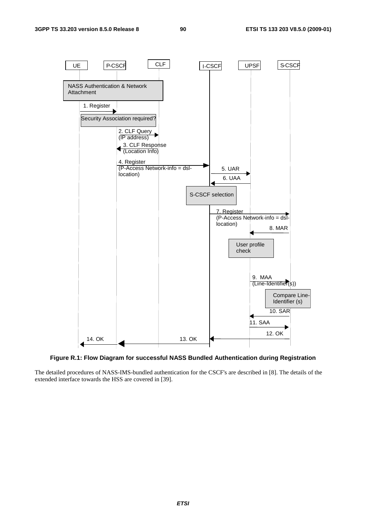

**Figure R.1: Flow Diagram for successful NASS Bundled Authentication during Registration** 

The detailed procedures of NASS-IMS-bundled authentication for the CSCF's are described in [8]. The details of the extended interface towards the HSS are covered in [39].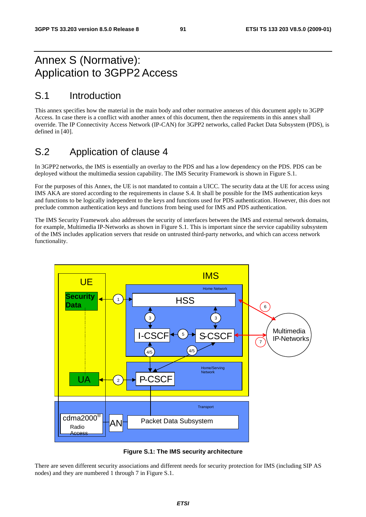# Annex S (Normative): Application to 3GPP2 Access

## S.1 Introduction

This annex specifies how the material in the main body and other normative annexes of this document apply to 3GPP Access. In case there is a conflict with another annex of this document, then the requirements in this annex shall override. The IP Connectivity Access Network (IP-CAN) for 3GPP2 networks, called Packet Data Subsystem (PDS), is defined in [40].

# S.2 Application of clause 4

In 3GPP2 networks, the IMS is essentially an overlay to the PDS and has a low dependency on the PDS. PDS can be deployed without the multimedia session capability. The IMS Security Framework is shown in Figure S.1.

For the purposes of this Annex, the UE is not mandated to contain a UICC. The security data at the UE for access using IMS AKA are stored according to the requirements in clause S.4. It shall be possible for the IMS authentication keys and functions to be logically independent to the keys and functions used for PDS authentication. However, this does not preclude common authentication keys and functions from being used for IMS and PDS authentication.

The IMS Security Framework also addresses the security of interfaces between the IMS and external network domains, for example, Multimedia IP-Networks as shown in Figure S.1. This is important since the service capability subsystem of the IMS includes application servers that reside on untrusted third-party networks, and which can access network functionality.



**Figure S.1: The IMS security architecture** 

There are seven different security associations and different needs for security protection for IMS (including SIP AS nodes) and they are numbered 1 through 7 in Figure S.1.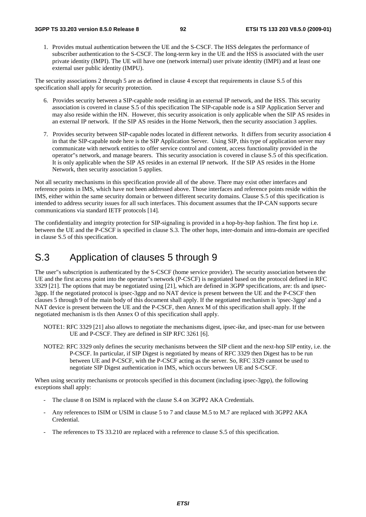1. Provides mutual authentication between the UE and the S-CSCF. The HSS delegates the performance of subscriber authentication to the S-CSCF. The long-term key in the UE and the HSS is associated with the user private identity (IMPI). The UE will have one (network internal) user private identity (IMPI) and at least one external user public identity (IMPU).

The security associations 2 through 5 are as defined in clause 4 except that requirements in clause S.5 of this specification shall apply for security protection.

- 6. Provides security between a SIP-capable node residing in an external IP network, and the HSS. This security association is covered in clause S.5 of this specification The SIP-capable node is a SIP Application Server and may also reside within the HN. However, this security assoication is only applicable when the SIP AS resides in an external IP network. If the SIP AS resides in the Home Network, then the security association 3 applies.
- 7. Provides security between SIP-capable nodes located in different networks. It differs from security association 4 in that the SIP-capable node here is the SIP Application Server. Using SIP, this type of application server may communicate with network entities to offer service control and content, access functionality provided in the operator"s network, and manage bearers. This security association is covered in clause S.5 of this specification. It is only applicable when the SIP AS resides in an external IP network. If the SIP AS resides in the Home Network, then security association 5 applies.

Not all security mechanisms in this specification provide all of the above. There may exist other interfaces and reference points in IMS, which have not been addressed above. Those interfaces and reference points reside within the IMS, either within the same security domain or between different security domains. Clause S.5 of this specification is intended to address security issues for all such interfaces. This document assumes that the IP-CAN supports secure communications via standard IETF protocols [14].

The confidentiality and integrity protection for SIP-signaling is provided in a hop-by-hop fashion. The first hop i.e. between the UE and the P-CSCF is specified in clause S.3. The other hops, inter-domain and intra-domain are specified in clause S.5 of this specification.

## S.3 Application of clauses 5 through 9

The user"s subscription is authenticated by the S-CSCF (home service provider). The security association between the UE and the first access point into the operator"s network (P-CSCF) is negotiated based on the protocol defined in RFC 3329 [21]. The options that may be negotiated using [21], which are defined in 3GPP specifications, are: tls and ipsec-3gpp. If the negotiated protocol is ipsec-3gpp and no NAT device is present between the UE and the P-CSCF then clauses 5 through 9 of the main body of this document shall apply. If the negotiated mechanism is 'ipsec-3gpp' and a NAT device is present between the UE and the P-CSCF, then Annex M of this specification shall apply. If the negotiated mechanism is tls then Annex O of this specification shall apply.

- NOTE1: RFC 3329 [21] also allows to negotiate the mechanisms digest, ipsec-ike, and ipsec-man for use between UE and P-CSCF. They are defined in SIP RFC 3261 [6].
- NOTE2: RFC 3329 only defines the security mechanisms between the SIP client and the next-hop SIP entity, i.e. the P-CSCF. In particular, if SIP Digest is negotiated by means of RFC 3329 then Digest has to be run between UE and P-CSCF, with the P-CSCF acting as the server. So, RFC 3329 cannot be used to negotiate SIP Digest authentication in IMS, which occurs between UE and S-CSCF.

When using security mechanisms or protocols specified in this document (including ipsec-3gpp), the following exceptions shall apply:

- The clause 8 on ISIM is replaced with the clause S.4 on 3GPP2 AKA Credentials.
- Any references to ISIM or USIM in clause 5 to 7 and clause M.5 to M.7 are replaced with 3GPP2 AKA Credential.
- The references to TS 33.210 are replaced with a reference to clause S.5 of this specification.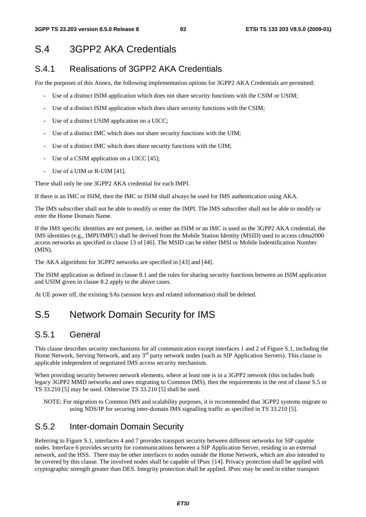## S.4 3GPP2 AKA Credentials

### S.4.1 Realisations of 3GPP2 AKA Credentials

For the purposes of this Annex, the following implementation options for 3GPP2 AKA Credentials are permitted:

- Use of a distinct ISIM application which does not share security functions with the CSIM or USIM;
- Use of a distinct ISIM application which does share security functions with the CSIM;
- Use of a distinct USIM application on a UICC;
- Use of a distinct IMC which does not share security functions with the UIM;
- Use of a distinct IMC which does share security functions with the UIM;
- Use of a CSIM application on a UICC [45];
- Use of a UIM or R-UIM [41].

There shall only be one 3GPP2 AKA credential for each IMPI.

If there is an IMC or ISIM, then the IMC or ISIM shall always be used for IMS authentication using AKA.

The IMS subscriber shall not be able to modify or enter the IMPI. The IMS subscriber shall not be able to modify or enter the Home Domain Name.

If the IMS specific identities are not present, i.e. neither an ISIM or an IMC is used as the 3GPP2 AKA credential, the IMS identities (e.g., IMPI/IMPU) shall be derived from the Mobile Station Identity (MSID) used to access cdma2000 access networks as specified in clause 13 of [46]. The MSID can be either IMSI or Mobile Indentification Number (MIN).

The AKA algorithms for 3GPP2 networks are specified in [43] and [44].

The ISIM application as defined in clause 8.1 and the rules for sharing security functions between an ISIM application and USIM given in clause 8.2 apply to the above cases.

At UE power off, the existing SAs (session keys and related information) shall be deleted.

## S.5 Network Domain Security for IMS

### S.5.1 General

This clause describes security mechanisms for all communication except interfaces 1 and 2 of Figure S.1, including the Home Network, Serving Network, and any 3<sup>rd</sup> party network nodes (such as SIP Application Servers). This clause is applicable independent of negotiated IMS access security mechanism.

When providing security between network elements, where at least one is in a 3GPP2 network (this includes both legacy 3GPP2 MMD networks and ones migrating to Common IMS), then the requirements in the rest of clause S.5 or TS 33.210 [5] may be used. Otherwise TS 33.210 [5] shall be used.

NOTE: For migration to Common IMS and scalability purposes, it is recommended that 3GPP2 systems migrate to using NDS/IP for securing inter-domain IMS signalling traffic as specified in TS 33.210 [5].

### S.5.2 Inter-domain Domain Security

Referring to Figure S.1, interfaces 4 and 7 provides transport security between different networks for SIP capable nodes. Interface 6 provides security for communications between a SIP Application Server, residing in an external network, and the HSS. There may be other interfaces to nodes outside the Home Network, which are also intended to be covered by this clause. The involved nodes shall be capable of IPsec [14]. Privacy protection shall be applied with cryptographic strength greater than DES. Integrity protection shall be applied. IPsec may be used in either transport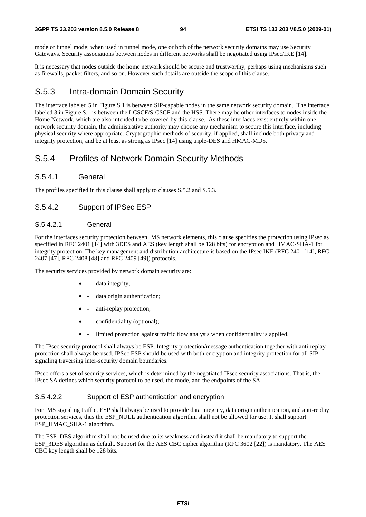mode or tunnel mode; when used in tunnel mode, one or both of the network security domains may use Security Gateways. Security associations between nodes in different networks shall be negotiated using IPsec/IKE [14].

It is necessary that nodes outside the home network should be secure and trustworthy, perhaps using mechanisms such as firewalls, packet filters, and so on. However such details are outside the scope of this clause.

### S.5.3 Intra-domain Domain Security

The interface labeled 5 in Figure S.1 is between SIP-capable nodes in the same network security domain. The interface labeled 3 in Figure S.1 is between the I-CSCF/S-CSCF and the HSS. There may be other interfaces to nodes inside the Home Network, which are also intended to be covered by this clause. As these interfaces exist entirely within one network security domain, the administrative authority may choose any mechanism to secure this interface, including physical security where appropriate. Cryptographic methods of security, if applied, shall include both privacy and integrity protection, and be at least as strong as IPsec [14] using triple-DES and HMAC-MD5.

### S.5.4 Profiles of Network Domain Security Methods

#### S.5.4.1 General

The profiles specified in this clause shall apply to clauses S.5.2 and S.5.3.

### S.5.4.2 Support of IPSec ESP

#### S.5.4.2.1 General

For the interfaces security protection between IMS network elements, this clause specifies the protection using IPsec as specified in RFC 2401 [14] with 3DES and AES (key length shall be 128 bits) for encryption and HMAC-SHA-1 for integrity protection. The key management and distribution architecture is based on the IPsec IKE (RFC 2401 [14], RFC 2407 [47], RFC 2408 [48] and RFC 2409 [49]) protocols.

The security services provided by network domain security are:

- - data integrity;
- data origin authentication;
- - anti-replay protection;
- - confidentiality (optional);
- - limited protection against traffic flow analysis when confidentiality is applied.

The IPsec security protocol shall always be ESP. Integrity protection/message authentication together with anti-replay protection shall always be used. IPSec ESP should be used with both encryption and integrity protection for all SIP signaling traversing inter-security domain boundaries.

IPsec offers a set of security services, which is determined by the negotiated IPsec security associations. That is, the IPsec SA defines which security protocol to be used, the mode, and the endpoints of the SA.

#### S.5.4.2.2 Support of ESP authentication and encryption

For IMS signaling traffic, ESP shall always be used to provide data integrity, data origin authentication, and anti-replay protection services, thus the ESP\_NULL authentication algorithm shall not be allowed for use. It shall support ESP\_HMAC\_SHA-1 algorithm.

The ESP\_DES algorithm shall not be used due to its weakness and instead it shall be mandatory to support the ESP\_3DES algorithm as default. Support for the AES CBC cipher algorithm (RFC 3602 [22]) is mandatory. The AES CBC key length shall be 128 bits.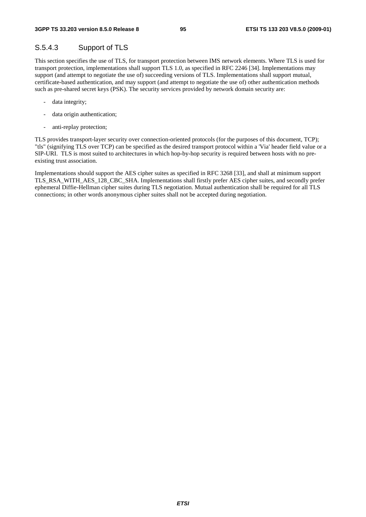### S.5.4.3 Support of TLS

This section specifies the use of TLS, for transport protection between IMS network elements. Where TLS is used for transport protection, implementations shall support TLS 1.0, as specified in RFC 2246 [34]. Implementations may support (and attempt to negotiate the use of) succeeding versions of TLS. Implementations shall support mutual, certificate-based authentication, and may support (and attempt to negotiate the use of) other authentication methods such as pre-shared secret keys (PSK). The security services provided by network domain security are:

- data integrity;
- data origin authentication;
- anti-replay protection;

TLS provides transport-layer security over connection-oriented protocols (for the purposes of this document, TCP); "tls" (signifying TLS over TCP) can be specified as the desired transport protocol within a 'Via' header field value or a SIP-URI. TLS is most suited to architectures in which hop-by-hop security is required between hosts with no preexisting trust association.

Implementations should support the AES cipher suites as specified in RFC 3268 [33], and shall at minimum support TLS\_RSA\_WITH\_AES\_128\_CBC\_SHA. Implementations shall firstly prefer AES cipher suites, and secondly prefer ephemeral Diffie-Hellman cipher suites during TLS negotiation. Mutual authentication shall be required for all TLS connections; in other words anonymous cipher suites shall not be accepted during negotiation.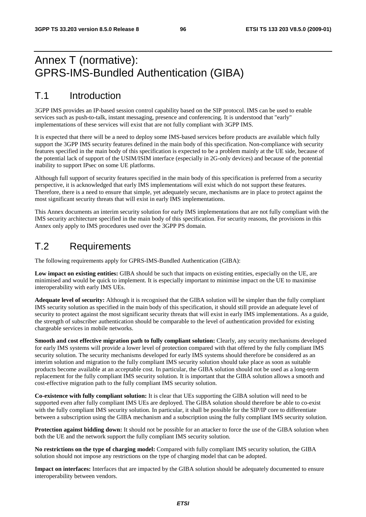# Annex T (normative): GPRS-IMS-Bundled Authentication (GIBA)

## T.1 Introduction

3GPP IMS provides an IP-based session control capability based on the SIP protocol. IMS can be used to enable services such as push-to-talk, instant messaging, presence and conferencing. It is understood that "early" implementations of these services will exist that are not fully compliant with 3GPP IMS.

It is expected that there will be a need to deploy some IMS-based services before products are available which fully support the 3GPP IMS security features defined in the main body of this specification. Non-compliance with security features specified in the main body of this specification is expected to be a problem mainly at the UE side, because of the potential lack of support of the USIM/ISIM interface (especially in 2G-only devices) and because of the potential inability to support IPsec on some UE platforms.

Although full support of security features specified in the main body of this specification is preferred from a security perspective, it is acknowledged that early IMS implementations will exist which do not support these features. Therefore, there is a need to ensure that simple, yet adequately secure, mechanisms are in place to protect against the most significant security threats that will exist in early IMS implementations.

This Annex documents an interim security solution for early IMS implementations that are not fully compliant with the IMS security architecture specified in the main body of this specification. For security reasons, the provisions in this Annex only apply to IMS procedures used over the 3GPP PS domain.

## T.2 Requirements

The following requirements apply for GPRS-IMS-Bundled Authentication (GIBA):

**Low impact on existing entities:** GIBA should be such that impacts on existing entities, especially on the UE, are minimised and would be quick to implement. It is especially important to minimise impact on the UE to maximise interoperability with early IMS UEs.

**Adequate level of security:** Although it is recognised that the GIBA solution will be simpler than the fully compliant IMS security solution as specified in the main body of this specification, it should still provide an adequate level of security to protect against the most significant security threats that will exist in early IMS implementations. As a guide, the strength of subscriber authentication should be comparable to the level of authentication provided for existing chargeable services in mobile networks.

**Smooth and cost effective migration path to fully compliant solution:** Clearly, any security mechanisms developed for early IMS systems will provide a lower level of protection compared with that offered by the fully compliant IMS security solution. The security mechanisms developed for early IMS systems should therefore be considered as an interim solution and migration to the fully compliant IMS security solution should take place as soon as suitable products become available at an acceptable cost. In particular, the GIBA solution should not be used as a long-term replacement for the fully compliant IMS security solution. It is important that the GIBA solution allows a smooth and cost-effective migration path to the fully compliant IMS security solution.

**Co-existence with fully compliant solution:** It is clear that UEs supporting the GIBA solution will need to be supported even after fully compliant IMS UEs are deployed. The GIBA solution should therefore be able to co-exist with the fully compliant IMS security solution. In particular, it shall be possible for the SIP/IP core to differentiate between a subscription using the GIBA mechanism and a subscription using the fully compliant IMS security solution.

**Protection against bidding down:** It should not be possible for an attacker to force the use of the GIBA solution when both the UE and the network support the fully compliant IMS security solution.

**No restrictions on the type of charging model:** Compared with fully compliant IMS security solution, the GIBA solution should not impose any restrictions on the type of charging model that can be adopted.

**Impact on interfaces:** Interfaces that are impacted by the GIBA solution should be adequately documented to ensure interoperability between vendors.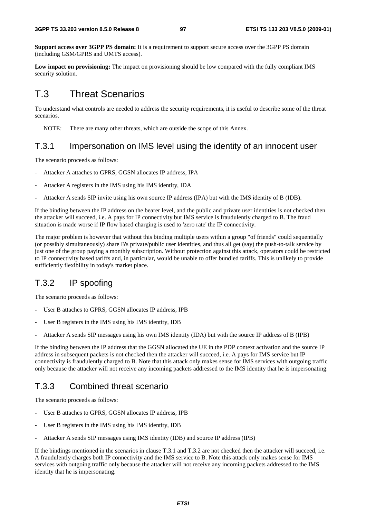**Support access over 3GPP PS domain:** It is a requirement to support secure access over the 3GPP PS domain (including GSM/GPRS and UMTS access).

**Low impact on provisioning:** The impact on provisioning should be low compared with the fully compliant IMS security solution.

## T.3 Threat Scenarios

To understand what controls are needed to address the security requirements, it is useful to describe some of the threat scenarios.

NOTE: There are many other threats, which are outside the scope of this Annex.

### T.3.1 Impersonation on IMS level using the identity of an innocent user

The scenario proceeds as follows:

- Attacker A attaches to GPRS, GGSN allocates IP address, IPA
- Attacker A registers in the IMS using his IMS identity, IDA
- Attacker A sends SIP invite using his own source IP address (IPA) but with the IMS identity of B (IDB).

If the binding between the IP address on the bearer level, and the public and private user identities is not checked then the attacker will succeed, i.e. A pays for IP connectivity but IMS service is fraudulently charged to B. The fraud situation is made worse if IP flow based charging is used to 'zero rate' the IP connectivity.

The major problem is however that without this binding multiple users within a group "of friends" could sequentially (or possibly simultaneously) share B's private/public user identities, and thus all get (say) the push-to-talk service by just one of the group paying a monthly subscription. Without protection against this attack, operators could be restricted to IP connectivity based tariffs and, in particular, would be unable to offer bundled tariffs. This is unlikely to provide sufficiently flexibility in today's market place.

## T.3.2 IP spoofing

The scenario proceeds as follows:

- User B attaches to GPRS, GGSN allocates IP address, IPB
- User B registers in the IMS using his IMS identity, IDB
- Attacker A sends SIP messages using his own IMS identity (IDA) but with the source IP address of B (IPB)

If the binding between the IP address that the GGSN allocated the UE in the PDP context activation and the source IP address in subsequent packets is not checked then the attacker will succeed, i.e. A pays for IMS service but IP connectivity is fraudulently charged to B. Note that this attack only makes sense for IMS services with outgoing traffic only because the attacker will not receive any incoming packets addressed to the IMS identity that he is impersonating.

### T.3.3 Combined threat scenario

The scenario proceeds as follows:

- User B attaches to GPRS, GGSN allocates IP address, IPB
- User B registers in the IMS using his IMS identity, IDB
- Attacker A sends SIP messages using IMS identity (IDB) and source IP address (IPB)

If the bindings mentioned in the scenarios in clause T.3.1 and T.3.2 are not checked then the attacker will succeed, i.e. A fraudulently charges both IP connectivity and the IMS service to B. Note this attack only makes sense for IMS services with outgoing traffic only because the attacker will not receive any incoming packets addressed to the IMS identity that he is impersonating.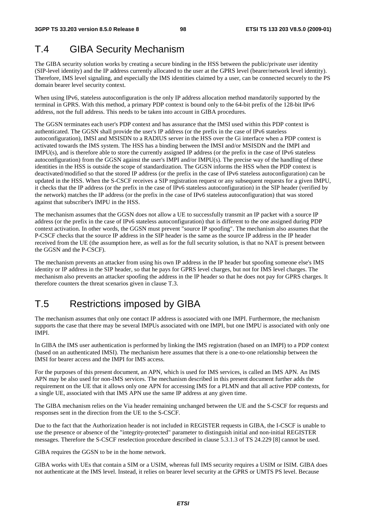# T.4 GIBA Security Mechanism

The GIBA security solution works by creating a secure binding in the HSS between the public/private user identity (SIP-level identity) and the IP address currently allocated to the user at the GPRS level (bearer/network level identity). Therefore, IMS level signaling, and especially the IMS identities claimed by a user, can be connected securely to the PS domain bearer level security context.

When using IPv6, stateless autoconfiguration is the only IP address allocation method mandatorily supported by the terminal in GPRS. With this method, a primary PDP context is bound only to the 64-bit prefix of the 128-bit IPv6 address, not the full address. This needs to be taken into account in GIBA procedures.

The GGSN terminates each user's PDP context and has assurance that the IMSI used within this PDP context is authenticated. The GGSN shall provide the user's IP address (or the prefix in the case of IPv6 stateless autoconfiguration), IMSI and MSISDN to a RADIUS server in the HSS over the Gi interface when a PDP context is activated towards the IMS system. The HSS has a binding between the IMSI and/or MSISDN and the IMPI and IMPU(s), and is therefore able to store the currently assigned IP address (or the prefix in the case of IPv6 stateless autoconfiguration) from the GGSN against the user's IMPI and/or IMPU(s). The precise way of the handling of these identities in the HSS is outside the scope of standardization. The GGSN informs the HSS when the PDP context is deactivated/modified so that the stored IP address (or the prefix in the case of IPv6 stateless autoconfiguration) can be updated in the HSS. When the S-CSCF receives a SIP registration request or any subsequent requests for a given IMPU, it checks that the IP address (or the prefix in the case of IPv6 stateless autoconfiguration) in the SIP header (verified by the network) matches the IP address (or the prefix in the case of IPv6 stateless autoconfiguration) that was stored against that subscriber's IMPU in the HSS.

The mechanism assumes that the GGSN does not allow a UE to successfully transmit an IP packet with a source IP address (or the prefix in the case of IPv6 stateless autoconfiguration) that is different to the one assigned during PDP context activation. In other words, the GGSN must prevent "source IP spoofing". The mechanism also assumes that the P-CSCF checks that the source IP address in the SIP header is the same as the source IP address in the IP header received from the UE (the assumption here, as well as for the full security solution, is that no NAT is present between the GGSN and the P-CSCF).

The mechanism prevents an attacker from using his own IP address in the IP header but spoofing someone else's IMS identity or IP address in the SIP header, so that he pays for GPRS level charges, but not for IMS level charges. The mechanism also prevents an attacker spoofing the address in the IP header so that he does not pay for GPRS charges. It therefore counters the threat scenarios given in clause T.3.

# T.5 Restrictions imposed by GIBA

The mechanism assumes that only one contact IP address is associated with one IMPI. Furthermore, the mechanism supports the case that there may be several IMPUs associated with one IMPI, but one IMPU is associated with only one IMPI.

In GIBA the IMS user authentication is performed by linking the IMS registration (based on an IMPI) to a PDP context (based on an authenticated IMSI). The mechanism here assumes that there is a one-to-one relationship between the IMSI for bearer access and the IMPI for IMS access.

For the purposes of this present document, an APN, which is used for IMS services, is called an IMS APN. An IMS APN may be also used for non-IMS services. The mechanism described in this present document further adds the requirement on the UE that it allows only one APN for accessing IMS for a PLMN and that all active PDP contexts, for a single UE, associated with that IMS APN use the same IP address at any given time.

The GIBA mechanism relies on the Via header remaining unchanged between the UE and the S-CSCF for requests and responses sent in the direction from the UE to the S-CSCF.

Due to the fact that the Authorization header is not included in REGISTER requests in GIBA, the I-CSCF is unable to use the presence or absence of the "integrity-protected" parameter to distinguish initial and non-initial REGISTER messages. Therefore the S-CSCF reselection procedure described in clause 5.3.1.3 of TS 24.229 [8] cannot be used.

GIBA requires the GGSN to be in the home network.

GIBA works with UEs that contain a SIM or a USIM, whereas full IMS security requires a USIM or ISIM. GIBA does not authenticate at the IMS level. Instead, it relies on bearer level security at the GPRS or UMTS PS level. Because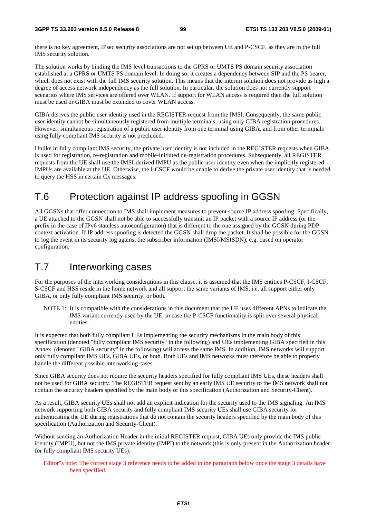there is no key agreement, IPsec security associations are not set up between UE and P-CSCF, as they are in the full IMS security solution.

The solution works by binding the IMS level transactions to the GPRS or UMTS PS domain security association established at a GPRS or UMTS PS domain level. In doing so, it creates a dependency between SIP and the PS bearer, which does not exist with the full IMS security solution. This means that the interim solution does not provide as high a degree of access network independency as the full solution. In particular, the solution does not currently support scenarios where IMS services are offered over WLAN. If support for WLAN access is required then the full solution must be used or GIBA must be extended to cover WLAN access.

GIBA derives the public user identity used in the REGISTER request from the IMSI. Consequently, the same public user identity cannot be simultaneously registered from multiple terminals, using only GIBA registration procedures. However, simultaneous registration of a public user identity from one terminal using GIBA, and from other terminals using fully compliant IMS security is not precluded.

Unlike in fully compliant IMS security, the private user identity is not included in the REGISTER requests when GIBA is used for registration, re-registration and mobile-initiated de-registration procedures. Subsequently, all REGISTER requests from the UE shall use the IMSI-derived IMPU as the public user identity even when the implicitly registered IMPUs are available at the UE. Otherwise, the I-CSCF would be unable to derive the private user identity that is needed to query the HSS in certain Cx messages.

# T.6 Protection against IP address spoofing in GGSN

All GGSNs that offer connection to IMS shall implement measures to prevent source IP address spoofing. Specifically, a UE attached to the GGSN shall not be able to successfully transmit an IP packet with a source IP address (or the prefix in the case of IPv6 stateless autoconfiguration) that is different to the one assigned by the GGSN during PDP context activation. If IP address spoofing is detected the GGSN shall drop the packet. It shall be possible for the GGSN to log the event in its security log against the subscriber information (IMSI/MSISDN), e.g. based on operator configuration.

## T.7 Interworking cases

For the purposes of the interworking considerations in this clause, it is assumed that the IMS entities P-CSCF, I-CSCF, S-CSCF and HSS reside in the home network and all support the same variants of IMS, i.e. all support either only GIBA, or only fully compliant IMS security, or both.

NOTE 1: It is compatible with the considerations in this document that the UE uses different APNs to indicate the IMS variant currently used by the UE, in case the P-CSCF functionality is split over several physical entities.

It is expected that both fully compliant UEs implementing the security mechanisms in the main body of this specification (denoted "fully compliant IMS security" in the following) and UEs implementing GIBA specified in this Annex (denoted "GIBA security" in the following) will access the same IMS. In addition, IMS networks will support only fully compliant IMS UEs, GIBA UEs, or both. Both UEs and IMS networks must therefore be able to properly handle the different possible interworking cases.

Since GIBA security does not require the security headers specified for fully compliant IMS UEs, these headers shall not be used for GIBA security. The REGISTER request sent by an early IMS UE security to the IMS network shall not contain the security headers specified by the main body of this specification (Authorization and Security-Client).

As a result, GIBA security UEs shall not add an explicit indication for the security used to the IMS signaling. An IMS network supporting both GIBA security and fully compliant IMS security UEs shall use GIBA security for authenticating the UE during registrations that do not contain the security headers specified by the main body of this specification (Authorization and Security-Client).

Without sending an Authorization Header in the initial REGISTER request, GIBA UEs only provide the IMS public identity (IMPU), but not the IMS private identity (IMPI) to the network (this is only present in the Authorization header for fully compliant IMS security UEs).

Editor"s note: The correct stage 3 reference needs to be added in the paragraph below once the stage 3 details have been specified.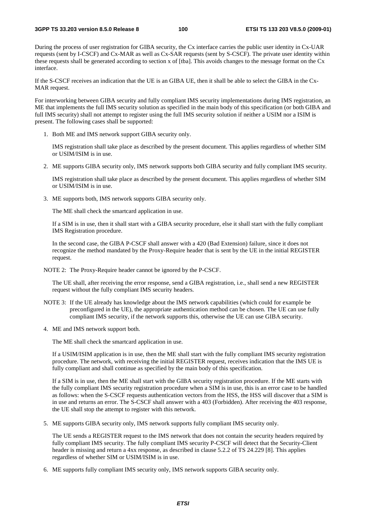During the process of user registration for GIBA security, the Cx interface carries the public user identity in Cx-UAR requests (sent by I-CSCF) and Cx-MAR as well as Cx-SAR requests (sent by S-CSCF). The private user identity within these requests shall be generated according to section x of [tba]. This avoids changes to the message format on the Cx interface.

If the S-CSCF receives an indication that the UE is an GIBA UE, then it shall be able to select the GIBA in the Cx-MAR request.

For interworking between GIBA security and fully compliant IMS security implementations during IMS registration, an ME that implements the full IMS security solution as specified in the main body of this specification (or both GIBA and full IMS security) shall not attempt to register using the full IMS security solution if neither a USIM nor a ISIM is present. The following cases shall be supported:

1. Both ME and IMS network support GIBA security only.

 IMS registration shall take place as described by the present document. This applies regardless of whether SIM or USIM/ISIM is in use.

2. ME supports GIBA security only, IMS network supports both GIBA security and fully compliant IMS security.

 IMS registration shall take place as described by the present document. This applies regardless of whether SIM or USIM/ISIM is in use.

3. ME supports both, IMS network supports GIBA security only.

The ME shall check the smartcard application in use.

If a SIM is in use, then it shall start with a GIBA security procedure, else it shall start with the fully compliant IMS Registration procedure.

In the second case, the GIBA P-CSCF shall answer with a 420 (Bad Extension) failure, since it does not recognize the method mandated by the Proxy-Require header that is sent by the UE in the initial REGISTER request.

NOTE 2: The Proxy-Require header cannot be ignored by the P-CSCF.

 The UE shall, after receiving the error response, send a GIBA registration, i.e., shall send a new REGISTER request without the fully compliant IMS security headers.

- NOTE 3: If the UE already has knowledge about the IMS network capabilities (which could for example be preconfigured in the UE), the appropriate authentication method can be chosen. The UE can use fully compliant IMS security, if the network supports this, otherwise the UE can use GIBA security.
- 4. ME and IMS network support both.

The ME shall check the smartcard application in use.

If a USIM/ISIM application is in use, then the ME shall start with the fully compliant IMS security registration procedure. The network, with receiving the initial REGISTER request, receives indication that the IMS UE is fully compliant and shall continue as specified by the main body of this specification.

If a SIM is in use, then the ME shall start with the GIBA security registration procedure. If the ME starts with the fully compliant IMS security registration procedure when a SIM is in use, this is an error case to be handled as follows: when the S-CSCF requests authentication vectors from the HSS, the HSS will discover that a SIM is in use and returns an error. The S-CSCF shall answer with a 403 (Forbidden). After receiving the 403 response, the UE shall stop the attempt to register with this network.

5. ME supports GIBA security only, IMS network supports fully compliant IMS security only.

 The UE sends a REGISTER request to the IMS network that does not contain the security headers required by fully compliant IMS security. The fully compliant IMS security P-CSCF will detect that the Security-Client header is missing and return a 4xx response, as described in clause 5.2.2 of TS 24.229 [8]. This applies regardless of whether SIM or USIM/ISIM is in use.

6. ME supports fully compliant IMS security only, IMS network supports GIBA security only.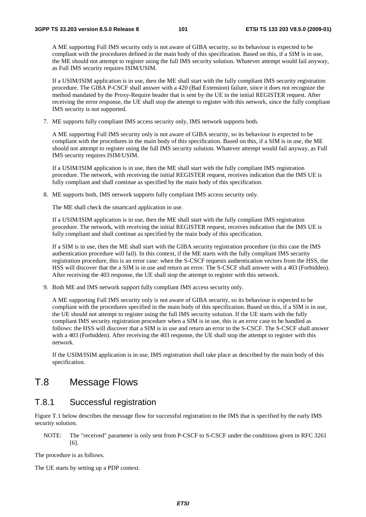A ME supporting Full IMS security only is not aware of GIBA security, so its behaviour is expected to be compliant with the procedures defined in the main body of this specification. Based on this, if a SIM is in use, the ME should not attempt to register using the full IMS security solution. Whatever attempt would fail anyway, as Full IMS security requires ISIM/USIM.

If a USIM/ISIM application is in use, then the ME shall start with the fully compliant IMS security registration procedure. The GIBA P-CSCF shall answer with a 420 (Bad Extension) failure, since it does not recognize the method mandated by the Proxy-Require header that is sent by the UE in the initial REGISTER request. After receiving the error response, the UE shall stop the attempt to register with this network, since the fully compliant IMS security is not supported.

7. ME supports fully compliant IMS access security only, IMS network supports both.

A ME supporting Full IMS security only is not aware of GIBA security, so its behaviour is expected to be compliant with the procedures in the main body of this specification. Based on this, if a SIM is in use, the ME should not attempt to register using the full IMS security solution. Whatever attempt would fail anyway, as Full IMS security requires ISIM/USIM.

If a USIM/ISIM application is in use, then the ME shall start with the fully compliant IMS registration procedure. The network, with receiving the initial REGISTER request, receives indication that the IMS UE is fully compliant and shall continue as specified by the main body of this specification.

8. ME supports both, IMS network supports fully compliant IMS access security only.

The ME shall check the smartcard application in use.

If a USIM/ISIM application is in use, then the ME shall start with the fully compliant IMS registration procedure. The network, with receiving the initial REGISTER request, receives indication that the IMS UE is fully compliant and shall continue as specified by the main body of this specification.

If a SIM is in use, then the ME shall start with the GIBA security registration procedure (in this case the IMS authentication procedure will fail). In this context, if the ME starts with the fully compliant IMS security registration procedure, this is an error case: when the S-CSCF requests authentication vectors from the HSS, the HSS will discover that the a SIM is in use and return an error. The S-CSCF shall answer with a 403 (Forbidden). After receiving the 403 response, the UE shall stop the attempt to register with this network.

9. Both ME and IMS network support fully compliant IMS access security only.

A ME supporting Full IMS security only is not aware of GIBA security, so its behaviour is expected to be compliant with the procedures specified in the main body of this specification. Based on this, if a SIM is in use, the UE should not attempt to register using the full IMS security solution. If the UE starts with the fully compliant IMS security registration procedure when a SIM is in use, this is an error case to be handled as follows: the HSS will discover that a SIM is in use and return an error to the S-CSCF. The S-CSCF shall answer with a 403 (Forbidden). After receiving the 403 response, the UE shall stop the attempt to register with this network.

If the USIM/ISIM application is in use, IMS registration shall take place as described by the main body of this specification.

## T.8 Message Flows

### T.8.1 Successful registration

Figure T.1 below describes the message flow for successful registration to the IMS that is specified by the early IMS security solution.

NOTE: The "received" parameter is only sent from P-CSCF to S-CSCF under the conditions given in RFC 3261 [6].

The procedure is as follows.

The UE starts by setting up a PDP context.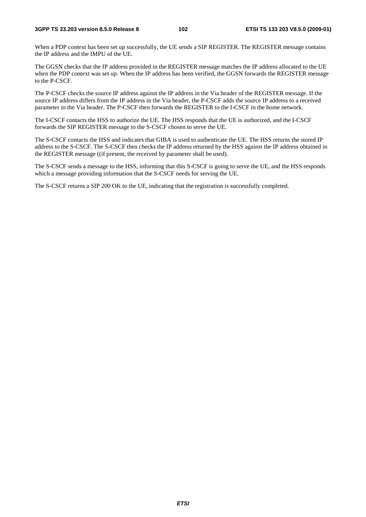When a PDP context has been set up successfully, the UE sends a SIP REGISTER. The REGISTER message contains the IP address and the IMPU of the UE.

The GGSN checks that the IP address provided in the REGISTER message matches the IP address allocated to the UE when the PDP context was set up. When the IP address has been verified, the GGSN forwards the REGISTER message to the P-CSCF.

The P-CSCF checks the source IP address against the IP address in the Via header of the REGISTER message. If the source IP address differs from the IP address in the Via header, the P-CSCF adds the source IP address to a received parameter in the Via header. The P-CSCF then forwards the REGISTER to the I-CSCF in the home network.

The I-CSCF contacts the HSS to authorize the UE. The HSS responds that the UE is authorized, and the I-CSCF forwards the SIP REGISTER message to the S-CSCF chosen to serve the UE.

The S-CSCF contacts the HSS and indicates that GIBA is used to authenticate the UE. The HSS returns the stored IP address to the S-CSCF. The S-CSCF then checks the IP address returned by the HSS against the IP address obtained in the REGISTER message ((if present, the received by parameter shall be used).

The S-CSCF sends a message to the HSS, informing that this S-CSCF is going to serve the UE, and the HSS responds which a message providing information that the S-CSCF needs for serving the UE.

The S-CSCF returns a SIP 200 OK to the UE, indicating that the registration is successfully completed.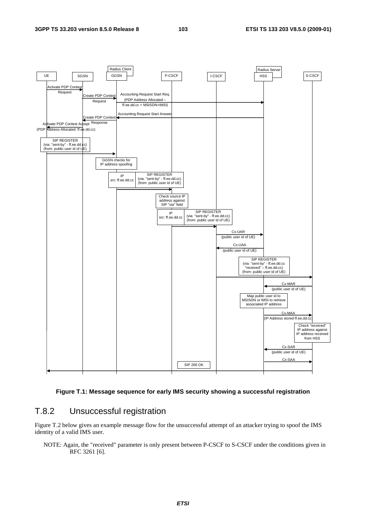

#### **Figure T.1: Message sequence for early IMS security showing a successful registration**

## T.8.2 Unsuccessful registration

Figure T.2 below gives an example message flow for the unsuccessful attempt of an attacker trying to spoof the IMS identity of a valid IMS user.

NOTE: Again, the "received" parameter is only present between P-CSCF to S-CSCF under the conditions given in RFC 3261 [6].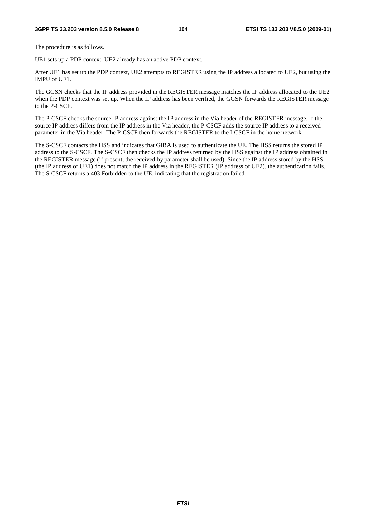#### **3GPP TS 33.203 version 8.5.0 Release 8 104 ETSI TS 133 203 V8.5.0 (2009-01)**

The procedure is as follows.

UE1 sets up a PDP context. UE2 already has an active PDP context.

After UE1 has set up the PDP context, UE2 attempts to REGISTER using the IP address allocated to UE2, but using the IMPU of UE1.

The GGSN checks that the IP address provided in the REGISTER message matches the IP address allocated to the UE2 when the PDP context was set up. When the IP address has been verified, the GGSN forwards the REGISTER message to the P-CSCF.

The P-CSCF checks the source IP address against the IP address in the Via header of the REGISTER message. If the source IP address differs from the IP address in the Via header, the P-CSCF adds the source IP address to a received parameter in the Via header. The P-CSCF then forwards the REGISTER to the I-CSCF in the home network.

The S-CSCF contacts the HSS and indicates that GIBA is used to authenticate the UE. The HSS returns the stored IP address to the S-CSCF. The S-CSCF then checks the IP address returned by the HSS against the IP address obtained in the REGISTER message (if present, the received by parameter shall be used). Since the IP address stored by the HSS (the IP address of UE1) does not match the IP address in the REGISTER (IP address of UE2), the authentication fails. The S-CSCF returns a 403 Forbidden to the UE, indicating that the registration failed.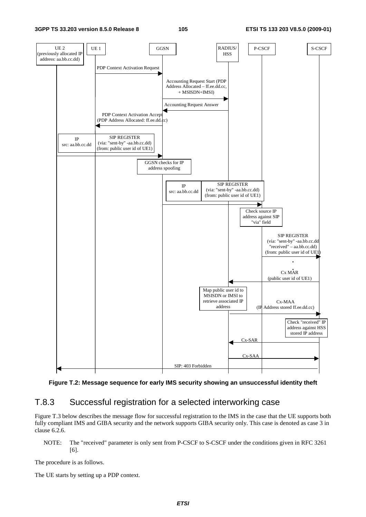



### T.8.3 Successful registration for a selected interworking case

Figure T.3 below describes the message flow for successful registration to the IMS in the case that the UE supports both fully compliant IMS and GIBA security and the network supports GIBA security only. This case is denoted as case 3 in clause 6.2.6.

NOTE: The "received" parameter is only sent from P-CSCF to S-CSCF under the conditions given in RFC 3261 [6].

The procedure is as follows.

The UE starts by setting up a PDP context.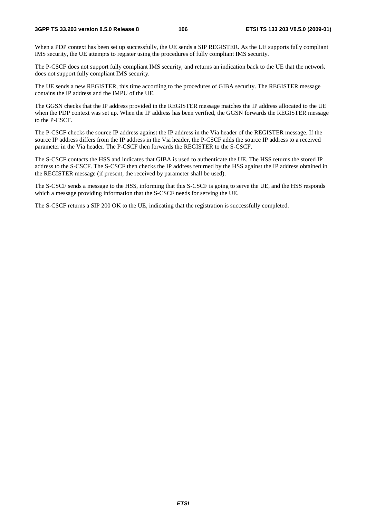#### **3GPP TS 33.203 version 8.5.0 Release 8 106 ETSI TS 133 203 V8.5.0 (2009-01)**

When a PDP context has been set up successfully, the UE sends a SIP REGISTER. As the UE supports fully compliant IMS security, the UE attempts to register using the procedures of fully compliant IMS security.

The P-CSCF does not support fully compliant IMS security, and returns an indication back to the UE that the network does not support fully compliant IMS security.

The UE sends a new REGISTER, this time according to the procedures of GIBA security. The REGISTER message contains the IP address and the IMPU of the UE.

The GGSN checks that the IP address provided in the REGISTER message matches the IP address allocated to the UE when the PDP context was set up. When the IP address has been verified, the GGSN forwards the REGISTER message to the P-CSCF.

The P-CSCF checks the source IP address against the IP address in the Via header of the REGISTER message. If the source IP address differs from the IP address in the Via header, the P-CSCF adds the source IP address to a received parameter in the Via header. The P-CSCF then forwards the REGISTER to the S-CSCF.

The S-CSCF contacts the HSS and indicates that GIBA is used to authenticate the UE. The HSS returns the stored IP address to the S-CSCF. The S-CSCF then checks the IP address returned by the HSS against the IP address obtained in the REGISTER message (if present, the received by parameter shall be used).

The S-CSCF sends a message to the HSS, informing that this S-CSCF is going to serve the UE, and the HSS responds which a message providing information that the S-CSCF needs for serving the UE.

The S-CSCF returns a SIP 200 OK to the UE, indicating that the registration is successfully completed.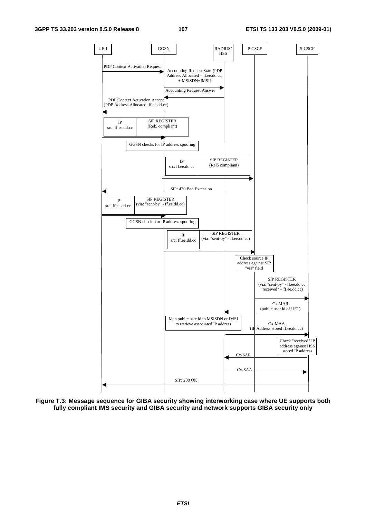

**Figure T.3: Message sequence for GIBA security showing interworking case where UE supports both fully compliant IMS security and GIBA security and network supports GIBA security only**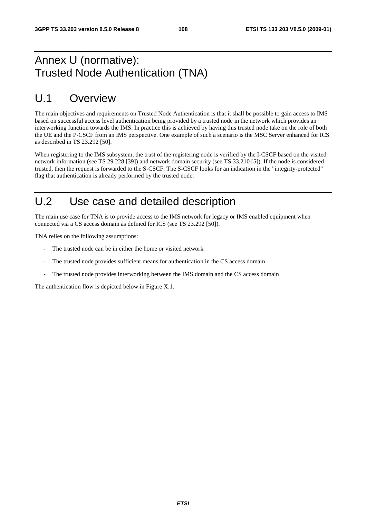# Annex U (normative): Trusted Node Authentication (TNA)

# U.1 Overview

The main objectives and requirements on Trusted Node Authentication is that it shall be possible to gain access to IMS based on successful access level authentication being provided by a trusted node in the network which provides an interworking function towards the IMS. In practice this is achieved by having this trusted node take on the role of both the UE and the P-CSCF from an IMS perspective. One example of such a scenario is the MSC Server enhanced for ICS as described in TS 23.292 [50].

When registering to the IMS subsystem, the trust of the registering node is verified by the I-CSCF based on the visited network information (see TS 29.228 [39]) and network domain security (see TS 33.210 [5]). If the node is considered trusted, then the request is forwarded to the S-CSCF. The S-CSCF looks for an indication in the "integrity-protected" flag that authentication is already performed by the trusted node.

# U.2 Use case and detailed description

The main use case for TNA is to provide access to the IMS network for legacy or IMS enabled equipment when connected via a CS access domain as defined for ICS (see TS 23.292 [50]).

TNA relies on the following assumptions:

- The trusted node can be in either the home or visited network
- The trusted node provides sufficient means for authentication in the CS access domain
- The trusted node provides interworking between the IMS domain and the CS access domain

The authentication flow is depicted below in Figure X.1.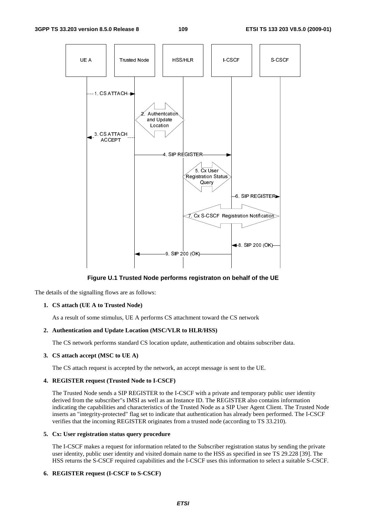

**Figure U.1 Trusted Node performs registraton on behalf of the UE** 

The details of the signalling flows are as follows:

# **1. CS attach (UE A to Trusted Node)**

As a result of some stimulus, UE A performs CS attachment toward the CS network

# **2. Authentication and Update Location (MSC/VLR to HLR/HSS)**

The CS network performs standard CS location update, authentication and obtains subscriber data.

# **3. CS attach accept (MSC to UE A)**

The CS attach request is accepted by the network, an accept message is sent to the UE.

# **4. REGISTER request (Trusted Node to I-CSCF)**

 The Trusted Node sends a SIP REGISTER to the I-CSCF with a private and temporary public user identity derived from the subscriber"s IMSI as well as an Instance ID. The REGISTER also contains information indicating the capabilities and characteristics of the Trusted Node as a SIP User Agent Client. The Trusted Node inserts an "integrity-protected" flag set to indicate that authentication has already been performed. The I-CSCF verifies that the incoming REGISTER originates from a trusted node (according to TS 33.210).

### **5. Cx: User registration status query procedure**

 The I-CSCF makes a request for information related to the Subscriber registration status by sending the private user identity, public user identity and visited domain name to the HSS as specified in see TS 29.228 [39]. The HSS returns the S-CSCF required capabilities and the I-CSCF uses this information to select a suitable S-CSCF.

### **6. REGISTER request (I-CSCF to S-CSCF)**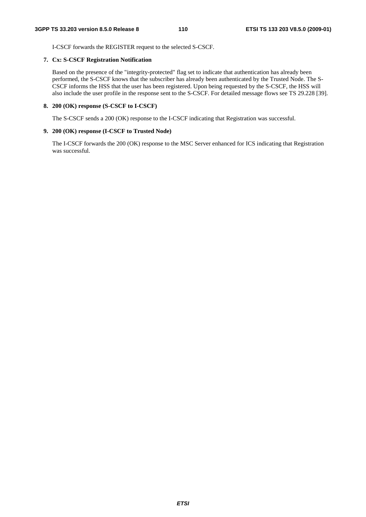I-CSCF forwards the REGISTER request to the selected S-CSCF.

### **7. Cx: S-CSCF Registration Notification**

 Based on the presence of the "integrity-protected" flag set to indicate that authentication has already been performed, the S-CSCF knows that the subscriber has already been authenticated by the Trusted Node. The S-CSCF informs the HSS that the user has been registered. Upon being requested by the S-CSCF, the HSS will also include the user profile in the response sent to the S-CSCF. For detailed message flows see TS 29.228 [39].

## **8. 200 (OK) response (S-CSCF to I-CSCF)**

The S-CSCF sends a 200 (OK) response to the I-CSCF indicating that Registration was successful.

## **9. 200 (OK) response (I-CSCF to Trusted Node)**

 The I-CSCF forwards the 200 (OK) response to the MSC Server enhanced for ICS indicating that Registration was successful.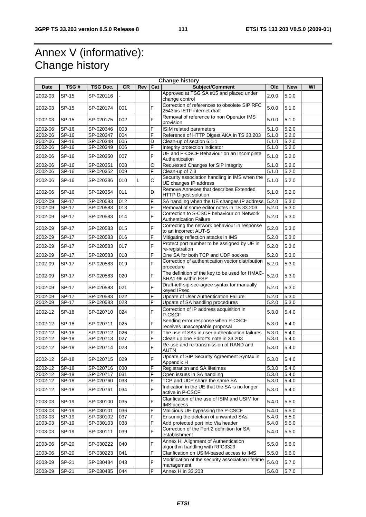# Annex V (informative): Change history

| <b>Change history</b> |              |           |                |              |             |                                                                             |                    |            |    |
|-----------------------|--------------|-----------|----------------|--------------|-------------|-----------------------------------------------------------------------------|--------------------|------------|----|
| <b>Date</b>           | TSG#         | TSG Doc.  | <b>CR</b>      | Rev          | Cat         | Subject/Comment                                                             | Old                | <b>New</b> | WI |
| 2002-03               | SP-15        | SP-020116 | $\overline{a}$ |              |             | Approved at TSG SA #15 and placed under<br>change control                   | 2.0.0              | 5.0.0      |    |
| 2002-03               | SP-15        | SP-020174 | 001            |              | F           | Correction of references to obsolete SIP RFC<br>2543bis IETF internet draft | 5.0.0              | 5.1.0      |    |
| 2002-03               | SP-15        | SP-020175 | 002            |              | F           | Removal of reference to non Operator IMS<br>provision                       | 5.0.0              | 5.1.0      |    |
| 2002-06               | SP-16        | SP-020346 | 003            |              | F           | <b>ISIM</b> related parameters                                              | 5.1.0              | 5.2.0      |    |
| 2002-06               | SP-16        | SP-020347 | 004            |              | F           | Reference of HTTP Digest AKA in TS 33.203                                   | 5.1.0              | 5.2.0      |    |
| 2002-06               | $SP-16$      | SP-020348 | 005            |              | D           | Clean-up of section 6.1.1                                                   | 5.1.0              | 5.2.0      |    |
| 2002-06               | SP-16        | SP-020349 | 006            |              | F           | Integrity protection indicator                                              | 5.1.0              | 5.2.0      |    |
| 2002-06               | SP-16        | SP-020350 | 007            |              | F           | UE and P-CSCF Behaviour on an Incomplete<br>Authentication                  | 5.1.0              | 5.2.0      |    |
| 2002-06               | SP-16        | SP-020351 | 008            |              | С           | Requested Changes for SIP integrity                                         | 5.1.0              | 5.2.0      |    |
| 2002-06               | SP-16        | SP-020352 | 009            |              | F           | Clean-up of 7.3                                                             | 5.1.0              | 5.2.0      |    |
| 2002-06               | SP-16        | SP-020386 | 010            | $\mathbf{1}$ | $\mathsf C$ | Security association handling in IMS when the<br>UE changes IP address      | 5.1.0              | 5.2.0      |    |
| 2002-06               | SP-16        | SP-020354 | 011            |              | D           | Remove Annexes that describes Extended<br><b>HTTP Digest solution</b>       | 5.1.0              | 5.2.0      |    |
| 2002-09               | SP-17        | SP-020583 | 012            |              | F           | SA handling when the UE changes IP address                                  | 5.2.0              | 5.3.0      |    |
| 2002-09               | $SP-17$      | SP-020583 | 013            |              | F           | Removal of some editor notes in TS 33.203                                   | 5.2.0              | 5.3.0      |    |
| 2002-09               | SP-17        | SP-020583 | 014            |              | F           | Correction to S-CSCF behaviour on Network<br>Authentication Failure         | 5.2.0              | 5.3.0      |    |
| 2002-09               | SP-17        | SP-020583 | 015            |              | F           | Correcting the network behaviour in response<br>to an incorrect AUT-S       | 5.2.0              | 5.3.0      |    |
| 2002-09               | $SP-17$      | SP-020583 | 016            |              | F           | Mitigating reflection attacks in IMS                                        | 5.2.0              | 5.3.0      |    |
| 2002-09               | SP-17        | SP-020583 | 017            |              | F           | Protect port number to be assigned by UE in<br>re-registration              | 5.2.0              | 5.3.0      |    |
| 2002-09               | SP-17        | SP-020583 | 018            |              | F           | One SA for both TCP and UDP sockets                                         | 5.2.0              | 5.3.0      |    |
| 2002-09               | SP-17        | SP-020583 | 019            |              | F           | Correction of authentication vector distribution<br>procedure               | 5.2.0              | 5.3.0      |    |
| 2002-09               | SP-17        | SP-020583 | 020            |              | F           | The definition of the key to be used for HMAC-<br>SHA1-96 within ESP        | 5.2.0              | 5.3.0      |    |
| 2002-09               | SP-17        | SP-020583 | 021            |              | F           | Draft-ietf-sip-sec-agree syntax for manually<br>keyed IPsec                 | 5.2.0              | 5.3.0      |    |
| 2002-09               | SP-17        | SP-020583 | 022            |              | F           | Update of User Authentication Failure                                       | 5.2.0              | 5.3.0      |    |
| 2002-09               | SP-17        | SP-020583 | 023            |              | F           | Update of SA handling procedures                                            | 5.2.0              | 5.3.0      |    |
| 2002-12               | <b>SP-18</b> | SP-020710 | 024            |              | F           | Correction of IP address acquisition in<br>P-CSCF                           | 5.3.0              | 5.4.0      |    |
| 2002-12               | SP-18        | SP-020711 | 025            |              | F           | Sending error response when P-CSCF<br>receives unacceptable proposal        | 5.3.0              | 5.4.0      |    |
| 2002-12               | <b>SP-18</b> | SP-020712 | 026            |              | F           | The use of SAs in user authentication failures                              | 5.3.0              | 5.4.0      |    |
| 2002-12               | <b>SP-18</b> | SP-020713 | 027            |              | F           | Clean up one Editor"s note in 33.203                                        | 5.3.0              | 5.4.0      |    |
| 2002-12               | <b>SP-18</b> | SP-020714 | 028            |              | F           | Re-use and re-transmission of RAND and<br>AUTN                              | 5.3.0              | 5.4.0      |    |
| 2002-12               | <b>SP-18</b> | SP-020715 | 029            |              | F           | Update of SIP Security Agreement Syntax in<br>Appendix H                    | 5.3.0              | 5.4.0      |    |
| 2002-12               | <b>SP-18</b> | SP-020716 | 030            |              | F           | <b>Registration and SA lifetimes</b>                                        | 5.3.0              | 5.4.0      |    |
| 2002-12               | SP-18        | SP-020717 | 031            |              | F           | Open issues in SA handling                                                  | 5.3.0              | 5.4.0      |    |
| 2002-12               | <b>SP-18</b> | SP-020760 | 033            |              | F           | TCP and UDP share the same SA                                               | 5.3.0              | 5.4.0      |    |
| 2002-12               | <b>SP-18</b> | SP-020761 | 034            |              | F           | Indication in the UE that the SA is no longer<br>active in P-CSCF           | 5.3.0              | 5.4.0      |    |
| 2003-03               | SP-19        | SP-030100 | 035            |              | F           | Clarification of the use of ISIM and USIM for<br>IMS access                 | 5.4.0              | 5.5.0      |    |
| 2003-03               | SP-19        | SP-030101 | 036            |              | F           | Malicious UE bypassing the P-CSCF                                           | 5.4.0              | 5.5.0      |    |
| 2003-03               | SP-19        | SP-030102 | 037            |              | F           | Ensuring the deletion of unwanted SAs                                       | 5.4.0              | 5.5.0      |    |
| 2003-03               | SP-19        | SP-030103 | 038            |              | F           | Add protected port into Via header                                          | $\overline{5.4.0}$ | 5.5.0      |    |
| 2003-03               | SP-19        | SP-030111 | 039            |              | F           | Correction of the Port 2 definition for SA<br>establishment                 | 5.4.0              | 5.5.0      |    |
| 2003-06               | SP-20        | SP-030222 | 040            |              | F           | Annex H: Alignment of Authentication<br>algorithm handling with RFC3329     | 5.5.0              | 5.6.0      |    |
| 2003-06               | SP-20        | SP-030223 | 041            |              | F           | Clarification on USIM-based access to IMS                                   | 5.5.0              | 5.6.0      |    |
| 2003-09               | SP-21        | SP-030484 | 043            |              | F           | Modification of the security association lifetime<br>management             | 5.6.0              | 5.7.0      |    |
| 2003-09               | SP-21        | SP-030485 | 044            |              | F           | Annex H in 33.203                                                           | 5.6.0              | 5.7.0      |    |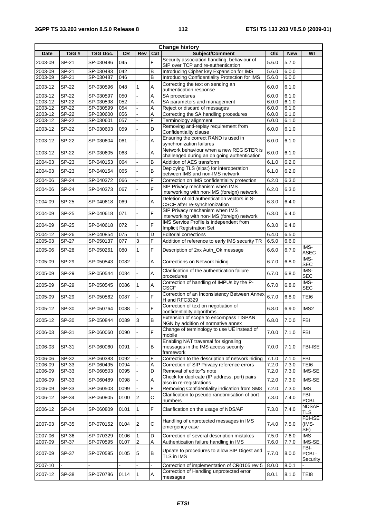| <b>Change history</b> |              |                 |           |                |             |                                                                                          |       |            |                           |
|-----------------------|--------------|-----------------|-----------|----------------|-------------|------------------------------------------------------------------------------------------|-------|------------|---------------------------|
| <b>Date</b>           | TSG#         | <b>TSG Doc.</b> | <b>CR</b> | Rev            | Cat         | Subject/Comment                                                                          | Old   | <b>New</b> | WI                        |
| 2003-09               | SP-21        | SP-030486       | 045       |                | F           | Security association handling, behaviour of<br>SIP over TCP and re-authentication        | 5.6.0 | 5.7.0      |                           |
| $2003 - 09$           | SP-21        | SP-030483       | 042       |                | В           | Introducing Cipher key Expansion for IMS                                                 | 5.6.0 | 6.0.0      |                           |
| 2003-09               | SP-21        | SP-030487       | 046       |                | B           | Introducing Confidentiality Protection for IMS                                           | 5.6.0 | 6.0.0      |                           |
| 2003-12               | <b>SP-22</b> | SP-030596       | 048       | $\mathbf{1}$   | Α           | Correcting the text on sending an<br>authentication response                             | 6.0.0 | 6.1.0      |                           |
| 2003-12               | <b>SP-22</b> | SP-030597       | 050       |                | Α           | SA procedures                                                                            | 6.0.0 | 6.1.0      |                           |
| 2003-12               | <b>SP-22</b> | SP-030598       | 052       |                | Α           | SA parameters and management                                                             | 6.0.0 | 6.1.0      |                           |
| 2003-12               | SP-22        | SP-030599       | 054       |                | Α           | Reject or discard of messages                                                            | 6.0.0 | 6.1.0      |                           |
| 2003-12               | <b>SP-22</b> | SP-030600       | 056       |                | Α<br>F      | Correcting the SA handling procedures                                                    | 6.0.0 | 6.1.0      |                           |
| 2003-12               | SP-22        | SP-030601       | 057       |                |             | Terminology alignment<br>Removing anti-replay requirement from                           | 6.0.0 | 6.1.0      |                           |
| 2003-12               | <b>SP-22</b> | SP-030603       | 059       |                | D           | Confidentiality clause<br>Ensuring the correct RAND is used in                           | 6.0.0 | 6.1.0      |                           |
| 2003-12               | SP-22        | SP-030604       | 061       |                | Α           | synchronization failures                                                                 | 6.0.0 | 6.1.0      |                           |
| 2003-12               | SP-22        | SP-030605       | 063       |                | Α           | Network behaviour when a new REGISTER is<br>challenged during an on going authentication | 6.0.0 | 6.1.0      |                           |
| 2004-03               | SP-23        | SP-040153       | 064       |                | B           | Addition of AES transform                                                                | 6.1.0 | 6.2.0      |                           |
| 2004-03               | SP-23        | SP-040154       | 065       |                | B           | Deploying TLS (sips:) for interoperation<br>between IMS and non-IMS network              | 6.1.0 | 6.2.0      |                           |
| 2004-06               | <b>SP-24</b> | SP-040372       | 066       |                | F           | Correction on IMS confidentiality protection                                             | 6.2.0 | 6.3.0      |                           |
| 2004-06               | <b>SP-24</b> | SP-040373       | 067       |                | F           | SIP Privacy mechanism when IMS<br>interworking with non-IMS (foreign) network            | 6.2.0 | 6.3.0      |                           |
| 2004-09               | <b>SP-25</b> | SP-040618       | 069       |                | Α           | Deletion of old authentication vectors in S-<br>CSCF after re-synchronization            | 6.3.0 | 6.4.0      |                           |
| 2004-09               | SP-25        | SP-040618       | 071       |                | F           | SIP Privacy mechanism when IMS<br>interworking with non-IMS (foreign) network            | 6.3.0 | 6.4.0      |                           |
| 2004-09               | SP-25        | SP-040618       | 072       |                | F           | IMS Service Profile is independent from<br>Implicit Registration Set                     | 6.3.0 | 6.4.0      |                           |
| 2004-12               | SP-26        | SP-040854       | 075       | $\mathbf{1}$   | D           | <b>Editorial corrections</b>                                                             | 6.4.0 | 6.5.0      |                           |
| 2005-03               | SP-27        | SP-050137       | 077       | 3              | F           | Addition of reference to early IMS security TR                                           | 6.5.0 | 6.6.0      |                           |
| 2005-06               | <b>SP-28</b> | SP-050261       | 080       | $\mathbf{1}$   | F           | Description of 2xx Auth_Ok message                                                       | 6.6.0 | 6.7.0      | IMS-<br><b>ASEC</b>       |
| 2005-09               | SP-29        | SP-050543       | 0082      |                | Α           | Corrections on Network hiding                                                            | 6.7.0 | 6.8.0      | IMS-<br><b>SEC</b>        |
| 2005-09               | SP-29        | SP-050544       | 0084      |                | Α           | Clarification of the authentication failure<br>procedures                                | 6.7.0 | 6.8.0      | IMS-<br><b>SEC</b>        |
| 2005-09               | SP-29        | SP-050545       | 0086      | $\mathbf{1}$   | Α           | Correction of handling of IMPUs by the P-<br><b>CSCF</b>                                 | 6.7.0 | 6.8.0      | IMS-<br><b>SEC</b>        |
| 2005-09               | SP-29        | SP-050562       | 0087      |                | F           | Correction of an Inconsistency Between Annex<br>H and RFC3329                            | 6.7.0 | 6.8.0      | TEI6                      |
| 2005-12               | SP-30        | SP-050764       | 0088      |                | F           | Correction of text on negotiation of<br>confidentiality algorithms                       | 6.8.0 | 6.9.0      | IMS <sub>2</sub>          |
| 2005-12               | SP-30        | SP-050844       | 0089      | 3              | B           | Extension of scope to encompass TISPAN<br>NGN by addition of normative annex             | 6.8.0 | 7.0.0      | FBI                       |
| 2006-03               | SP-31        | SP-060060       | 0090      |                | F           | Change of terminology to use UE instead of<br>mobile                                     | 7.0.0 | 7.1.0      | <b>FBI</b>                |
| 2006-03               | SP-31        | SP-060060       | 0091      |                | в           | Enabling NAT traversal for signaling<br>messages in the IMS access security<br>framework | 7.0.0 | 7.1.0      | <b>FBI-ISE</b>            |
| 2006-06               | SP-32        | SP-060383       | 0092      |                | F           | Correction to the description of network hiding                                          | 7.1.0 | 7.1.0      | <b>FBI</b>                |
| 2006-09               | SP-33        | SP-060495       | 0094      |                | Α           | Correction of SIP Privacy reference errors                                               | 7.2.0 | 7.3.0      | TEI6                      |
| 2006-09               | SP-33        | SP-060503       | 0095      |                | D           | Removal of editor"s note                                                                 | 7.2.0 | 7.3.0      | IMS-SE                    |
| 2006-09               | SP-33        | SP-060489       | 0098      |                | Α           | Check for duplicate (IP address, port) pairs<br>also in re-registrations                 | 7.2.0 | 7.3.0      | IMS-SE                    |
| 2006-09               | SP-33        | SP-060503       | 0099      |                | F           | Removing Confidentiality indication from SM8                                             | 7.2.0 | 7.3.0      | <b>IMS</b>                |
| 2006-12               | SP-34        | SP-060805       | 0100      | $\overline{c}$ | $\mathsf C$ | Clarification to pseudo randomisation of port<br>numbers                                 | 7.3.0 | 7.4.0      | FBI-<br><b>PCBL</b>       |
| 2006-12               | SP-34        | SP-060809       | 0101      | $\mathbf{1}$   | F           | Clarification on the usage of NDS/AF                                                     | 7.3.0 | 7.4.0      | <b>NDSAF</b><br>TLS       |
| 2007-03               | SP-35        | SP-070152       | 0104      | $\overline{c}$ | C           | Handling of unprotected messages in IMS<br>emergency case                                | 7.4.0 | 7.5.0      | FBI-ISE<br>(IMS-<br>SE)   |
| 2007-06               | SP-36        | SP-070329       | 0106      | 1              | D           | Correction of several description mistakes                                               | 7.5.0 | 7.6.0      | <b>IMS</b>                |
| 2007-09               | SP-37        | SP-070595       | 0107      | $\overline{2}$ | Α           | Authentication failure handling in IMS                                                   | 7.6.0 | 7.7.0      | IMS-SE                    |
| 2007-09               | SP-37        | SP-070595       | 0105      | 5              | В           | Update to procedures to allow SIP Digest and<br>TLS in IMS                               | 7.7.0 | 8.0.0      | FBI-<br>PCBL-<br>Security |
| 2007-10               |              |                 |           |                |             | Correction of implementation of CR0105 rev 5                                             | 8.0.0 | 8.0.1      |                           |
| 2007-12               | SP-38        | SP-070786       | 0114      | $\mathbf{1}$   | Α           | Correction of Handling unprotected error                                                 | 8.0.1 | 8.1.0      | TEI8                      |
|                       |              |                 |           |                |             | messages                                                                                 |       |            |                           |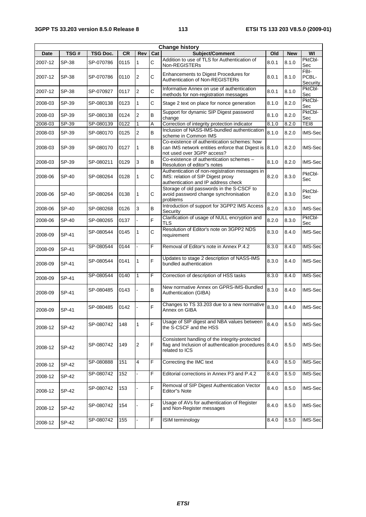| <b>Change history</b> |              |           |           |                         |              |                                                                                                                              |       |            |                           |
|-----------------------|--------------|-----------|-----------|-------------------------|--------------|------------------------------------------------------------------------------------------------------------------------------|-------|------------|---------------------------|
| Date                  | TSG#         | TSG Doc.  | <b>CR</b> | Rev                     | Cat          | <b>Subject/Comment</b>                                                                                                       | Old   | <b>New</b> | WI                        |
| 2007-12               | SP-38        | SP-070786 | 0115      | $\mathbf{1}$            | $\mathsf{C}$ | Addition to use of TLS for Authentication of<br>Non-REGISTERs                                                                | 8.0.1 | 8.1.0      | PktCbl-<br>Sec            |
| 2007-12               | SP-38        | SP-070786 | 0110      | 2                       | C            | Enhancements to Digest Procedures for<br>Authentication of Non-REGISTERs                                                     | 8.0.1 | 8.1.0      | FBI-<br>PCBL-<br>Security |
| 2007-12               | SP-38        | SP-070927 | 0117      | $\overline{2}$          | C            | Informative Annex on use of authentication<br>methods for non-registration messages                                          | 8.0.1 | 8.1.0      | PktCbl-<br>Sec            |
| 2008-03               | SP-39        | SP-080138 | 0123      | $\mathbf{1}$            | C            | Stage 2 text on place for nonce generation                                                                                   | 8.1.0 | 8.2.0      | PktCbl-<br>Sec            |
| 2008-03               | SP-39        | SP-080138 | 0124      | $\overline{2}$          | B            | Support for dynamic SIP Digest password<br>change                                                                            | 8.1.0 | 8.2.0      | PktCbl-<br>Sec            |
| 2008-03               | SP-39        | SP-080139 | 0122      | $\mathbf{1}$            | A            | Correction of integrity protection indicator                                                                                 | 8.1.0 | 8.2.0      | TEI8                      |
| 2008-03               | SP-39        | SP-080170 | 0125      | $\overline{2}$          | B            | Inclusion of NASS-IMS-bundled authentication<br>scheme in Common IMS                                                         | 8.1.0 | 8.2.0      | IMS-Sec                   |
| 2008-03               | SP-39        | SP-080170 | 0127      | 1                       | В            | Co-existence of authentication schemes: how<br>can IMS network entities enforce that Digest is<br>not used over 3GPP access? | 8.1.0 | 8.2.0      | IMS-Sec                   |
| 2008-03               | SP-39        | SP-080211 | 0129      | 3                       | B            | Co-existence of authentication schemes -<br>Resolution of editor"s notes                                                     | 8.1.0 | 8.2.0      | IMS-Sec                   |
| 2008-06               | <b>SP-40</b> | SP-080264 | 0128      | 1                       | C            | Authentication of non-registration messages in<br>IMS: relation of SIP Digest proxy<br>authentication and IP address check   | 8.2.0 | 8.3.0      | PktCbl-<br>Sec            |
| 2008-06               | SP-40        | SP-080264 | 0138      | $\mathbf{1}$            | C            | Storage of old passwords in the S-CSCF to<br>avoid password change synchronisation<br>problems                               | 8.2.0 | 8.3.0      | PktCbl-<br>Sec            |
| 2008-06               | SP-40        | SP-080268 | 0126      | 3                       | В            | Introduction of support for 3GPP2 IMS Access<br>Security                                                                     | 8.2.0 | 8.3.0      | IMS-Sec                   |
| 2008-06               | SP-40        | SP-080265 | 0137      |                         | F            | Clarification of usage of NULL encryption and<br>TLS                                                                         | 8.2.0 | 8.3.0      | PktCbl-<br>Sec            |
| 2008-09               | SP-41        | SP-080544 | 0145      | $\mathbf{1}$            | C            | Resolution of Editor's note on 3GPP2 NDS<br>requirement                                                                      | 8.3.0 | 8.4.0      | IMS-Sec                   |
| 2008-09               | SP-41        | SP-080544 | 0144      |                         | F            | Removal of Editor's note in Annex P.4.2                                                                                      | 8.3.0 | 8.4.0      | IMS-Sec                   |
| 2008-09               | SP-41        | SP-080544 | 0141      | 1                       | F            | Updates to stage 2 description of NASS-IMS<br>bundled authentication                                                         | 8.3.0 | 8.4.0      | IMS-Sec                   |
| 2008-09               | SP-41        | SP-080544 | 0140      | $\mathbf{1}$            | F            | Correction of description of HSS tasks                                                                                       | 8.3.0 | 8.4.0      | IMS-Sec                   |
| 2008-09               | SP-41        | SP-080485 | 0143      |                         | B            | New normative Annex on GPRS-IMS-Bundled<br>Authentication (GIBA)                                                             | 8.3.0 | 8.4.0      | IMS-Sec                   |
| 2008-09               | SP-41        | SP-080485 | 0142      |                         | F            | Changes to TS 33.203 due to a new normative<br>Annex on GIBA                                                                 | 8.3.0 | 8.4.0      | <b>IMS-Sec</b>            |
| 2008-12               | SP-42        | SP-080742 | 148       | 1                       | F            | Usage of SIP digest and NBA values between<br>the S-CSCF and the HSS                                                         | 8.4.0 | 8.5.0      | IMS-Sec                   |
| 2008-12               | SP-42        | SP-080742 | 149       | $\overline{\mathbf{c}}$ | F            | Consistent handling of the integrity-protected<br>flag and Inclusion of authentication procedures 8.4.0<br>related to ICS    |       | 8.5.0      | IMS-Sec                   |
| 2008-12               | SP-42        | SP-080888 | 151       | 4                       | F            | Correcting the IMC text                                                                                                      | 8.4.0 | 8.5.0      | IMS-Sec                   |
| 2008-12               | SP-42        | SP-080742 | 152       | $\bar{\phantom{a}}$     | F            | Editorial corrections in Annex P3 and P.4.2                                                                                  | 8.4.0 | 8.5.0      | <b>IMS-Sec</b>            |
| 2008-12               | SP-42        | SP-080742 | 153       |                         | F            | Removal of SIP Digest Authentication Vector<br><b>Editor</b> "s Note                                                         | 8.4.0 | 8.5.0      | IMS-Sec                   |
| 2008-12               | SP-42        | SP-080742 | 154       |                         | F            | Usage of AVs for authentication of Register<br>and Non-Register messages                                                     | 8.4.0 | 8.5.0      | IMS-Sec                   |
| 2008-12               | SP-42        | SP-080742 | 155       |                         | F            | ISIM terminology                                                                                                             | 8.4.0 | 8.5.0      | IMS-Sec                   |